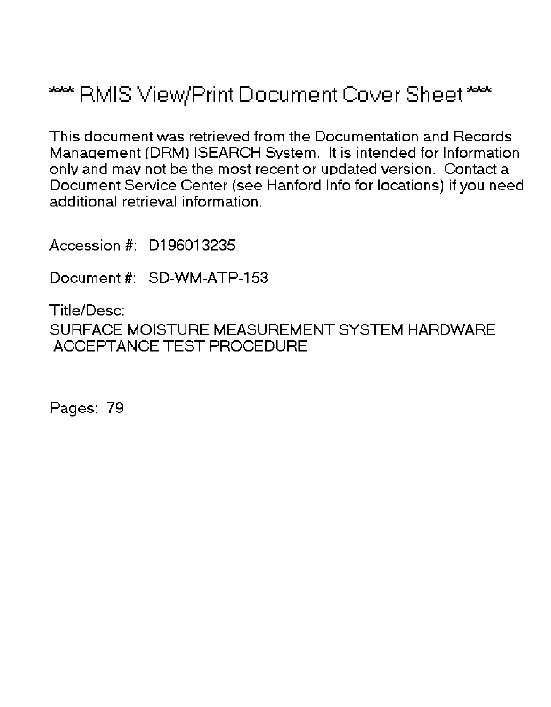# \*\*\* RMIS View/Print Document Cover Sheet \*\*\*

This document was retrieved from the Documentation and Records Manaqement (DRM) ISEARCH System. It is intended for Information only and may not be the most recent or updated version. Contact a Document Service Center (see Hanford Info for locations) if you need additional retrieval information.

Accession #: D196013235

Document #: SD-WM-ATP-153

Title/Desc: SURFACE MOISTURE MEASUREMENT SYSTEM HARDWARE ACCEPTANCE TEST PROCEDURE

Pages: 79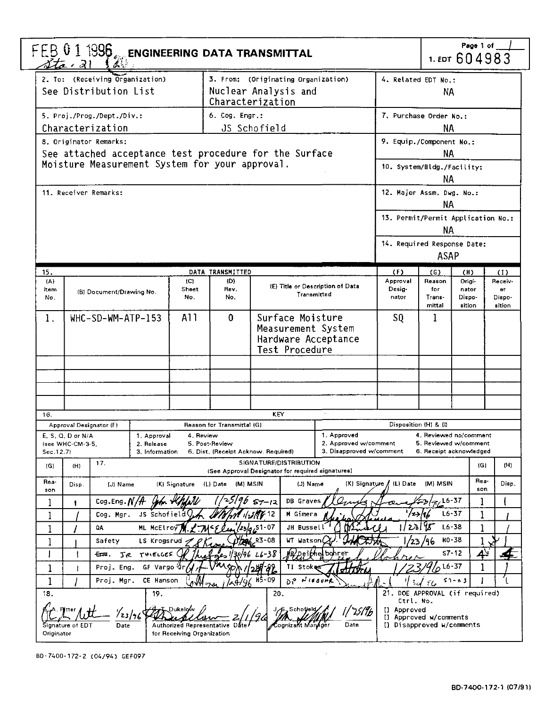| FEB 0 1 1996 $_{\rm esc}$ engineering data transmittal<br>$\Delta t$ a al $\Delta$ |                                                                                                                                                                    |                                             |                                                                           |                                                       |                                                                                       | Page 1 of<br>1. EDT 604983                                       |                                                                                 |                                   |                                                                            |                                          |  |  |
|------------------------------------------------------------------------------------|--------------------------------------------------------------------------------------------------------------------------------------------------------------------|---------------------------------------------|---------------------------------------------------------------------------|-------------------------------------------------------|---------------------------------------------------------------------------------------|------------------------------------------------------------------|---------------------------------------------------------------------------------|-----------------------------------|----------------------------------------------------------------------------|------------------------------------------|--|--|
|                                                                                    | 2. To: (Receiving Organization)<br>3. From: (Originating Organization)<br>4. Related EDT No.:<br>See Distribution List<br>Nuclear Analysis and<br>Characterization |                                             |                                                                           |                                                       |                                                                                       |                                                                  | ΝA                                                                              |                                   |                                                                            |                                          |  |  |
|                                                                                    | 5. Proj./Prog./Dept./Div.:                                                                                                                                         |                                             |                                                                           | 6. Cog. Engr.:                                        |                                                                                       |                                                                  | 7. Purchase Order No.:                                                          |                                   |                                                                            |                                          |  |  |
|                                                                                    | Characterization                                                                                                                                                   |                                             |                                                                           |                                                       | JS Schofield                                                                          |                                                                  |                                                                                 | ΝA                                |                                                                            |                                          |  |  |
| 8. Originator Remarks:                                                             |                                                                                                                                                                    |                                             |                                                                           |                                                       |                                                                                       |                                                                  | 9. Equip./Component No.:                                                        |                                   |                                                                            |                                          |  |  |
|                                                                                    |                                                                                                                                                                    |                                             |                                                                           |                                                       | See attached acceptance test procedure for the Surface                                |                                                                  | <b>NA</b>                                                                       |                                   |                                                                            |                                          |  |  |
|                                                                                    |                                                                                                                                                                    |                                             |                                                                           | Moisture Measurement System for your approval.        |                                                                                       |                                                                  |                                                                                 | 10. System/Bldg./Facility:<br>NA  |                                                                            |                                          |  |  |
| 11. Receiver Remarks:                                                              |                                                                                                                                                                    |                                             |                                                                           |                                                       |                                                                                       |                                                                  | 12. Major Assm. Dwg. No.:                                                       | NA.                               |                                                                            |                                          |  |  |
|                                                                                    |                                                                                                                                                                    |                                             |                                                                           |                                                       |                                                                                       |                                                                  | 13. Permit/Permit Application No.:                                              | ΝA                                |                                                                            |                                          |  |  |
|                                                                                    |                                                                                                                                                                    |                                             |                                                                           |                                                       |                                                                                       |                                                                  | 14. Required Response Date:                                                     | <b>ASAP</b>                       |                                                                            |                                          |  |  |
| 15.                                                                                |                                                                                                                                                                    |                                             |                                                                           | DATA TRANSMITTED                                      |                                                                                       |                                                                  | (F)                                                                             | (G)                               | (H)                                                                        | (1)                                      |  |  |
| (A)<br>Item<br>No.                                                                 | (B) Document/Drawing No.                                                                                                                                           |                                             | (C)<br>Sheet<br>No.                                                       | (D)<br>Rev.<br>No.                                    | (E) Title or Description of Data<br>Transmitted                                       |                                                                  | Approval<br>Desig-<br>nator                                                     | Reason<br>for<br>Trans-<br>mittal | Origi-<br>nator<br>Dispo-<br>sition                                        | Receiv-<br><b>ar</b><br>Dispo-<br>sition |  |  |
| 1.                                                                                 | WHC-SD-WM-ATP-153                                                                                                                                                  |                                             | A11                                                                       | 0                                                     | Surface Moisture<br>SQ<br>Measurement System<br>Hardware Acceptance<br>Test Procedure |                                                                  |                                                                                 | 1                                 |                                                                            |                                          |  |  |
|                                                                                    |                                                                                                                                                                    |                                             |                                                                           |                                                       |                                                                                       |                                                                  |                                                                                 |                                   |                                                                            |                                          |  |  |
|                                                                                    |                                                                                                                                                                    |                                             |                                                                           |                                                       |                                                                                       |                                                                  |                                                                                 |                                   |                                                                            |                                          |  |  |
| 16.                                                                                |                                                                                                                                                                    |                                             |                                                                           |                                                       | <b>KEY</b>                                                                            | $\cdot$                                                          |                                                                                 |                                   |                                                                            |                                          |  |  |
| Approval Designator (F)                                                            |                                                                                                                                                                    |                                             |                                                                           | Reason for Transmittal (G)                            |                                                                                       |                                                                  | Disposition (H) & (I)                                                           |                                   |                                                                            |                                          |  |  |
| E, S, Q, D or N/A<br>(see WHC-CM-3-5,<br>Sec. 12.7)                                |                                                                                                                                                                    | 1. Approval<br>2. Release<br>3. Information | 4. Review                                                                 | 5. Post-Review<br>6. Dist. (Receipt Acknow. Required) |                                                                                       | 1. Approved<br>2. Approved w/comment<br>3. Disapproved w/comment |                                                                                 |                                   | 4. Reviewed no/comment<br>5. Reviewed w/comment<br>6. Receipt acknowledged |                                          |  |  |
| (H)<br>(G)                                                                         | 17.                                                                                                                                                                |                                             |                                                                           |                                                       | SIGNATURE/DISTRIBUTION                                                                |                                                                  |                                                                                 |                                   | (G)                                                                        | (H)                                      |  |  |
| Rea-<br>Disp.<br>son                                                               | (J) Name                                                                                                                                                           |                                             | (K) Signature                                                             | (M) MSIN<br>(L) Date                                  | (See Approval Designator for required signatures)<br>(J) Name                         | $(K)$ Signature $\Lambda$                                        | (L) Date                                                                        | (M) MSIN                          | Rea-<br>son                                                                | Disp.                                    |  |  |
| 1                                                                                  | Cog.Eng. $N/H$                                                                                                                                                     |                                             |                                                                           |                                                       | DB Graves<br>$57 - 12$                                                                |                                                                  |                                                                                 | $\frac{1}{3}$ Lb-37               | 1                                                                          |                                          |  |  |
|                                                                                    | Cog. Mgr.                                                                                                                                                          | JS Schofield                                |                                                                           |                                                       | M Gimera                                                                              |                                                                  |                                                                                 | '23/96                            | $16 - 37$<br>1                                                             |                                          |  |  |
|                                                                                    | $16 - 38$<br>2À<br>1<br>JH Bussell<br>QA<br>ML McElroy<br>07 -                                                                                                     |                                             |                                                                           |                                                       |                                                                                       |                                                                  |                                                                                 |                                   |                                                                            |                                          |  |  |
|                                                                                    | HO-38<br>WT Watson(<br>Safety<br>08<br>LS Krogsrud<br>23⁄<br>196                                                                                                   |                                             |                                                                           |                                                       |                                                                                       |                                                                  |                                                                                 |                                   |                                                                            |                                          |  |  |
|                                                                                    | <del>Em</del> .<br>JR.                                                                                                                                             | THIELGES                                    |                                                                           |                                                       | 6-38                                                                                  | Alpeithe bohrer                                                  |                                                                                 |                                   | $S7 - 12$<br><u>44</u>                                                     |                                          |  |  |
| $\mathbf 1$                                                                        | Proj. Eng.                                                                                                                                                         | GF Vargo Un                                 |                                                                           |                                                       | <b>TI Stokes</b>                                                                      | <b>TTORI</b>                                                     |                                                                                 | $\mathcal{L}$                     | $16 - 37$                                                                  |                                          |  |  |
| $\mathbf{1}$                                                                       | Proj. Mgr.                                                                                                                                                         | CE Hanson                                   |                                                                           | <b>L4/96</b>                                          | $H5 - 09$<br>م ہ                                                                      | $N$ $600$ $R$                                                    |                                                                                 | مکۍ                               | $51 - 63$                                                                  | τ                                        |  |  |
| 18.                                                                                |                                                                                                                                                                    | 19.                                         |                                                                           |                                                       | 20.                                                                                   |                                                                  | 21. DOE APPROVAL (if required)                                                  |                                   |                                                                            |                                          |  |  |
| Signature of EDT<br>Originator                                                     | Date                                                                                                                                                               | /23/96                                      | Dukelow<br><b>Authorized Representative</b><br>for Receiving Organization |                                                       | .Schotiel<br>Cognizant Manager                                                        | Date                                                             | Ctrl. No.<br>[] Approved<br>[] Approved w/comments<br>[] Disapproved w/comments |                                   |                                                                            |                                          |  |  |

 $\mathcal{L}^{\text{max}}_{\text{max}}$ 

BD-74O0-172-2 (04/94) GEF097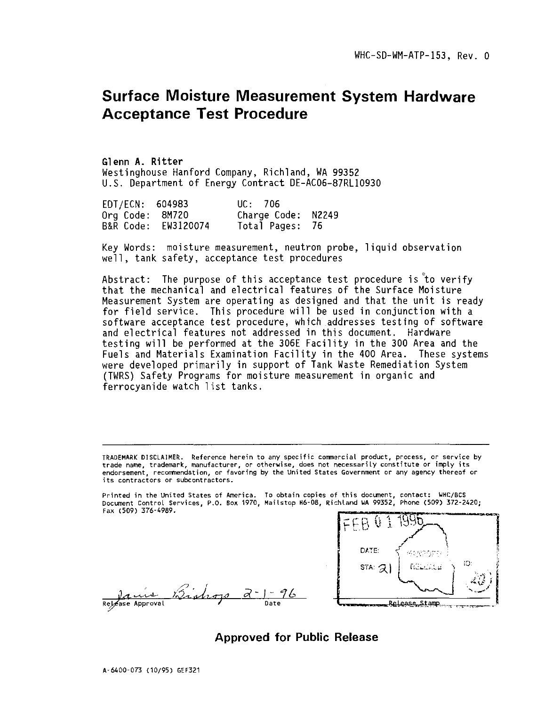# Surface Moisture Measurement System Hardware Acceptance Test Procedure

Glenn A. Ritter Westinghouse Hanford Company, Richland, WA 99352 U.S. Department of Energy Contract DE-AC06-87RL10930

| EDT/ECN: 604983 |                     | UC: 706            |  |
|-----------------|---------------------|--------------------|--|
| Org Code: 8M720 |                     | Charge Code: N2249 |  |
|                 | B&R Code: EW3120074 | Total Pages: 76    |  |

Key Words: moisture measurement, neutron probe, liquid observation well, tank safety, acceptance test procedures

Abstract: The purpose of this acceptance test procedure is to verify that the mechanical and electrical features of the Surface Moisture Measurement System are operating as designed and that the unit is ready for field service. This procedure will be used in conjunction with a software acceptance test procedure, which addresses testing of software and electrical features not addressed in this document. Hardware testing will be performed at the 306E Facility in the 300 Area and the Fuels and Materials Examination Facility in the 400 Area. These systems were developed primarily in support of Tank Waste Remediation System (TWRS) Safety Programs for moisture measurement in organic and ferrocyanide watch list tanks.

TRADEMARK DISCLAIMER. Reference herein to any specific commercial product, process, or service by trade name, trademark, manufacturer, or otherwise, does not necessarily constitute or imply its endorsement, recommendation, or favoring by the United States Government or any agency thereof or its contractors or subcontractors.

Printed in the United States of America. To obtain copies of this document, contact: UHC/BCS Document Control Services, P.O. Box 1970, Mailstop H6-08, Richland WA 99352, Phone (509) 372-2420; Fax (509) 376-4989.

Release Approval



Approved for Public Release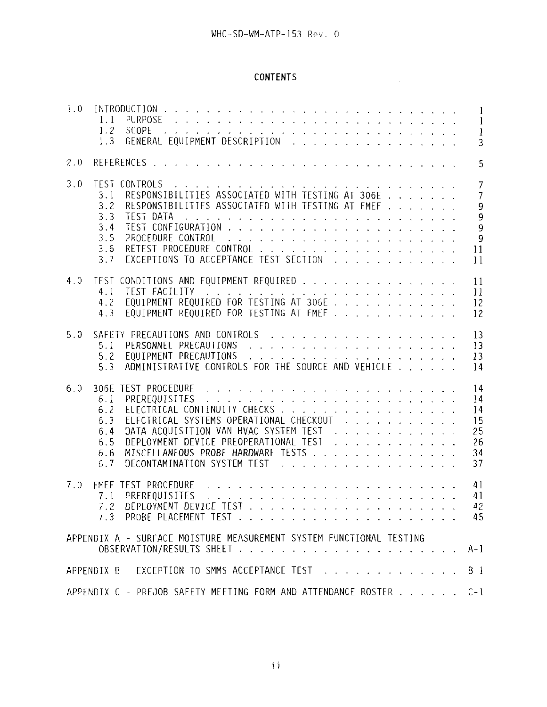# CONTENTS

 $\mathcal{L}^{\text{max}}_{\text{max}}$ 

| 1.0 | 1.1<br>1.2<br>1.3                                                                                                                                                                                                                                                                                                                                                                                                                                                                                                                                                                                        | $\mathbf{1}$<br>$\mathbf{1}$<br>$\mathbf{1}$<br>3                                                       |
|-----|----------------------------------------------------------------------------------------------------------------------------------------------------------------------------------------------------------------------------------------------------------------------------------------------------------------------------------------------------------------------------------------------------------------------------------------------------------------------------------------------------------------------------------------------------------------------------------------------------------|---------------------------------------------------------------------------------------------------------|
| 2.0 | and the company of the company of the company of the company of the company of the company of the company of the company of the company of the company of the company of the company of the company of the company of the comp<br>REFERENCES .                                                                                                                                                                                                                                                                                                                                                           | 5                                                                                                       |
| 3.0 | <u>di dedek di aladi da di di di seremu memerin da seremu seremu seremu seremu seremu seremu seremu seremu seremu</u><br><b>TEST</b><br>CONTROLS<br>RESPONSIBILITIES ASSOCIATED WITH TESTING AT 306E<br>3.1<br>RESPONSIBILITIES ASSOCIATED WITH TESTING AT FMEF<br>3.2<br><b>TEST DATA</b><br>3.3<br>and the contract of the contract of the contract of the contract of the contract of the contract of the contract of the contract of the contract of the contract of the contract of the contract of the contract of the contra<br>3.4<br>3.5<br>3.6<br>EXCEPTIONS TO ACCEPTANCE TEST SECTION<br>3.7 | $\overline{7}$<br>$\overline{7}$<br>9<br>$\overline{9}$<br>$\overline{9}$<br>$\overline{9}$<br>11<br>11 |
| 4.0 | CONDITIONS AND EQUIPMENT REQUIRED<br><b>TEST</b><br>TEST FACILITY<br>4.1<br>and the contract of the contract of the contract of the contract of the contract of the contract of the contract of the contract of the contract of the contract of the contract of the contract of the contract of the contra<br>EQUIPMENT REQUIRED FOR TESTING AT 306E<br>4.2<br>EQUIPMENT REQUIRED FOR TESTING AT FMEF<br>4.3                                                                                                                                                                                             | 11<br>11<br>12<br>12                                                                                    |
| 5.0 | 5.1<br>EQUIPMENT PRECAUTIONS<br>5.2<br>ADMINISTRATIVE CONTROLS FOR THE SOURCE AND VEHICLE<br>5.3                                                                                                                                                                                                                                                                                                                                                                                                                                                                                                         | 13<br>13<br>13<br>14                                                                                    |
| 6.0 | 306E<br>PREREQUISITES<br>6.1<br>ELECTRICAL CONTINUITY CHECKS<br>6.2<br>ELECTRICAL SYSTEMS OPERATIONAL CHECKOUT<br>6.3<br>DATA ACQUISITION VAN HVAC SYSTEM TEST<br>6.4<br>DEPLOYMENT DEVICE PREOPERATIONAL TEST<br>6.5<br>MISCELLANEOUS PROBE HARDWARE TESTS<br>6.6<br>DECONTAMINATION SYSTEM TEST<br>6.7                                                                                                                                                                                                                                                                                                 | 14<br>14<br>I <sub>4</sub><br>15<br>25<br>26<br>34<br>37                                                |
| 7.0 | المناطر المناطر المناطر المناطر المناطر المناطر المناطر المناطر المناطر المناطر المناطر المناطر المناطر<br>TEST PROCEDURE<br><b>FMFF</b><br>PREREQUISITES<br>7.1<br>.<br>الجانبة الجانبة الجانبة الجانبة الجانبة الجانبة الجانبة الجانبة الجانبة الجانبة الجانبة الجانبة الجانبة الجانب<br>$7.3 -$                                                                                                                                                                                                                                                                                                       | 41<br>41<br>42<br>45                                                                                    |
|     | APPENDIX A - SURFACE MOISTURE MEASUREMENT SYSTEM FUNCTIONAL TESTING                                                                                                                                                                                                                                                                                                                                                                                                                                                                                                                                      | $A-1$                                                                                                   |
|     | APPENDIX B - EXCEPTION TO SMMS ACCEPTANCE TEST                                                                                                                                                                                                                                                                                                                                                                                                                                                                                                                                                           | $B-1$                                                                                                   |
|     | APPENDIX C - PREJOB SAFETY MEETING FORM AND ATTENDANCE ROSTER                                                                                                                                                                                                                                                                                                                                                                                                                                                                                                                                            | $C-1$                                                                                                   |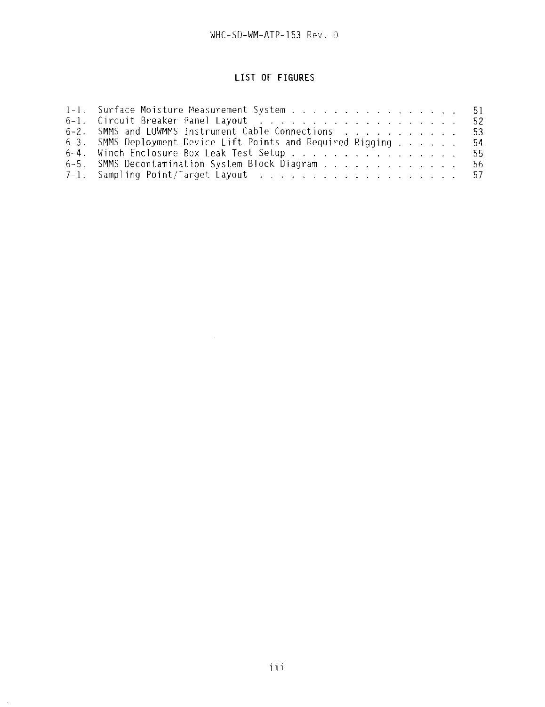# **LIST OF FIGURES**

| 1-1. Surface Moisture Measurement System 51                     |  |  |  |  |  |
|-----------------------------------------------------------------|--|--|--|--|--|
|                                                                 |  |  |  |  |  |
| 6-2. SMMS and LOWMMS Instrument Cable Connections 53            |  |  |  |  |  |
| 6-3. SMMS Deployment Device Lift Points and Required Rigging 54 |  |  |  |  |  |
| 6-4. Winch Enclosure Box Leak Test Setup 55                     |  |  |  |  |  |
| 6-5. SMMS Decontamination System Block Diagram 56               |  |  |  |  |  |
|                                                                 |  |  |  |  |  |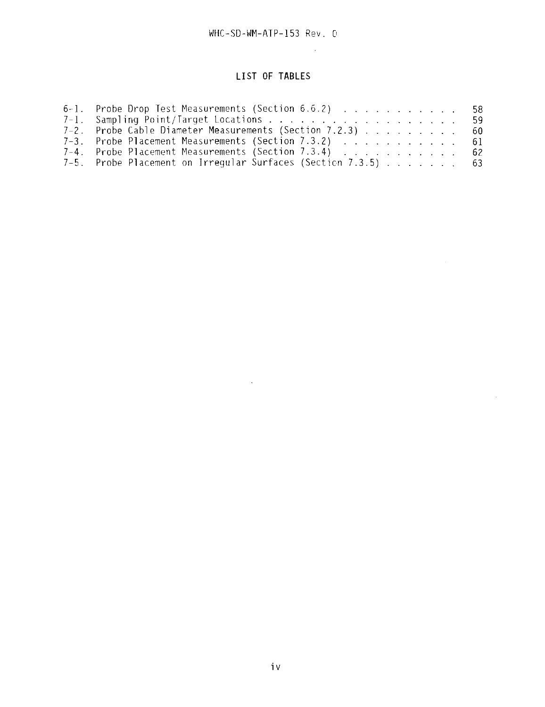$\sim 10^{-1}$ 

 $\mathcal{L}^{\text{max}}_{\text{max}}$ 

# **LIST OF TABLES**

| 6-1. Probe Drop Test Measurements (Section 6.6.2) 58          |  |
|---------------------------------------------------------------|--|
| 7-1. Sampling Point/Target Locations 59                       |  |
| 7-2. Probe Cable Diameter Measurements (Section 7.2.3) 60     |  |
| 7-3. Probe Placement Measurements (Section 7.3.2) $\ldots$ 61 |  |
| 7-4. Probe Placement Measurements (Section 7.3.4) 62          |  |
| 7-5. Probe Placement on Irregular Surfaces (Section 7.3.5) 63 |  |

 $\mathcal{L}(\mathcal{L}(\mathcal{L}(\mathcal{L}(\mathcal{L}(\mathcal{L}(\mathcal{L}(\mathcal{L}(\mathcal{L}(\mathcal{L}(\mathcal{L}(\mathcal{L}(\mathcal{L}(\mathcal{L}(\mathcal{L}(\mathcal{L}(\mathcal{L}(\mathcal{L}(\mathcal{L}(\mathcal{L}(\mathcal{L}(\mathcal{L}(\mathcal{L}(\mathcal{L}(\mathcal{L}(\mathcal{L}(\mathcal{L}(\mathcal{L}(\mathcal{L}(\mathcal{L}(\mathcal{L}(\mathcal{L}(\mathcal{L}(\mathcal{L}(\mathcal{L}(\mathcal{L}(\mathcal{$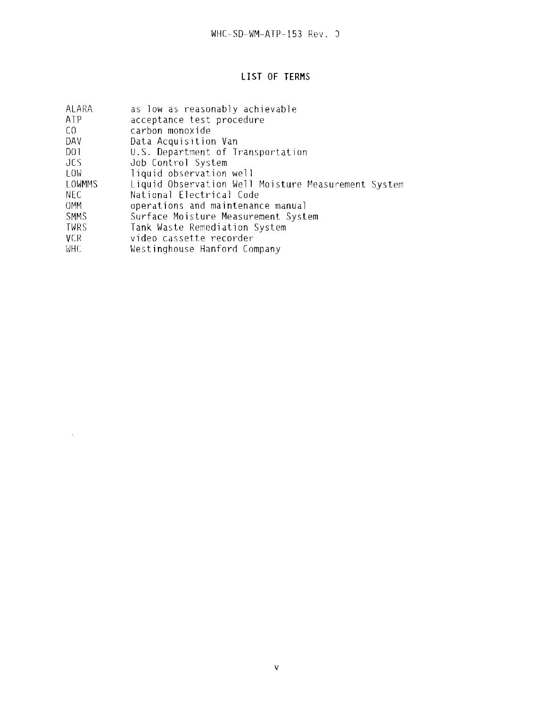# **LIST OF TERMS**

| ALARA      | as low as reasonably achievable                     |
|------------|-----------------------------------------------------|
| ATP        | acceptance test procedure                           |
| CO.        | carbon monoxide                                     |
| DAV        | Data Acquisition Van                                |
| DOT.       | U.S. Department of Transportation                   |
| JCS.       | Job Control System                                  |
| LOW.       | liquid observation well                             |
| LOWMMS     | Liquid Observation Well Moisture Measurement System |
| NEC.       | National Electrical Code                            |
| <b>OMM</b> | operations and maintenance manual                   |
| SMMS       | Surface Moisture Measurement System                 |
| TWRS       | Tank Waste Remediation System                       |
| VCR        | video cassette recorder                             |
| WHC.       | Westinghouse Hanford Company                        |

 $\label{eq:2} \frac{1}{2} \int_{\mathbb{R}^3} \frac{1}{\sqrt{2}} \, \frac{1}{\sqrt{2}} \, \frac{1}{\sqrt{2}} \, \frac{1}{\sqrt{2}} \, \frac{1}{\sqrt{2}} \, \frac{1}{\sqrt{2}} \, \frac{1}{\sqrt{2}} \, \frac{1}{\sqrt{2}} \, \frac{1}{\sqrt{2}} \, \frac{1}{\sqrt{2}} \, \frac{1}{\sqrt{2}} \, \frac{1}{\sqrt{2}} \, \frac{1}{\sqrt{2}} \, \frac{1}{\sqrt{2}} \, \frac{1}{\sqrt{2}} \, \frac{1}{\sqrt{2}} \, \frac$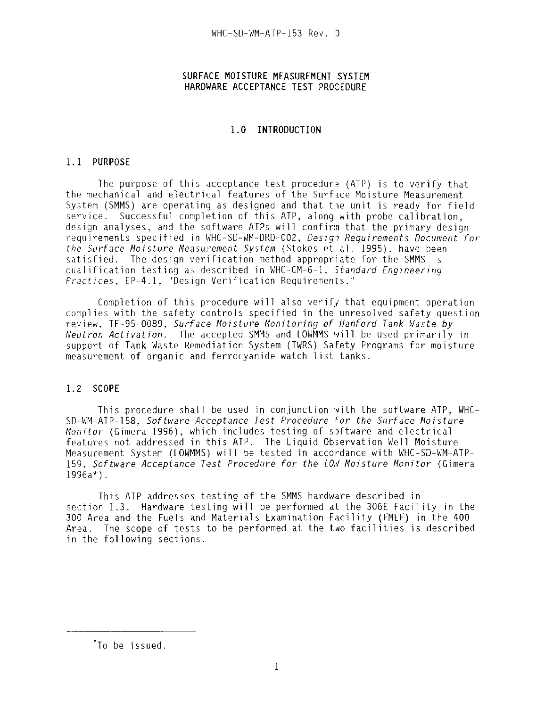### **SURFACE MOISTURE MEASUREMENT SYSTEM HARDWARE ACCEPTANCE TEST PROCEDURE**

#### **1.0 INTRODUCTION**

#### 1.1 **PURPOSE**

The purpose of this acceptance test procedure (ATP) is to verify that the mechanical and electrical features of the Surface Moisture Measurement System (SMMS) are operating as designed and that the unit is ready for field service. Successful completion of this ATP, along with probe calibration, design analyses, and the software ATPs will confirm that the primary design requirements specified in WHC-SD-WM-DRD-002, Design Requirements Document for the Surface Moisture Measurement System (Stokes et al. 1995), have been satisfied. The design verification method appropriate for the SMMS is qualification testing as described in WHC-CM-6-1, Standard Engineering Practices, EP-4.1, "Design Verification Requirements."

Completion of this procedure will also verify that equipment operation complies with the safety controls specified in the unresolved safety question review. TF-95-0089, Surface Moisture Monitoring of Hanford Tank Maste by Neutron Activation. The accepted SMMS and LOWMMS will be used primarily in support of Tank Waste Remediation System (TWRS) Safety Programs for moisture measurement of organic and ferrocyanide watch list tanks.

# **1.2 SCOPE**

This procedure shall be used in conjunction with the software ATP, WHC-SD-WM-ATP-158, Software Acceptance Test Procedure for the Surface Moisture Monitor (Gimera 1996), which includes testing of software and electrical features not addressed in this ATP. The Liquid Observation Well Moisture Measurement System (LOWMMS) will be tested in accordance with WHC-SD-WM-ATP-159. Software Acceptance Test Procedure for the LOW Moisture Monitor (Gimera  $1996a*$ .

This ATP addresses testing of the SMMS hardware described in section 1.3. Hardware testing will be performed at the 306E Facility in the 300 Area and the Fuels and Materials Examination Facility (FMEF) in the 400 Area. The scope of tests to be performed at the two facilities is described in the following sections.

To be issued.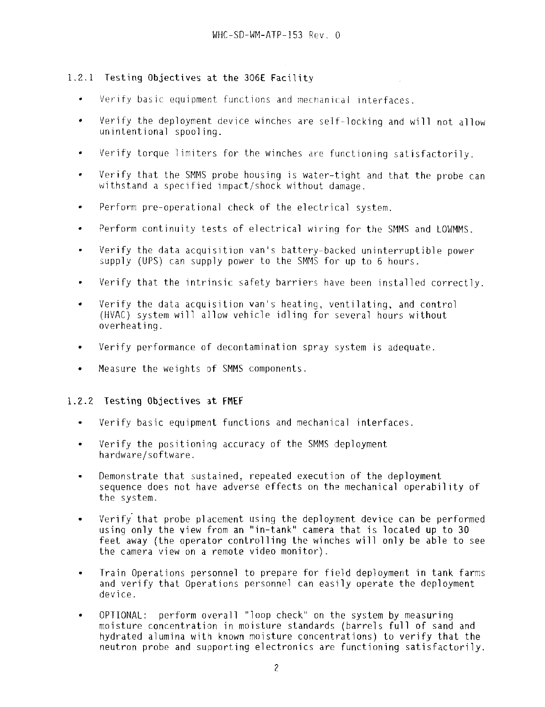# 1.2.1 Testing Objectives at the 306E Facility

- Verify basic equipment functions and mechanical interfaces.
- Verify the deployment device winches are self-locking and will not allow  $\bullet$ unintentional spool ing.
- Verify torque limiters for the winches are functioning satisfactorily.
- Verify that the SMMS probe housing is water-tight and that the probe can withstand a specified impact/shock without damage.
- Perform pre-operational check of the electrical system.  $\bullet$
- Perform continuity tests of electrical wiring for the SMMS and LOWMMS.  $\blacksquare$
- Verify the data acquisition van's battery-backed uninterruptible power supply (UPS) can supply power to the SMMS for up to 6 hours.
- Verify that the intrinsic safety barriers have been installed correctly.  $\bullet$
- Verify the data acquisition van's heating, ventilating, and control  $\blacksquare$ (HVAC) system will allow vehicle idling for several hours without overheating.
- Verify performance of decontamination spray system is adequate.
- Measure the weights of SMHS components.

# 1.2.2 **Testing Objectives at FMEF**

- $\bullet$ Verify basic equipment functions and mechanical interfaces.
- Verify the positioning accuracy of the SMMS deployment  $\bullet$ hardware/software.
- Demonstrate that sustained, repeated execution of the deployment sequence does not have adverse effects on the mechanical operability of the system.
- Verify that probe placement using the deployment device can be performed using only the view from an "in-tank" camera that is located up to 30 feet away (the operator controlling the winches will only be **able** to see the camera view on a remote video monitor).
- Train Operations personnel to prepare for field deployment in tank farms  $\bullet$ and verify that Operations personnel can easily operate the deployment device.
- OPTIONAL: perform overall "loop check" on the system by measuring moisture concentration in moisture standards (barrels **full** of sand and hydrated alumina with known moisture concentrations) to verify that the neutron probe and supporting electronics are functioning satisfactorily.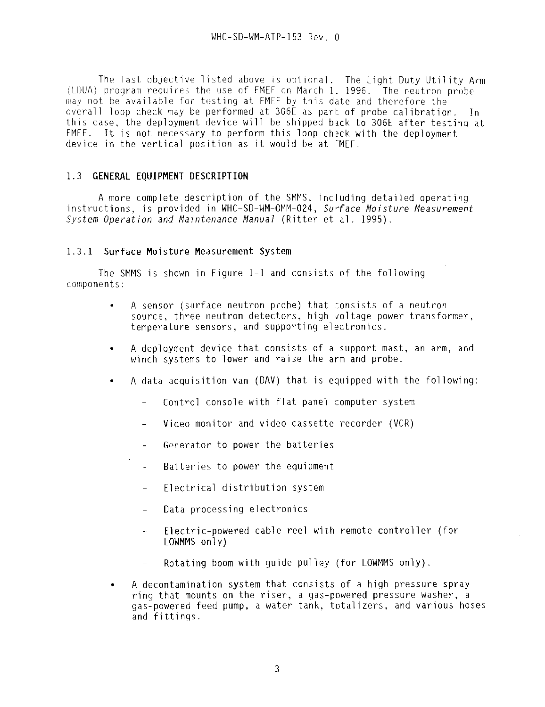The last objective listed above is optional. The Light Duty Utility Arm (LDUA) program requires the use of FMEF on March 1. 1996. The neutron probe may not be available for testing at FMEF by this date and therefore the overall loop check may be performed at 306E as part of probe calibration. In this case, the deployment device will be shipped back to 306E after testing at FMEF. It is not necessary to perform this loop check with the deployment device in the vertical position as it would be at FMEF.

# 1.3 **GENERAL EQUIPMENT DESCRIPTION**

A more complete description of the SMMS, including detailed operating instructions, is provided in WHC-SD-WM-OMM-024, Surface Moisture Measurement System Operation and Maintenance Manual (Ritter et al. 1995).

# 1.3.1 Surface Moisture **Measurement** System

The SMMS is shown in Figure 1-1 and consists of the following components:

- A sensor (surface neutron probe) that consists of a neutron source, three neutron detectors, high voltage power transformer, temperature sensors, and supporting electronics.
- A deployment device that consists of a support mast, an arm, and winch systems to lower and raise the arm and probe.
- A data acquisition van (DAV) that is equipped with the following:
	- $\mathbf{r}$ Control console with flat panel computer system
	- Video monitor and video cassette recorder (VCR)
	- Generator to power the batteries  $\Delta \omega$  .
	- Batteries to power the equipment  $\mathbf{u}$
	- Electrical distribution system  $\overline{a}$
	- Data processing electronics
	- Electric-powered cable reel with remote controller (for  $\overline{\phantom{a}}$ LOWMMS only)
	- Rotating boom with guide pulley (for LOWMMS only).  $\equiv$
- A decontamination system that consists of a high pressure spray ring that mounts on the riser, a gas-powered pressure washer, a gas-powered feed pump, a water tank, totalizers, and various hoses and fittings.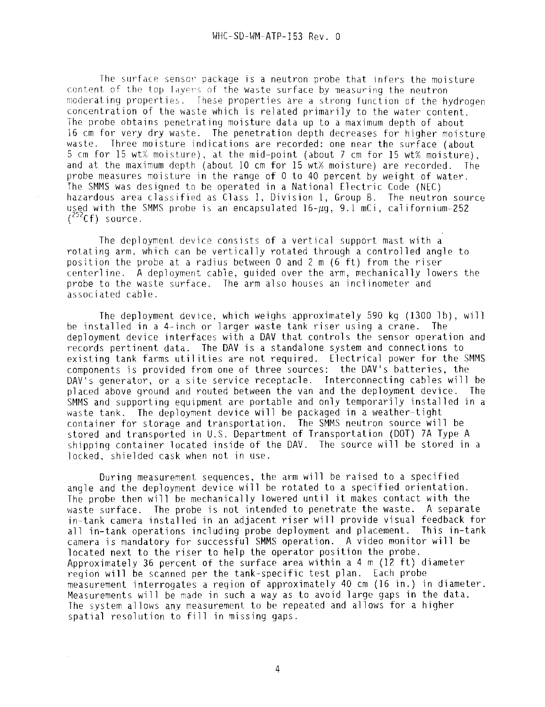The surface sensor package is a neutron probe that infers the moisture content of the top layers of the waste surface by measuring the neutron moderating properties. Ihese properties are a strong function of the hydrogen concentration of the waste which is related primarily to the water content. The probe obtains penetrating moisture data up to a maximum depth of about 16 cm for very dry waste. The penetration depth decreases for higher moisture waste. Three moisture indications are recorded: one near the surface (about 5 cm for 15 wt% moisture), at the mid-point (about 7 cm for 15 wt% moisture), and at the maximum depth (about 10 cm for 15 wt% moisture) are recorded. The probe measures moisture in the range of 0 to 40 percent by weight of water. The SMMS was designed to be operated in a National Electric Code (NEC) hazardous area classified as Class I, Division 1, Group B. The neutron source used with the SMMS probe is an encapsulated  $16-\mu q$ , 9.1 mCi, californium-252  $\sqrt[252]{c}f$ ) source.

The deployment device consists of a vertical support mast with a rotating arm, which can be vertically rotated through a controlled angle to position the probe at a radius between 0 and 2 m (6 ft) from the riser centerline. A deployment cable, guided over the arm, mechanically lowers the probe to the waste surface. The arm also houses an inclinometer and associated cable.

The deployment device, which weighs approximately 590 kg (1300 1b), will be installed in a 4-inch or larger waste tank riser using a crane. The deployment device interfaces with a DAV that controls the sensor operation and records pertinent data. The DAV is a standalone system and connections to existing tank farms utilities are not required. Electrical power for the SMMS components is provided from one of three sources: the DAV's batteries, the DAV's generator, or a site service receptacle. Interconnecting cables will be placed above ground and routed between the van and the deployment device. The SMMS and supporting equipment are portable and only temporarily installed in a waste tank. The deployment device will be packaged in a weather-tight container for storage and transportation. The SMMS neutron source will be stored and transported in U.S. Department of Transportation (DOT) 7A Type A shipping container located inside of the DAV. The source will be stored in a locked, shielded cask when not in use.

During measurement sequences, the arm will be raised to a specified angle and the deployment device will be rotated to a specified orientation. The probe then will be mechanically lowered until it makes contact with the waste surface. The probe is not intended to penetrate the waste. A separate in-tank camera installed in an adjacent riser will provide visual feedback for all in-tank operations including probe deployment and placement. This in-tank camera is mandatory for successful SMMS operation. A video monitor will be located next to the riser to help the operator position the probe. Approximately 36 percent of the surface area within a 4 m (12 ft) diameter region will be scanned per the tank-specific test plan. Each probe measurement interrogates a region of approximately 40 cm (16 in.) in diameter. Measurements will be made in such a way as to avoid large gaps in the data. The system allows any measurement to be repeated and allows for a higher spatial resolution to fill in missing gaps.

 $\sim$ 

 $\mathcal{L}^{\text{c}}(\mathcal{A})$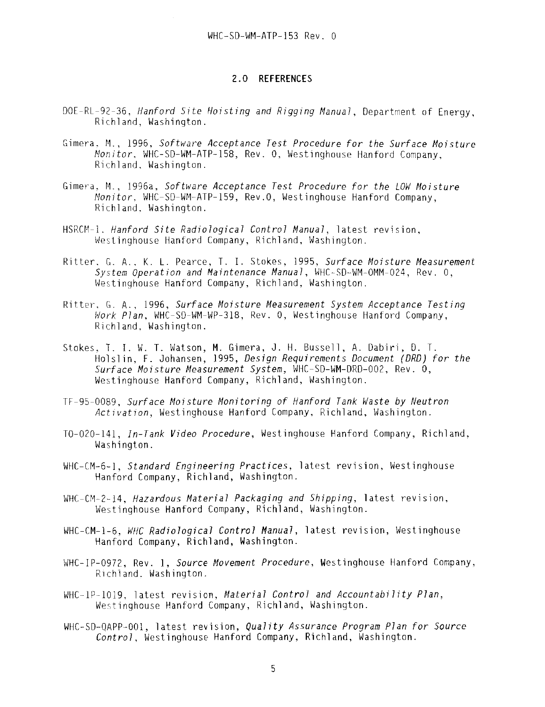#### 2.0 REFERENCES

- DOE-RL-92-36, Hanford Site Hoisting and Rigging Manual, Department of Energy, Richland, Washington.
- Gimera, M., 1996, Software Acceptance Test Procedure for the Surface Moisture Monitor, WHC-SD-WM-ATP-158, Rev. 0, Westinghouse Hanford Company, Richland, Washington.
- Gimera, M., 1996a, Software Acceptance Test Procedure for the LOW Moisture Monitor, WHC-SD-WM-ATP-159, Rev.O, Westinghouse Hanford Company, Richland, Washington.
- HSRCM-1. Hanford Site Radiological Control Manual, latest revision, Westinghouse Hanford Company, Richland, Washington.
- Ritter, G. A., K. L. Pearce, T. 1. Stokes, 1995, Surface Moisture Measurement System Operation and Maintenance Manual, WHC-SD-WM-OMM-024, Rev. 0, Westinghouse Hanford Company, Richland, Washington.
- Ritter, G. A., 1996, Surface Moisture Measurement System Acceptance Testing Work Plan, WHC-SD-WM-WP-318, Rev. 0, Westinghouse Hanford Company, Richland, Washington.
- Stokes, T. I. W. T. Watson, M. Gimera, J. H. Bussell, A. Dabiri, D. T. Holslin, F. Johansen, 1995, Design Requirements Document (DRD) for the Surface Moisture Measurement System, WHC-SD-WM-DRD-002, Rev. 0, Westinghouse Hanford Company, Richland, Washington.
- TF-95-0089, Surface Moisture Monitoring of Hanford Tank Waste by Neutron Activation, Westinghouse Hanford Company, Richland, Washington.
- T0-020-141, In-Tank Video Procedure, Westinghouse Hanford Company, Richland, Washington.
- WHC-CM-6-1, Standard Engineering Practices, latest revision, Westinghouse Hanford Company, Richland, Washington.
- WHC-CM-2-14, Hazardous Material Packaging and Shipping, latest revision, Westinghouse Hanford Company, Richland, Washington.
- WHC-CM-1-6, WHC Radiological Control Manual, latest revision, Westinghouse Hanford Company, Richland, Washington.
- WHC-IP-0972, Rev. 1, Source Movement Procedure, Westinghouse Hanford Company, Richland. Washington.
- $WHC-1P-1019$ , latest revision, Material Control and Accountability Plan, Westinghouse Hanford Company, Richland, Washington.
- WHC-SD-QAPP-001, latest revision, Quality Assurance Program Plan for Source Control, Westinghouse Hanford Company, Richland, Washington.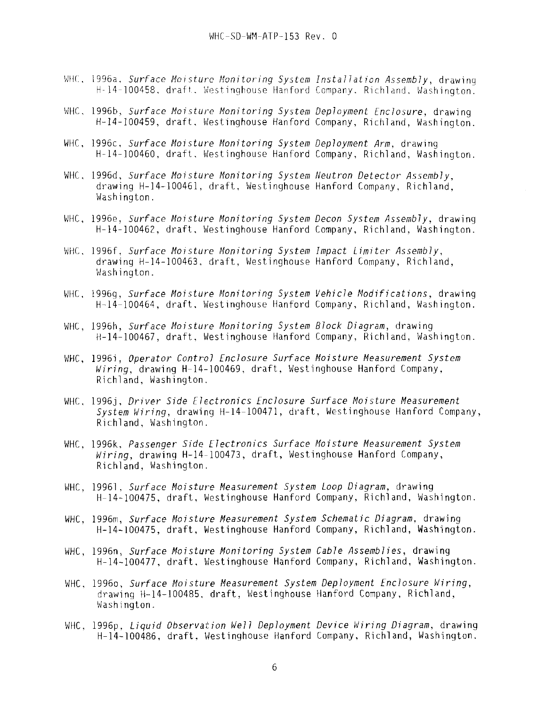- WHC. 1996a, Surface Moisture Monitoring System Installation Assembly, drawing H-14-100458, draft, Westinghouse Hanford Company, Richland, Washington.
- WHC, 1996b, Surface Moisture Monitoring System Deployment Enclosure, drawing H-14-100459, draft, Westinghouse Hanford Company, Richland, Washington.
- WHC, 1996c, Surface Moisture Monitoring System Deployment Arm, drawing H-14-100460, draft, Westinghouse Hanford Company, Richland, Washington.
- WHC, 1996d, Surface Moisture Monitoring System Neutron Detector Assembly, drawing H-14-100461, draft, Westinghouse Hanford Company, Richland, Washington.
- WHC, 1996e, Surface Moisture Monitoring System Decon System Assembly, drawing H-14-100462, draft, Westinghouse Hanford Company, Richland, Washington.
- WHC, 1996f, Surface Moisture Monitoring System Impact Limiter Assembly, drawing H-14-100463, draft, Westinghouse Hanford Company, Richland, Washington.
- WHC, 1996g, Surface Moisture Monitoring System Vehicle Modifications, drawing H-14-100464, draft, Westinghouse Hanford Company, Richland, Washington.
- WHC, 1996h, Surface Moisture Monitoring System Block Diagram, drawing H-14-100467, draft, Westinghouse Hanford Company, Richland, Washington.
- WHC, 1996i, Operator Control Enclosure Surface Moisture Measurement System Miring, drawing H-14-100469, draft, Westinghouse Hanford Company, Richland, Washington.
- WHC, 1996j, Driver Side Electronics Enclosure Surface Moisture Measurement System Wiring, drawing H-14-100471, draft, Westinghouse Hanford Company, Richland, Washington.
- WHC, 1996k, Passenger Side Electronics Surface Moisture Measurement System Wiring, drawing H-14-100473, draft, Westinghouse Hanford Company, Richland, Washington.
- WHC, 19961, Surface Moisture Measurement System Loop Diagram, drawing H-14-100475, draft, Westinghouse Hanford Company, Richland, Washington.
- WHC, 1996m, Surface Moisture Measurement System Schematic Diagram, drawing H-14-100475, draft, Westinghouse Hanford Company, Richland, Washington.
- WHC, 1996n, Surface Moisture Monitoring System Cable Assemblies, drawing H-14-100477, draft, Westinghouse Hanford Company, Richland, Washington.
- WHC, 1996o, Surface Moisture Measurement System Deployment Enclosure Wiring, drawing H-14-100485, draft, Westinghouse Hanford Company, Richland, Washington.
- WHC, 1996p. Liquid Observation Well Deployment Device Wiring Diagram, drawing H-14-100486, draft, Westinghouse Hanford Company, Richland, Washington.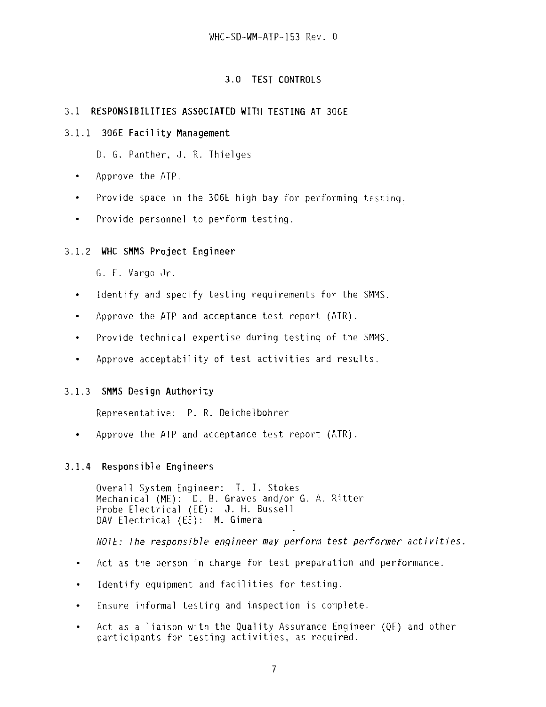# **3.0 TEST CONTROLS**

# **3.1 RESPONSIBILITIES ASSOCIATED WITH TESTING AT 306E**

# **3.1.1 306E Facility Management**

D. G. Panther, J. R. Thielges

- Approve the ATP.  $\bullet$
- Provide space in the 306E high bay for performing testing.  $\bullet$
- Provide personnel to perform testing.  $\bullet$

# 3.1.2 **WHC SMMS Project Engineer**

G. F. Vargo Jr.

- \* Identify and specify testing requirements for the SMMS.
- Approve the ATP and acceptance test report (ATR).  $\bullet$
- Provide technical expertise during testing of the SMMS.  $\bullet$
- Approve acceptability of test activities and results.  $\bullet$

# 3.1.3 **SMMS Design Authority**

Representative: P. R. Deichelbohrer

• Approve the ATP and acceptance test report (ATR).

# **3.1.4 Responsible Engineers**

Overall System Engineer: T. I. Stokes Mechanical (ME): D. B. Graves and/or G. A. Ritter Probe Electrical (EE): J. H. Bussell DAV Electrical (EE): M. Gimera

NOTE: The responsible engineer **may** perform test performer activities

- Act as the person in charge for test preparation and performance.  $\bullet$
- Identify equipment and facilities for testing.  $\bullet$
- Ensure informal testing and inspection is complete.  $\bullet$
- Act as a liaison with the Quality Assurance Engineer (QE) and other  $\bullet$ participants for testing activities, as required.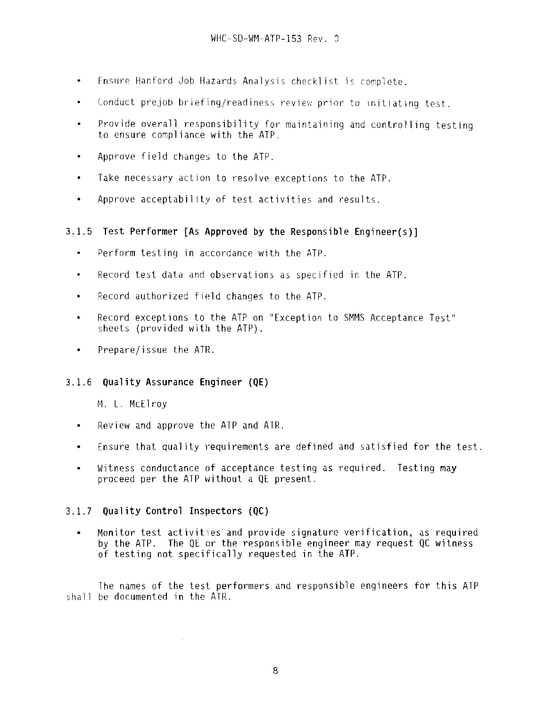- Fnsure Hanford Job Hazards Analysis checklist is complete.  $\bullet$
- Conduct prejob briefing/readiness review prior to initiating test.  $\bullet$
- Provide overall responsibility for maintaining and controlling testing to ensure compliance with the ATP.
- Approve field changes to the ATP.  $\bullet$
- $\bullet$ Take necessary action to resolve exceptions to the ATP.
- Approve acceptability of test activities and results.

# **3.1.5 Test Performer [As Approved by the Responsible Engineer(s)]**

- $\bullet$ Perform testing in accordance with the ATP.
- Record test data and observations as specified in the ATP.  $\bullet$
- Record authorized field changes to the ATP.  $\bullet$
- Record exceptions to the ATP on "Exception to SMMS Acceptance Test"  $\blacksquare$ sheets {provided with the ATP).
- Prepare/issue the ATR.

# 3.1.6 **Quality Assurance Engineer (QE)**

M. L. McElroy

- Review and approve the ATP and ATR.
- Ensure that quality requirements are defined and satisfied for the test.  $\bullet$
- Witness conductance of acceptance testing as required. Testing may  $\bullet$ proceed per the ATP without a QE present.

# 3.1.7 **Quality Control Inspectors (QC)**

 $\bar{\mathcal{A}}$ 

• Monitor test activities and provide signature verification, as required by the ATP. The QE or the responsible engineer may request QC witness of testing not specifically requested in the ATP.

The names of the test performers and responsible engineers for this ATP shall be documented in the ATR.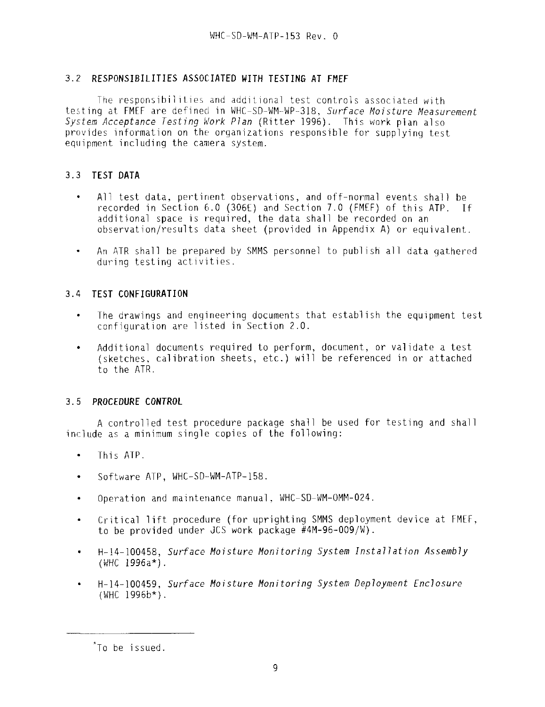# 3.2 **RESPONSIBILITIES ASSOCIATED WITH TESTING AT FMEF**

The responsibilities and additional test controls associated with testing at FMFF are defined in WHC-SD-WM-WP-318, Surface Moisture Measurement System Acceptance Testing Work Plan (Ritter 1996). This work plan also provides information on the organizations responsible for supplying test equipment including the camera system.

# 3.3 **TEST DATA**

- All test data, pertinent observations, and off-normal events shall be  $\bullet$ recorded in Section 6.0 (306E) and Section 7.0 (FMEF) of this ATP. If additional space is required, the data shall be recorded on an observation/results data sheet (provided in Appendix A) or equivalent.
- An ATR shall be prepared by SMMS personnel to publish all data gathered  $\bullet$ during testing activities.

# 3.4 **TEST CONFIGURATION**

- The drawings and engineering documents that establish the equipment test  $\bullet$ configuration are listed in Section 2.0.
- Additional documents required to perform, document, or validate a test  $\bullet$ (sketches, calibration sheets, etc.) will be referenced in or attached to the ATR.

# 3.5 **PROCEDURE CONTROL**

A controlled test procedure package shall be used for testing and shall include as a minimum single copies of the following:

- $\bullet$ This ATP.
- Software ATP, WHC-SD-WM-ATP-158.
- Operation and maintenance manual, WHC-SD-WM-OMM-024.
- Critical lift procedure (for uprighting SMMS deployment device at FMEF, to be provided under JCS work package #4M-96-009/W).
- H-14-100458, Surface Moisture Monitoring System Installation Assembly  $\bullet$ (WHC 1996a\*).
- H-14-100459, Surface Moisture Monitoring System Deployment Enclosure (WHC 1996b\*).

To be issued.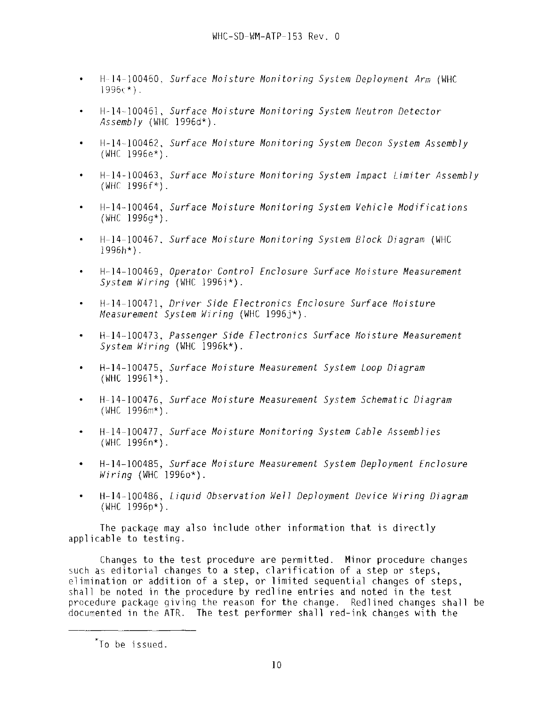- H-14-100460. Surface Moisture Monitoring System Deployment Arm (WHC 1996c\*).
- **H-14-100461**, Surface Moisture Monitoring System Neutron Detector  $Assemblv$  (WHC 1996d\*).
- H-14-100462, Surface Moisture Monitoring System Decon System Assembly (WHC 1996e\*).
- H-14-100463, Surface Moisture Monitoring System Impact Limiter Assembly  $(WHC 1996f*)$ .
- **H-14-100464**, Surface Moisture Monitoring System Vehicle Modifications (WHC 1996g\*).
- H-14-100467, Surface Moisture Monitoring System Block Diagram (WHC 1996h\*).
- H-14-100469, Operator Control Enclosure Surface Moisture Measurement System Wiring (WHC 1996i\*).
- $\bullet$ **H-14-10047**1, Driver Side Electronics Enclosure Surface Moisture Measurement System Wiring (WHC 1996 $\rightarrow$ ).
- **H-14-**100473, Passenger Side Electronics Surface Moisture Measurement System Wiring (WHC 1996k\*).
- H-14-100475, Surface Moisture Measurement System Loop Diagram  $(WHC 19961*)$ .
- H-14-100476, Surface Moisture Measurement System Schematic Diagram (WHC 1996m\*).
- **H-14-100477**, Surface Moisture Monitoring System Cable Assemblies (WHC 1996n\*).
- **H-14-100485**, Surface Moisture Measurement System Deployment Enclosure Wiring (WHC 1996o\*).
- H-14-100486, Liquid Observation Well Deployment Device Wiring Diagram (WHC 1996p\*).

The package may also include other information that is directly applicable to testing.

Changes to the test procedure are permitted. Minor procedure changes such as editorial changes to a step, clarification of a step or steps, elimination or addition of a step, or limited sequential changes of steps, shall be noted in the procedure by redline entries and noted in the test procedure package giving the reason for the change. Redlined changes shall be documented in the ATR. The test performer shall red-ink changes with the

To be issued.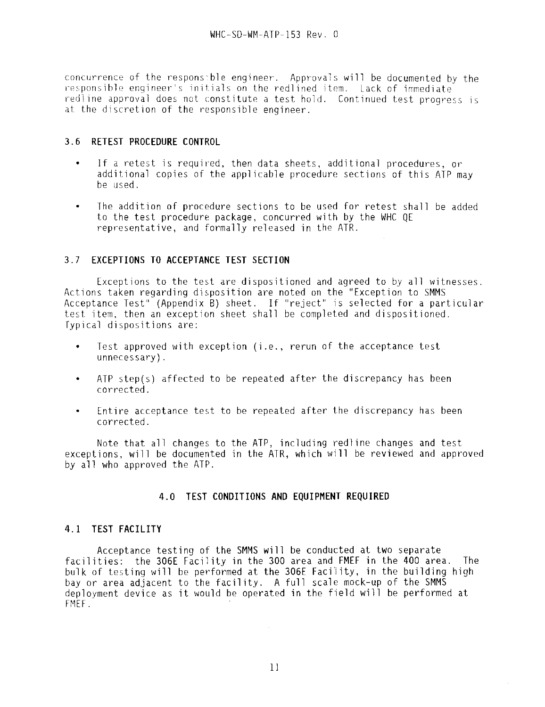concurrence of the responsible engineer. Approvals will be documented by the responsible engineer's initials on the redlined item. Lack of immediate redline approval does not constitute a test hold. Continued test progress is at the discretion of the responsible engineer.

# 3.6 **RETEST PROCEDURE CONTROL**

- If a retest is required, then data sheets, additional procedures, or  $\bullet$ additional copies of the applicable procedure sections of this ATP may be used.
- The addition of procedure sections to be used for retest shall be added to the test procedure package, concurred with by the WHC QE representative, and formally released in the ATR.

# 3.7 **EXCEPTIONS TO ACCEPTANCE TEST SECTION**

Exceptions to the test are dispositioned and agreed to by all witnesses. Actions taken regarding disposition are noted on the "Exception to SMMS Acceptance Test" (Appendix B) sheet. If "reject" is selected for a particular test item, then an exception sheet shall be completed and dispositioned. Typical dispositions are:

- Test approved with exception (i.e., rerun of the acceptance test  $\bullet$ unnecessary).
- ATP step(s) affected to be repeated after the discrepancy has been  $\bullet$ corrected.
- Entire acceptance test to be repeated after the discrepancy has been corrected.

Note that all changes to the ATP, including redline changes and test exceptions, will be documented in the ATR, which will be reviewed and approved by all who approved the ATP.

# **4.0 TEST CONDITIONS AND EQUIPMENT REQUIRED**

# **4.1 TEST FACILITY**

Acceptance testing of the SMMS will be conducted at two separate facilities: the 306E Facility in the 300 area and FMEF in the 400 area. The bulk of testing will be performed at the 306E Facility, in the building high bay or area adjacent to the facility. A full scale mock-up of the SMMS deployment device as it would be operated in the field will be performed at FMEF.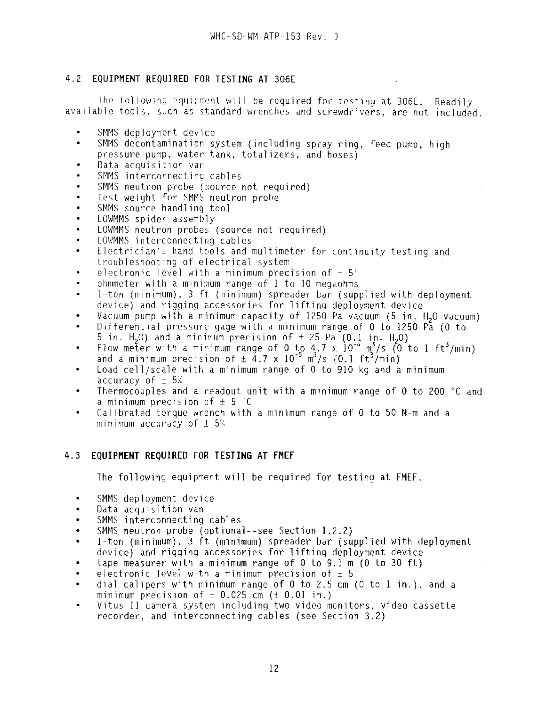# 4.2 **EQUIPMENT REQUIRED FOR TESTING AT 306E**

Ihe following equipment will be required for testing at 3O6E. Readily available tools, such as standard wrenches and screwdrivers, are not included.

- SMMS deployment device
- SMMS decontamination system (including spray ring, feed pump, high  $\bullet$ pressure pump, water tank, totalizers, and hoses)
- Data acquisition van
- SMMS interconnecting cables
- SMMS neutron probe (source not required)
- Test weight for SMMS neutron probe
- SMMS source handling tool
- LOWMMS spider assembly
- tOWMMS neutron probes (source not required)
- LOWMMS interconnecting cables
- Electrician's hand tools and multimeter for continuity testing and  $\bullet$ troubleshooting of electrical system
- electronic level with a minimum precision of  $\pm$  5°
- ohmmeter with a minimum range of 1 to 10 megaohms
- 1-ton (minimum), 3 ft (minimum) spreader bar (supplied with deployment  $\ddot{\phantom{a}}$ device) and rigging accessories for lifting deployment device
- Vacuum pump with a minimum capacity of 1250 Pa vacuum (5 in. H2O vacuum)
- Differential pressure gage with a minimum range of 0 to 1250  $P_a$  (0 to 5 in. H<sub>2</sub>O) and a minimum precision of  $\pm$  25 Pa (0.1 in. H<sub>2</sub>O)
- Flow meter with a mirimum range of 0 to 4.7 x  $10^{-4}$  m<sup>3</sup>/s (0 to 1 ft<sup>3</sup>/min) and a minimum precision of  $\pm$  4.7 x 10<sup>-5</sup> m<sup>3</sup>/s (0.1 ft<sup>3</sup>/min)
- Load cell/scale with a minimum range of 0 to 910 kg and a minimum accuracy of  $\pm$  5%
- Thermocouples and a readout unit with a minimum range of 0 to 200 °C and a minimum precision of  $\pm$  5  $^{\circ}$ C
- Calibrated torque wrench with a minimum range of 0 to 50 N-m and a minimum accuracy of  $\pm$  5%

# 4.3 **EQUIPMENT REQUIRED FOR TESTING AT FMEF**

The following equipment will be required for testing at FMEF.

- SMMS deployment device
- Data acquisition van
- SMMS interconnecting cables  $\bullet$
- SMMS neutron probe (optional—see Section 1.2.2)
- 1-ton (minimum), 3 ft (minimum) spreader bar (supplied with deployment device) and rigging accessories for lifting deployment device
- tape measurer with a minimum range of  $0$  to  $9.1$  m ( $0$  to  $30$  ft)
- electronic level with a minimum precision of  $\pm$  5°
- dial calipers with minimum range of 0 to 2.5 cm (0 to 1 in.), and a minimum precision of  $\pm$  0.025 cm ( $\pm$  0.01 in.)
- $\bullet$ Vitus II camera system including two video monitors, video cassette recorder, and interconnecting cables (see Section 3.2)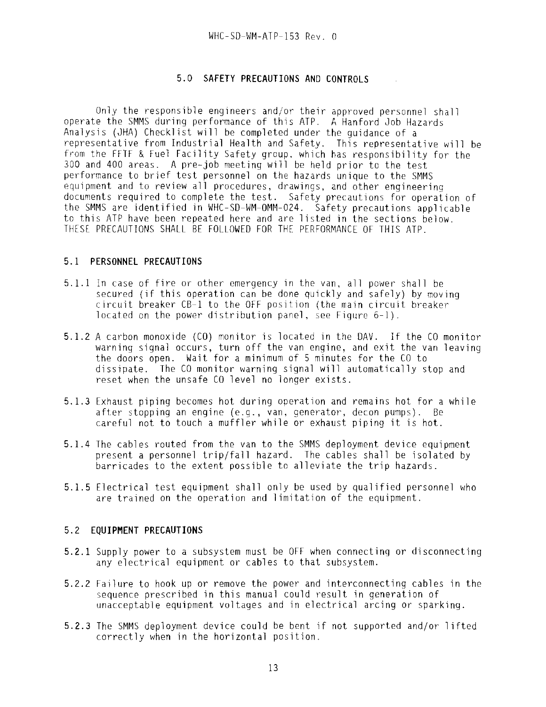### 5.0 **SAFETY PRECAUTIONS AND CONTROLS**

Only the responsible engineers and/or their approved personnel shall operate the SMMS during performance of this ATP. A Hanford Job Hazards Analysis (JHA) Checklist will be completed under the guidance of a representative from Industrial Health and Safety. This representative will be from the FFTF & Fuel Facility Safety group, which has responsibility for the 300 and 400 areas. A pre-job meeting will be held prior to the test performance to brief test personnel on the hazards unique to the SMMS equipment and to review all procedures, drawings, and other engineering documents required to complete the test. Safety precautions for operation of the SMMS are identified in WHC-SD-WM-OMM-024. Safety precautions applicable to this ATP have been repeated here and are listed in the sections below. THESE PRECAUTIONS SHALL BE FOLLOWED FOR THE PERFORMANCE OF THIS ATP.

#### 5.1 **PERSONNEL PRECAUTIONS**

- **5.1.1** In case of fire or other emergency in the van, all power shall be secured (if this operation can be done quickly and safely) by moving circuit breaker CB-1 to the OFF position (the main circuit breaker located on the power distribution panel, see Figure 6-1).
- 5.1.2 A carbon monoxide (CO) monitor is located in the DAV. If the CO monitor warning signal occurs, turn off the van engine, and exit the van leaving the doors open. Wait for a minimum of 5 minutes for the CO to dissipate. The CO monitor warning signal will automatically stop and reset when the unsafe CO level no longer exists.
- 5.1.3 Exhaust piping becomes hot during operation and remains hot for a while after stopping an engine (e.g., van, generator, decon pumps). Be careful not to touch a muffler while or exhaust piping it is hot.
- 5.1.4 The cables routed from the van to the SMMS deployment device equipment present a personnel trip/fall hazard. The cables shall be isolated by barricades to the extent possible to alleviate the trip hazards.
- 5.1.5 Electrical test equipment shall only be used by qualified personnel who are trained on the operation and limitation of the equipment.

#### 5.2 **EQUIPMENT PRECAUTIONS**

- 5.2.1 Supply power to a subsystem must be OFF when connecting or disconnecting any electrical equipment or cables to that subsystem.
- 5.2.2 Failure to hook up or remove the power and interconnecting cables in the sequence prescribed in this manual could result in generation of unacceptable equipment voltages and in electrical arcing or sparking.
- 5.2.3 The SMMS deployment device could be bent if not supported and/or lifted correctly when in the horizontal position.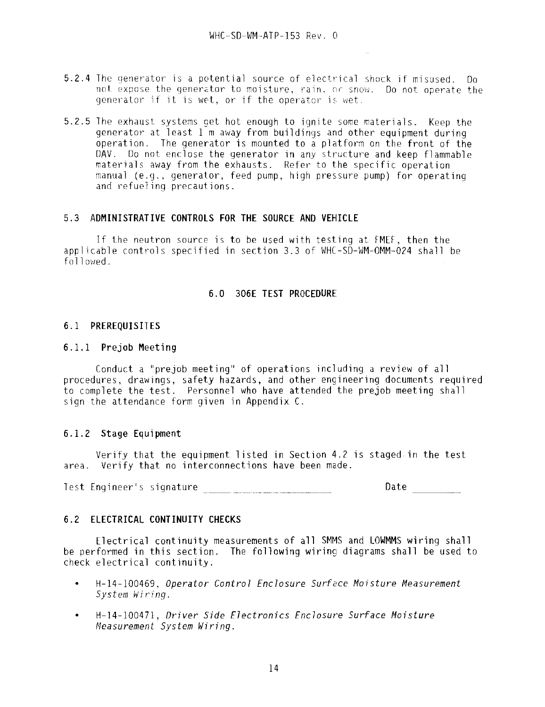- 5.2.4 The generator is a potential source of electrical shock if misused. Do not expose the generator to moisture, rain, or snow. Do not operate the generator if it is wet, or if the operator is wet.
- 5.2.5 The exhaust systems get hot enough to ignite some materials. Keep the generator at least 1 m away from buildings and other equipment during operation. The generator is mounted to a platform on the front of the DAV. Do not enclose the generator in any structure and keep flammable materials away from the exhausts. Refer to the specific operation manual (e.g., generator, feed pump, high pressure pump) for operating and refueling precautions.

#### 5.3 **ADMINISTRATIVE CONTROLS FOR THE SOURCE AND VEHICLE**

If the neutron source is to be used with testing at FMEF, then the applicable controls specified in section 3.3 of WHC-SD-WM-OMM-O24 shall be followed.

#### **6.0 306E TEST PROCEDURE**

#### **6.1 PREREQUISITES**

#### **6.1.1 Prejob Meeting**

Conduct a "prejob meeting" of operations including a review of all procedures, drawings, safety hazards, and other engineering documents required to complete the test. Personnel who have attended the prejob meeting shall sign the attendance form given in Appendix C.

# **6.1.2 Stage Equipment**

Verify that the equipment listed in Section 4.2 is staged in the test area. Verify that no interconnections have been made.

Test Engineer's signature Date

# 6.2 **ELECTRICAL CONTINUITY CHECKS**

Electrical continuity measurements of all SMMS and LOWMMS wiring shall be performed in this section. The following wiring diagrams shall be used to check electrical continuity.

- $\bullet$ H-14-100469, Operator Control Enclosure Surface Moisture Measurement System Wiring.
- H-14-100471, Driver Side Electronics Enclosure Surface Moisture Measurement System Wiring.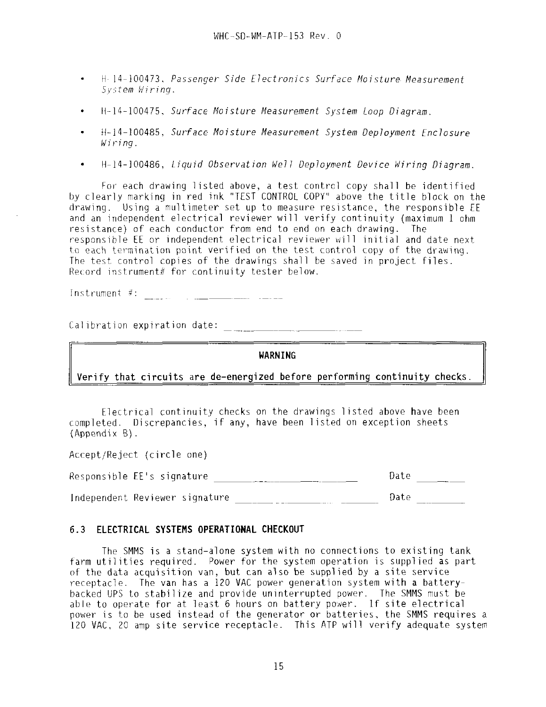- H- 14-100473, Passenger Side Electronics Surface Moisture Measurement System Miring.
- H-14-100475, Surface Moisture Measurement System Loop Diagram.  $\bullet$
- H-14-100485, Surface Moisture Measurement System Deployment Enclosure Wiring.
- $\bullet$ H-14-100486, Liquid Observation Well Deployment Device Miring Diagram.

For each drawing listed above, a test control copy shall be identified by clearly marking in red ink "TEST CONTROL COPY" above the title block on the drawing. Using a multimeter set up to measure resistance, the responsible EE and an independent electrical reviewer will verify continuity {maximum 1 ohm resistance) of each conductor from end to end on each drawing. The responsible EE or independent electrical reviewer will initial and date next to each termination point verified on the test control copy of the drawing. The test control copies of the drawings shall be saved in project files. Record instrument# for continuity tester below.

Instrument #:

Calibration expiration date:

**WARNING**

# Verify that circuits are de-energized before performing continuity checks

Electrical continuity checks on the drawings listed above have been completed. Discrepancies, if any, have been listed on exception sheets (Appendix B) .

Accept/Reject (circle one)

| Responsible EE's signature     |  |  |  | Date |  |
|--------------------------------|--|--|--|------|--|
| Independent Reviewer signature |  |  |  | Date |  |

#### 6.3 **ELECTRICAL SYSTEMS OPERATIONAL CHECKOUT**

The SMMS is a stand-alone system with no connections to existing tank farm utilities required. Power for the system operation is supplied as part of the data acquisition van, but can also be supplied by a site service receptacle. The van has a 120 VAC power generation system with a batterybacked UPS to stabilize and provide uninterrupted power. The SMMS must be able to operate for at least 6 hours on battery power. If site electrical power is to be used instead of the generator or batteries, the SMMS requires a 120 VAC, 20 amp site service receptacle. This ATP will verify adequate system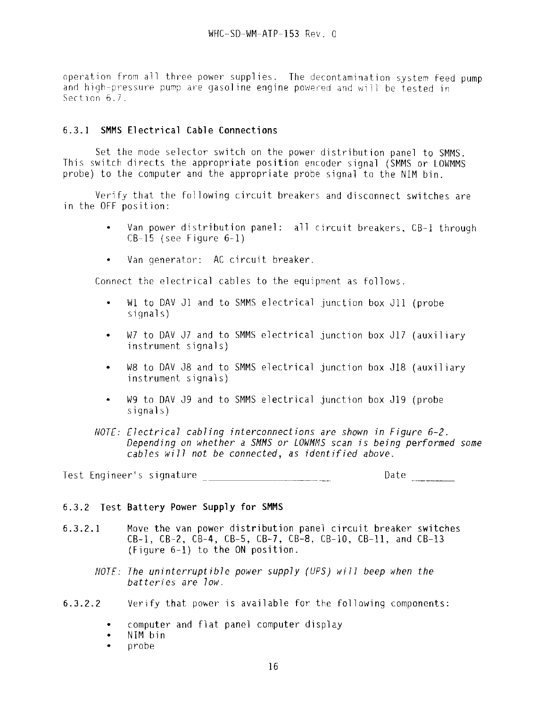operation from all three power supplies. The decontamination system feed pump and high-pressure pump are gasoline engine powered and will be tested in Section 6.7.

# **6.3.1 SMMS Electrical Cable Connections**

Set the mode selector switch on the power distribution panel to SMMS. This switch directs the appropriate position encoder signal (SMMS or LOWMMS probe) to the computer and the appropriate probe signal to the NIM bin.

Verify that the following circuit breakers and disconnect switches are in the OFF position:

- $\bullet$ Van power distribution panel: all circuit breakers, CB-1 through  $CB-15$  (see Figure  $6-1$ )
- Van generator: AC circuit breaker.  $\bullet$

Connect the electrical cables to the equipment as follows.

- Wl to DAV Jl and to SMMS electrical junction box J11 (probe  $\bullet$ signals)
- W7 to DAV J7 and to SMMS electrical junction box J17 (auxiliary instrument signals)
- W8 to DAV J8 and to SMMS electrical junction box J18 (auxiliary  $\bullet$ instrument signals)
- W9 to DAV J9 and to SMMS electrical junction box J19 (probe signals)
- NOTE: Electrical cabling interconnections are shown in Figure 6-2. Depending on whether a SMMS or LOMMMS scan is being performed some cables will not be connected, as identified above.

Test Engineer's signature \_\_\_\_\_\_\_\_\_\_\_\_\_\_\_\_\_\_\_\_\_\_\_\_\_\_\_\_\_\_\_\_\_Date \_\_\_\_\_\_\_\_\_\_\_\_\_\_\_\_

# 6.3.2 Test **Battery Power Supply for SMMS**

- 6.3.2.1 Move the van power distribution panel circuit breaker switches CB-1, CB-2, CB-4, CB-5, CB-7, CB-8, CB-1O, CB-11, and CB-13 (Figure 6-1) to the ON position.
	- NOTE: The uninterruptible power supply (UPS) will beep when the batteries are low.
- 6.3.2.2 Verify that power is available for the following components:
	- computer and flat panel computer display
	- NIM bin  $\bullet$
	- probe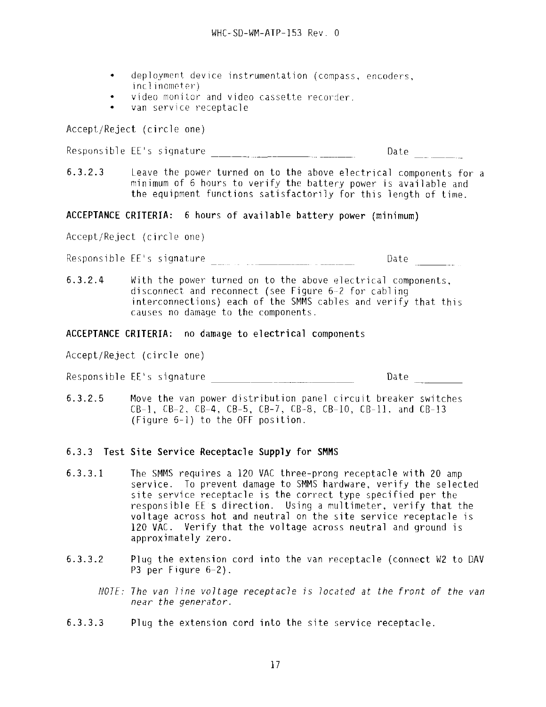- deployment device instrumentation (compass, encoders, inclinometer)
- video monitor and video cassette recorder,
- van service receptacle

Accept/Reject (circle one)

Responsible EE's signature  $\frac{1}{2}$  Date  $\frac{1}{2}$ 

6.3.2.3 Leave the power turned on to the above electrical components for a minimum of 6 hours to verify the battery power is available and the equipment functions satisfactorily for this length of time.

**ACCEPTANCE CRITERIA:** 6 hours of available battery power (minimum)

Accept/Reject (circle one)

Responsible EE's signature Date

6.3.2.4 With the power turned on to the above electrical components, disconnect and reconnect (see Figure 6-2 for cabling interconnections) each of the SMMS cables and verify that this causes no damage to the components.

#### **ACCEPTANCE CRITERIA:** no damage to electrical components

Accept/Reject (circle one)

Responsible EE's signature Date

6.3.2.5 Move the van power distribution panel circuit breaker switches CB-1, CB-2, CB-4, CB-5, CB-7, CB-8, CB-1O, CB-11, and CB-13 (Figure 6-1) to the OFF position.

# 6.3.3 Test Site Service **Receptacle Supply for SHHS**

- 6.3.3.1 The SMMS requires a 120 VAC three-prong receptacle with 20 amp service. To prevent damage to SMMS hardware, verify the selected site service receptacle is the correct type specified per the responsible EE s direction. Using a multimeter, verify that the voltage across hot and neutral on the site service receptacle is 120 VAC. Verify that the voltage across neutral and ground is approximately zero.
- 6.3.3.2 Plug the extension cord into the van receptacle (connect W2 to DAV P3 per Figure 6-2).
	- NOTE: The van line voltage receptacle is located at the front of the van near the generator.
- 6.3.3.3 Plug the extension cord into the site service receptacle.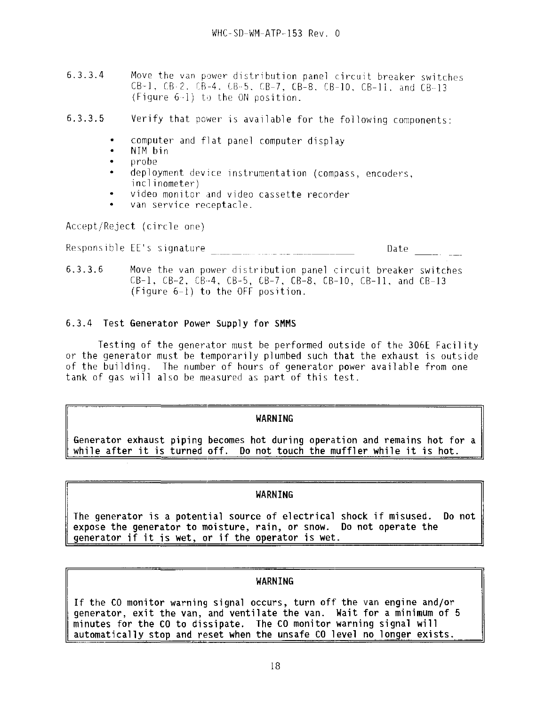6.3.3.4 Move the van power distribution panel circuit breaker switches  $CB-1$ ,  $CB-2$ .  $CB-4$ .  $CB-5$ .  $CB-7$ .  $CB-8$ .  $CB-10$ .  $CB-11$ . and  $CB-13$ .  $(Figure 6-1)$  to the ON position.

6.3.3.5 Verify that power is available for the following components:

- computer and flat panel computer display
- NIM bin
- probe
- deployment device instrumentation (compass, encoders, inclinometer)
- video monitor and video cassette recorder
- van service receptacle.

Accept/Reject (circle one)

Responsible EE's signature Date

6.3.3.6 Move the van power distribution panel circuit breaker switches CB-1, CB-2, CB-4, CB-5, CB-7, CB-8, CB-10, CB-11, and CB-13 (Figure 6-1) to the OFF position.

# 6.3.4 **Test Generator Power Supply for SHMS**

Testing of the generator must be performed outside of the 306E Facility or the generator must be temporarily plumbed such that the exhaust is outside of the building. The number of hours of generator power available from one tank of gas will also be measured as part of this test.

# **WARNING**

**Generator exhaust piping becomes hot during operation and remains hot for a while after it is turned off. Do not touch the muffler while it is hot.**

# **WARNING**

**The generator is a potential source of electrical shock if misused. Do not expose the generator to moisture, rain, or snow. Do not operate the generator if it is wet, or if the operator is wet.**

# **WARNING**

**If** the **CO monitor warning signal occurs, turn off the van engine and/or generator, exit the van, and ventilate the van. Wait for a minimum of 5 minutes for the CO to dissipate. The CO monitor warning signal will automatically stop and reset when the unsafe CO level no longer exists.**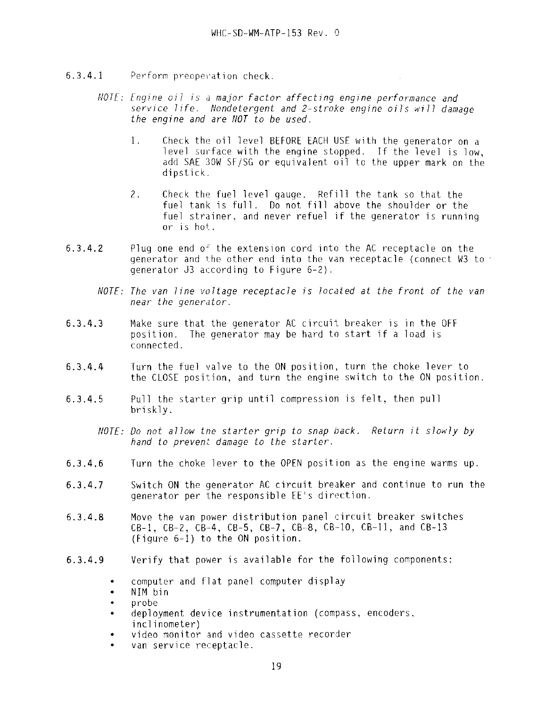- 6.3.4.1 Perform preoperation check.
	- NOTE: Engine oil is a major factor affecting engine performance and service life. Nondetergent and 2~stroke engine oils will damage the engine and are NOT to be used.
		- 1. Check the oil level BEFORE EACH USE with the generator on a level surface with the engine stopped. If the level is low, add SAE 30W SF/SG or equivalent oil to the upper mark on the dipstick.
		- 2. Check the fuel level gauge. Refill the tank so that the fuel tank is full. Do not fill above the shoulder or the fuel strainer, and never refuel if the generator is running or is hot.
- 6.3.4.2 Plug one end  $o<sup>2</sup>$  the extension cord into the AC receptacle on the generator and the other end into the van receptacle (connect W3 to generator J3 according to Figure 6-2).
	- NOTE: The van line voltage receptacle is located at the front of the van near the generator.
- 6.3.4.3 Make sure that the generator AC circuit breaker is in the OFF position. The generator may be hard to start if a load is connected.
- 6.3.4.4 Turn the fuel valve to the ON position, turn the choke lever to the CLOSE position, and turn the engine switch to the ON position.
- 6.3.4.5 Pull the starter grip until compression is felt, then pull briskly.

NOTE: Do not allow the starter grip to snap back. Return it slowly by hand to prevent damage to the starter.

- 6.3.4.6 Turn the choke lever to the OPEN position as the engine warms up.
- 6.3.4.7 Switch ON the generator AC circuit breaker and continue to run the generator per the responsible EE's direction.
- **6.3.4.8** Move the van power distribution panel circuit breaker switches CB-1, CB-2, CB-4, CB-5, CB-7, CB-8, CB-1O, CB-11, and CB-13 (Figure 6-1) to the ON position.
- 6.3.4.9 Verify that power is available for the following components:
	- computer and flat panel computer display
	- $\bullet$ NIM bin
	- probe
	- deployment device instrumentation (compass, encoders, inclinometer)
	- video monitor and video cassette recorder
	- van service receptacle.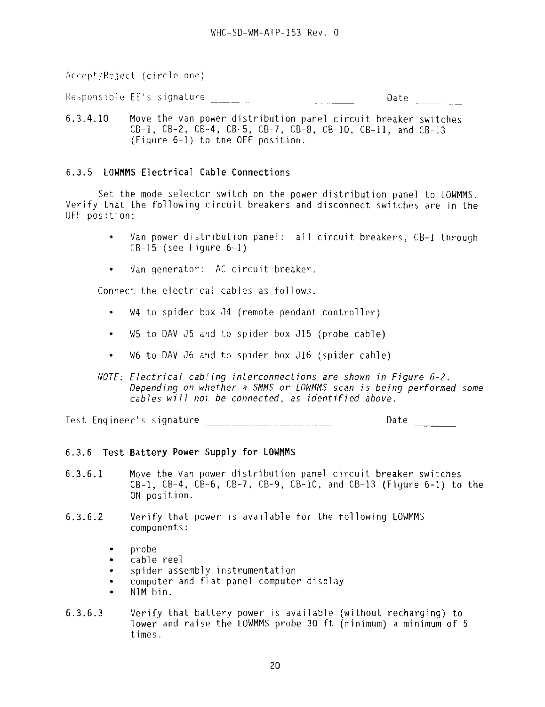Accept/Reject (circle one)

Responsible EE's signature \_\_\_\_\_ , \_\_\_\_\_\_\_\_\_\_\_\_\_\_\_\_\_\_\_\_ Date

6.3.4.10 Move the van power distribution panel circuit breaker switches  $CB-1$ ,  $CB-2$ ,  $CB-4$ ,  $CB-5$ ,  $CB-7$ ,  $CB-8$ ,  $CB-10$ ,  $CB-11$ , and  $CB-13$  $(Fiqure 6-1)$  to the OFF position.

# 6.3.5 **LOWMMS Electrical Cable Connections**

Set the mode selector switch on the power distribution panel to LOWMMS. Verify that the following circuit breakers and disconnect switches are in the OFF position:

- Van power distribution panel: all circuit breakers, CB-1 through  $CB-15$  (see Figure  $6-1$ )
- Van generator: AC circuit breaker.  $\bullet$

Connect the electrical cables as follows.

- W4 to spider box J4 (remote pendant controller)
- W5 to DAV J5 and to spider box J15 {probe cable)  $\bullet$
- W6 to DAV J6 and to spider box J16 (spider cable)
- NOTE: Electrical cabling interconnections are shown in Figure 6-2. Depending on whether a SMMS or LOWMMS scan is being performed some cables will not be connected, as identified above.

Test Engineer's signature Date

# 6.3.6 **Test Battery Power Supply for LOWMMS**

- 6.3.6.1 Move the van power distribution panel circuit breaker switches  $CB-1$ ,  $CB-4$ ,  $CB-6$ ,  $CB-7$ ,  $CB-9$ ,  $CB-10$ , and  $CB-13$  (Figure 6-1) to the ON position.
- 6.3.6.2 Verify that power is available for the following LOWMMS components:
	- probe
	- cable reel
	- spider assembly instrumentation
	- computer and flat panel computer display
	- NIM bin.
- 6.3.6.3 Verify that battery power is available (without recharging) to lower and raise the LOWMMS probe 30 ft (minimum) a minimum of 5 times.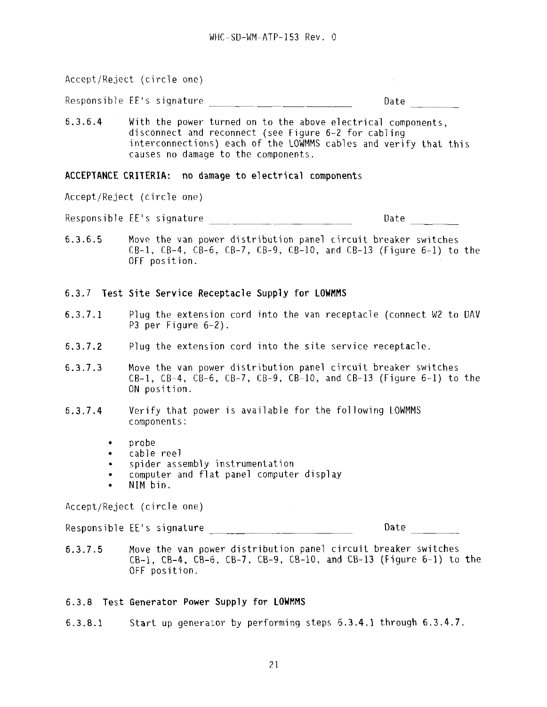Accept/Reject (circle one)  $\sim 10^{-10}$ Responsible EE's signature Date 6.3.6.4 With the power turned on to the above electrical components, disconnect and reconnect (see Figure 6--2 for cabling interconnections) each of the LOWMMS cables and verify that this causes no damage to the components.

#### **ACCEPTANCE CRITERIA: no damage to electrical components**

Accept/Reject (circle one)

Responsible EE's signature Date

6.3.6.5 Move the van power distribution panel circuit breaker switches  $CB-1$ ,  $CB-4$ ,  $CB-6$ ,  $CB-7$ ,  $CB-9$ ,  $CB-10$ , and  $CB-13$  (Figure 6-1) to the OFF position.

# 6.3.7 Test **Site Service Receptacle Supply for LOWMMS**

- 6.3.7.1 Plug the extension cord into the van receptacle (connect W2 to DAV P3 per Figure 6-2).
- 6.3.7.2 Plug the extension cord into the site service receptacle.
- 6.3.7.3 Move the van power distribution panel circuit breaker switches  $CB-1$ ,  $CB-4$ ,  $CB-6$ ,  $CB-7$ ,  $CB-9$ ,  $CB-10$ , and  $CB-13$  (Figure 6-1) to the ON position.
- 6.3.7.4 Verify that power is available for the following LOWMMS components:
	- probe
	- cable reel
	- spider assembly instrumentation
	- computer and flat panel computer display
	- NIM bin.

Accept/Reject (circle one)

Responsible EE's signature \_\_\_\_\_^\_\_\_\_\_\_\_\_\_\_ Date \_^\_\_\_\_\_

**6.3.7.5** Move the van power distribution panel circuit breaker switches CB-1, CB-4, CB-6, CB-7, CB-9, **CB-1O,** and CB-13 (Figure 6-1) to the OFF position.

#### 6.3.8 Test **Generator Power Supply for LOWMMS**

6.3.8.1 Start up generator by performing steps 6.3.4.1 through 6.3.4.7.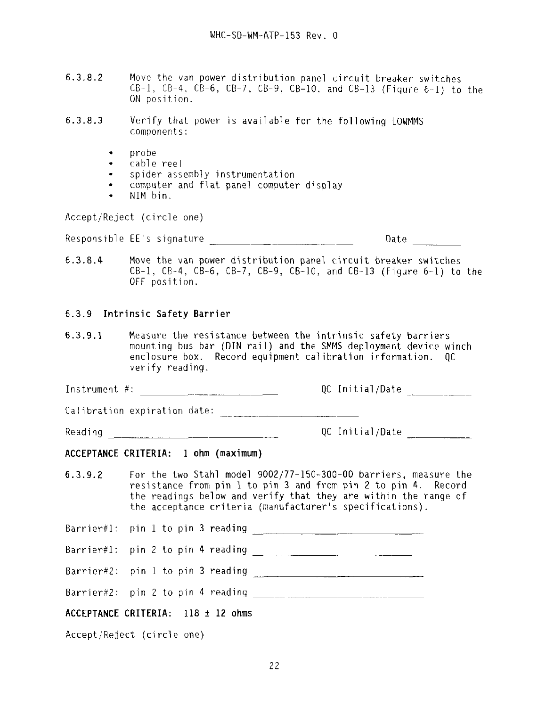- $6.3.8.2$  Move the van power distribution panel circuit breaker switches  $CB-1$ ,  $CB-4$ ,  $CB-6$ ,  $CB-7$ ,  $CB-9$ ,  $CB-10$ , and  $CB-13$  (Figure 6-1) to the ON position.
- 6.3.8.3 Verify that power is available for the following LOWMMS components:
	- probe
	- cable reel
	- spider assembly instrumentation
	- computer and flat panel computer display
	- NIM bin.

Accept/Reject (circle one)

Responsible EE's signature development of the Date

6.3.8.4 Move the van power distribution panel circuit breaker switches CB-1, CB-4, CB-6, CB-7, CB-9, CB-10, and CB-13 (Figure  $6-1$ ) to the OFF position.

# 6.3.9 Intrinsic Safety **Barrier**

**6.3.9.1** Measure the resistance between the intrinsic safety barriers mounting bus bar (DIN rail) and the SMMS deployment device winch enclosure box. Record equipment calibration information. QC verify reading.

Instrument #:  $QC$  Initial/Date  $\frac{1}{2}$ 

Calibration expiration date:

Reading  $QC$  Initial/Date

# **ACCEPTANCE CRITERIA: 1 ohm (maximum)**

6.3.9.2 For the two Stahl model 9002/77-150-300-00 barriers, measure the resistance from pin 1 to pin 3 and from pin 2 to pin 4. Record the readings below and verify that they are within the range of the acceptance criteria (manufacturer's specifications).

Barrier#l: pin 1 to pin 3 reading \_\_\_\_\_^\_\_\_\_ \_ \_\_ \_

Barrier#l: pin 2 to pin 4 reading \_\_\_^\_\_\_\_\_\_\_\_\_ ^\_\_\_\_\_

Barrier#2: pin 1 to pin 3 reading ^\_\_ \_\_ "

Barrier#2: pin 2 to pin 4 reading \_\_

# **ACCEPTANCE CRITERIA: 118 + 12 ohms**

Accept/Reject (circle one)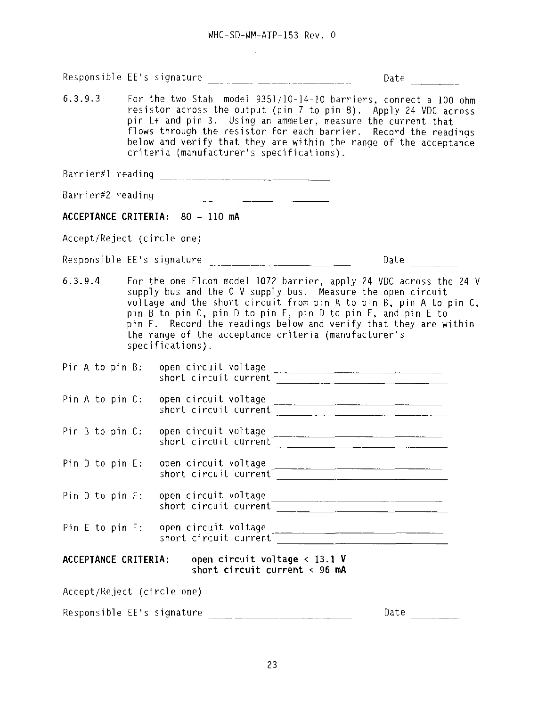$\sim$   $\sim$ 

|                                                                                                                                                                                                                                                                                                                                                                                                        |  |                                                                          | Date $\qquad \qquad -$                                                                                                                                                                                                                                                                                                                      |  |  |  |  |
|--------------------------------------------------------------------------------------------------------------------------------------------------------------------------------------------------------------------------------------------------------------------------------------------------------------------------------------------------------------------------------------------------------|--|--------------------------------------------------------------------------|---------------------------------------------------------------------------------------------------------------------------------------------------------------------------------------------------------------------------------------------------------------------------------------------------------------------------------------------|--|--|--|--|
| 6.3.9.3<br>For the two Stahl model 9351/10-14-10 barriers, connect a 100 ohm<br>resistor across the output (pin 7 to pin 8). Apply 24 VDC across<br>pin L+ and pin 3. Using an ammeter, measure the current that<br>flows through the resistor for each barrier. Record the readings<br>below and verify that they are within the range of the acceptance<br>criteria (manufacturer's specifications). |  |                                                                          |                                                                                                                                                                                                                                                                                                                                             |  |  |  |  |
|                                                                                                                                                                                                                                                                                                                                                                                                        |  |                                                                          |                                                                                                                                                                                                                                                                                                                                             |  |  |  |  |
|                                                                                                                                                                                                                                                                                                                                                                                                        |  |                                                                          |                                                                                                                                                                                                                                                                                                                                             |  |  |  |  |
|                                                                                                                                                                                                                                                                                                                                                                                                        |  | ACCEPTANCE CRITERIA: 80 - 110 mA                                         |                                                                                                                                                                                                                                                                                                                                             |  |  |  |  |
| Accept/Reject (circle one)                                                                                                                                                                                                                                                                                                                                                                             |  |                                                                          |                                                                                                                                                                                                                                                                                                                                             |  |  |  |  |
|                                                                                                                                                                                                                                                                                                                                                                                                        |  |                                                                          | Date $\frac{1}{\sqrt{1-\frac{1}{2}}\cdot\frac{1}{\sqrt{1-\frac{1}{2}}}}$                                                                                                                                                                                                                                                                    |  |  |  |  |
| 6.3.9.4                                                                                                                                                                                                                                                                                                                                                                                                |  | the range of the acceptance criteria (manufacturer's<br>specifications). | For the one Elcon model 1072 barrier, apply 24 VDC across the 24 V<br>supply bus and the 0 V supply bus. Measure the open circuit<br>voltage and the short circuit from pin A to pin B, pin A to pin C,<br>pin B to pin C, pin D to pin E, pin D to pin F, and pin E to<br>pin F. Record the readings below and verify that they are within |  |  |  |  |
| Pin A to pin B:                                                                                                                                                                                                                                                                                                                                                                                        |  |                                                                          |                                                                                                                                                                                                                                                                                                                                             |  |  |  |  |
| Pin A to pin C:                                                                                                                                                                                                                                                                                                                                                                                        |  |                                                                          | open circuit voltage<br>short circuit current                                                                                                                                                                                                                                                                                               |  |  |  |  |
| Pin B to pin C:                                                                                                                                                                                                                                                                                                                                                                                        |  |                                                                          | open circuit voltage<br>short circuit current                                                                                                                                                                                                                                                                                               |  |  |  |  |
|                                                                                                                                                                                                                                                                                                                                                                                                        |  | Pin D to pin E: open circuit voltage                                     | short circuit current                                                                                                                                                                                                                                                                                                                       |  |  |  |  |
|                                                                                                                                                                                                                                                                                                                                                                                                        |  | Pin D to pin F: open circuit voltage                                     | open circuit voltage<br>short circuit current                                                                                                                                                                                                                                                                                               |  |  |  |  |
|                                                                                                                                                                                                                                                                                                                                                                                                        |  | Pin E to pin F: open circuit voltage                                     |                                                                                                                                                                                                                                                                                                                                             |  |  |  |  |
| open circuit voltage $<$ 13.1 V<br>ACCEPTANCE CRITERIA:<br>short circuit current $\langle$ 96 mA                                                                                                                                                                                                                                                                                                       |  |                                                                          |                                                                                                                                                                                                                                                                                                                                             |  |  |  |  |
| Accept/Reject (circle one)                                                                                                                                                                                                                                                                                                                                                                             |  |                                                                          |                                                                                                                                                                                                                                                                                                                                             |  |  |  |  |
| Responsible EE's signature<br>Date                                                                                                                                                                                                                                                                                                                                                                     |  |                                                                          |                                                                                                                                                                                                                                                                                                                                             |  |  |  |  |

 $\sim 10^{-1}$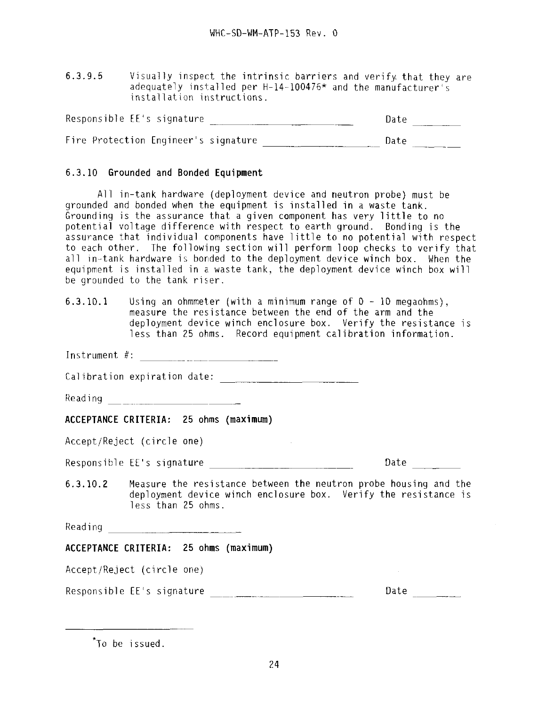6.3.9.5 Visually inspect the intrinsic barriers and verify that they are adequately installed per H-14-100476\* and the manufacturer's installation instructions.

| Responsible EE's signature           | Date |
|--------------------------------------|------|
| Fire Protection Engineer's signature | Date |

# **6.3.10 Grounded and Bonded Equipment**

All in-tank hardware (deployment device and neutron probe) must be grounded and bonded when the equipment is installed in a waste tank. Grounding is the assurance that a given component has very little to no potential voltage difference with respect to earth ground. Bonding is the assurance that individual components have little to no potential with respect to each other. The following section will perform loop checks to verify that all in-tank hardware is bonded to the deployment device winch box. When the equipment is installed in a waste tank, the deployment device winch box will be grounded to the tank riser.

6.3.10.1 Using an ohmmeter (with a minimum range of 0 - 10 megaohms), measure the resistance between the end of the arm and the deployment device winch enclosure box. Verify the resistance is less than 25 ohms. Record equipment calibration information.

Instrument #:

Calibration expiration date:

Reading and <u>Communications</u>

# **ACCEPTANCE CRITERIA: 25 ohms (maximum)**

Accept/Reject (circle one)

Responsible EE's signature example and the part of Date

6.3.10.2 Measure the resistance between the neutron probe housing and the deployment device winch enclosure box. Verify the resistance is less than 25 ohms.

 $\sim$  10

Reading \_ \_ \_\_\_\_\_\_

# **ACCEPTANCE CRITERIA: 25 ohms (maximum)**

Accept/Reject (circle one)

Responsible EE's signature ^^ Date

To be issued.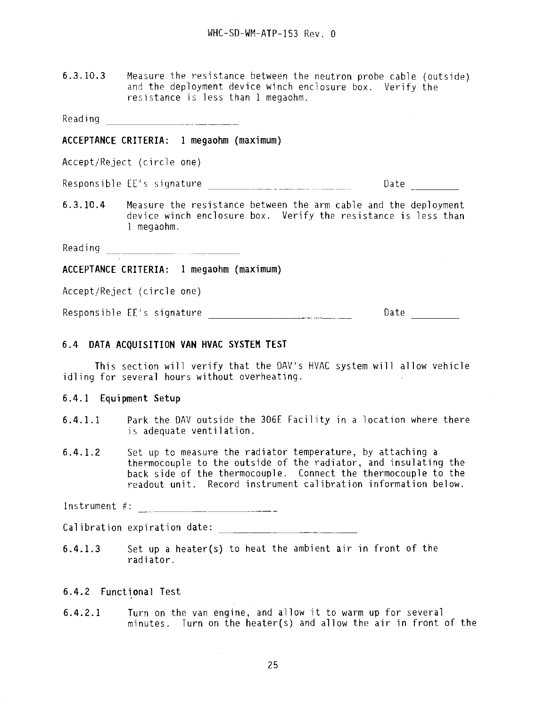6.3.10.3 Measure the resistance between the neutron probe cable (outside) and the deployment device winch enclosure box. Verify the resistance is less than 1 megaohm.

Reading

#### **ACCEPTANCE CRITERIA: 1 megaohm (maximum)**

Accept/Reject (circle one)

Responsible EE's signature Date

6.3.10.4 Measure the resistance between the arm cable and the deployment device winch enclosure box. Verify the resistance is less than 1 megaohm.

Reading

**ACCEPTANCE CRITERIA: 1 megaohm (maximum)**

Accept/Reject (circle one)

Responsible EE's signature entitled and contact the Date

#### **6.4 DATA ACQUISITION VAN HVAC SYSTEM TEST**

This section will verify that the DAV's HVAC system will allow vehicle idling for several hours without overheating.

#### **6.4.1 Equipment Setup**

- **6.4.1.1** Park the DAV outside the 306E Facility in a location where there is adequate ventilation.
- 6.4.1.2 Set up to measure the radiator temperature, by attaching a thermocouple to the outside of the radiator, and insulating the back side of the thermocouple. Connect the thermocouple to the readout unit. Record instrument calibration information below.

Instrument #:

Calibration expiration date:

**6.4.1.3** Set up a heater(s) to heat the ambient air in front of the radiator.

#### **6.4.2 Functional Test**

**6.4.2.1** Turn on the van engine, and allow it to warm up for several minutes. Turn on the heater(s) and allow the air in front of the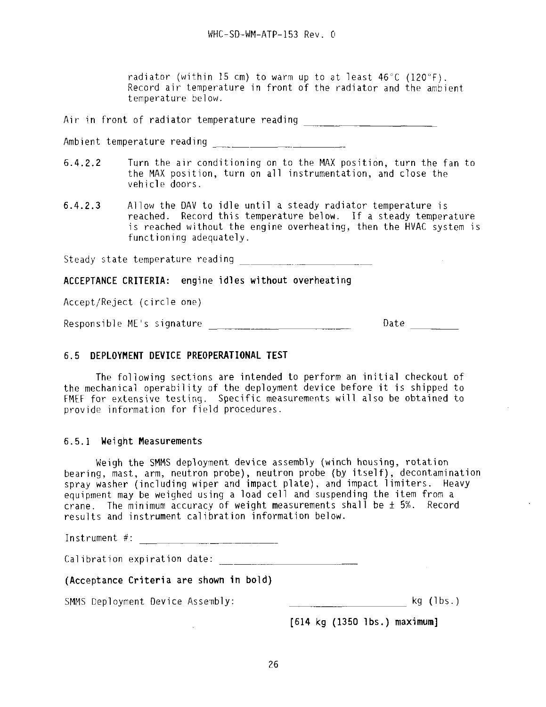radiator (within 15 cm) to warm up to at least 46°C (120°F). Record air temperature in front of the radiator and the ambient temperature below.

Air in front of radiator temperature reading \_\_\_\_\_\_\_\_\_\_\_\_\_\_\_\_\_\_\_\_\_\_\_\_\_\_\_\_\_\_\_\_\_\_\_

Ambient temperature reading

- 6.4.2.2 Turn the air conditioning on to the MAX position, turn the fan to the MAX position, turn on all instrumentation, and close the vehicle doors.
- 6.4.2.3 Allow the DAV to idle until a steady radiator temperature is reached. Record this temperature below. If a steady temperature is reached without the engine overheating, then the HVAC system is functioning adequately.

Steady state temperature reading **Exercise 2018** 

**ACCEPTANCE CRITERIA:** engine **idles without overheating**

Accept/Reject {circle one)

Responsible ME's signature entitled and the control date date data base of  $\Omega$ 

# **6.5 DEPLOYMENT DEVICE PREOPERATIONAL TEST**

The following sections are intended to perform an initial checkout of the mechanical operability of the deployment device before it is shipped to FMEF for extensive testing. Specific measurements will also be obtained to provide information for field procedures.

#### 6.5.1 Weight Measurements

Weigh the SMMS deployment device assembly (winch housing, rotation bearing, mast, arm, neutron probe), neutron probe (by itself), decontamination spray washer (including wiper and impact plate), and impact limiters. Heavy equipment may be weighed using a load cell and suspending the item from a crane. The minimum accuracy of weight measurements shall be  $\pm$  5%. Record results and instrument calibration information below.

Instrument #:

Calibration expiration date:

 $\mathcal{L}$ 

**(Acceptance Criteria are shown in bold)**

SMMS Deployment Device Assembly: \_\_ \_\_\_ \_ kg (lbs.)

**[614 kg (1350 lbs.) maximum]**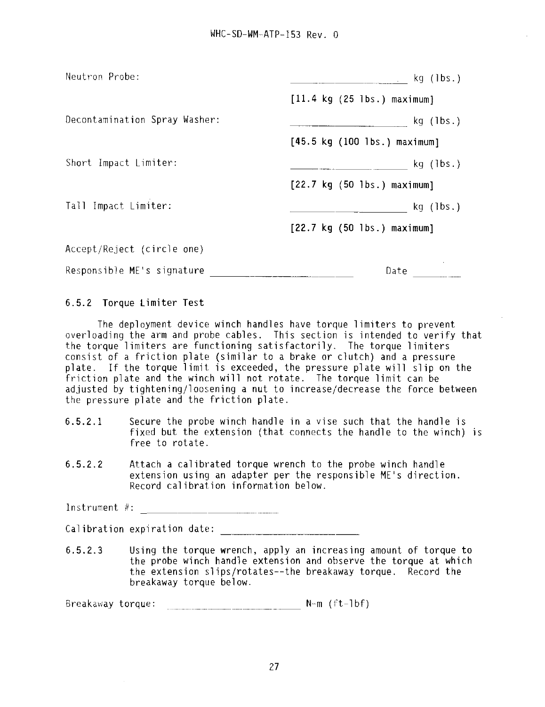| Neutron Probe:                |                                                        |  |  |  |  |
|-------------------------------|--------------------------------------------------------|--|--|--|--|
|                               | $[11.4 \text{ kg} (25 \text{ lbs.}) \text{ maximum}]$  |  |  |  |  |
| Decontamination Spray Washer: | kg (1bs.)                                              |  |  |  |  |
|                               | $[45.5 \text{ kg} (100 \text{ lbs.}) \text{ maximum}]$ |  |  |  |  |
| Short Impact Limiter:         | $kq$ ( $lbs.$ )                                        |  |  |  |  |
|                               | $[22.7 \text{ kg} (50 \text{ lbs.}) \text{ maximum}]$  |  |  |  |  |
| Tall Impact Limiter:          | $kg$ (1bs.)                                            |  |  |  |  |
|                               | $[22.7 \text{ kg } (50 \text{ lbs.}) \text{ maximum}]$ |  |  |  |  |
| Accept/Reject (circle one)    |                                                        |  |  |  |  |
| Responsible ME's signature    | Date                                                   |  |  |  |  |

6.5.2 Torque Limiter Test

The deployment device winch handles have torque limiters to prevent overloading the arm and probe cables. This section is intended to verify that the torque limiters are functioning satisfactorily. The torque limiters consist of a friction plate (similar to a brake or clutch) and a pressure plate. If the torque limit is exceeded, the pressure plate will slip on the friction plate and the winch will not rotate. The torque limit can be adjusted by tightening/loosening a nut to increase/decrease the force between the pressure plate and the friction plate.

- 6.5.2.1 Secure the probe winch handle in a vise such that the handle is fixed but the extension (that connects the handle to the winch) is free to rotate.
- 6.5.2.2 Attach a calibrated torque wrench to the probe winch handle extension using an adapter per the responsible ME's direction. Record calibration information below.

Instrument #:

Calibration expiration date:

6.5.2.3 Using the torque wrench, apply an increasing amount of torque to the probe winch handle extension and observe the torque at which the extension slips/rotates—the breakaway torque. Record the breakaway torque below.

Breakaway torque: N-m (ft-lbf)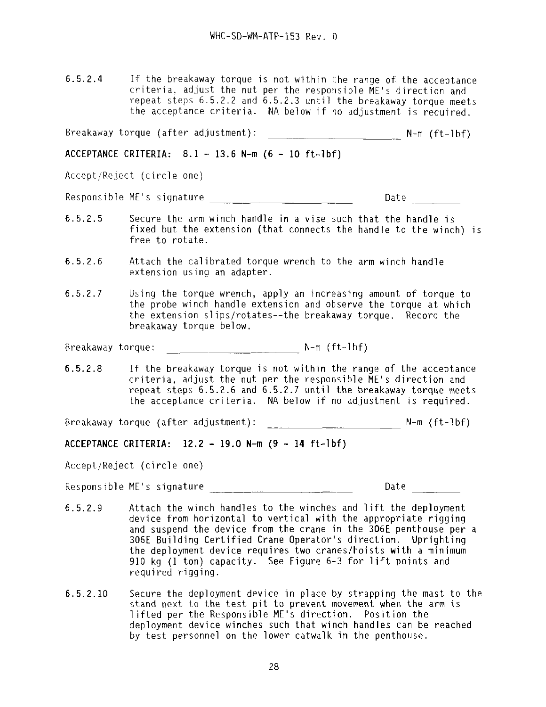6.5.2.4 If the breakaway torque is not within the range of the acceptance criteria, adjust the nut per the responsible ME's direction and repeat steps 6.5.2.2 and 6.5.2.3 until the breakaway torque meets the acceptance criteria. NA below if no adjustment is required.

Breakaway torque (after adjustment): \_\_\_\_\_^\_\_\_ N-m (ft-lbf)

**ACCEPTANCE CRITERIA: 8.1 - 13.6 N-m (6 - 10 ft-lbf)**

Accept/Reject (circle one)

Responsible ME's signature  $\Box$ 

- 6.5.2.5 Secure the arm winch handle in a vise such that the handle is fixed but the extension (that connects the handle to the winch) is free to rotate.
- 6.5.2.6 Attach the calibrated torque wrench to the arm winch handle extension using an adapter.
- 6.5.2.7 Using the torque wrench, apply an increasing amount of torque to the probe winch handle extension and observe the torque at which the extension siips/rotates—the breakaway torque. Record the breakaway torque below.

Breakaway torque:  $N-m$  (ft-lbf)

6.5.2.8 If the breakaway torque is not within the range of the acceptance criteria, adjust the nut per the responsible ME's direction and repeat steps 6.5.2.6 and 6.5.2.7 until the breakaway torque meets the acceptance criteria. NA below if no adjustment is required.

Breakaway torque (after adjustment): N-m (ft-lbf)

**ACCEPTANCE CRITERIA: 12.2 - 19.0 N-m (9 - 14 ft-lbf)**

Accept/Reject (circle one)

Responsible ME's signature expansion of the Date of Date Date

- 6.5.2.9 Attach the winch handles to the winches and lift the deployment device from horizontal to vertical with the appropriate rigging and suspend the device from the crane in the 306E penthouse per a 306E Building Certified Crane Operator's direction. Uprighting the deployment device requires two cranes/hoists with a minimum 910 kg (1 ton) capacity. See Figure 6-3 for lift points and required rigging.
- 6.5.2.10 Secure the deployment device in place by strapping the mast to the stand next to the test pit to prevent movement when the arm is lifted per the Responsible ME's direction. Position the deployment device winches such that winch handles can be reached by test personnel on the lower catwalk in the penthouse.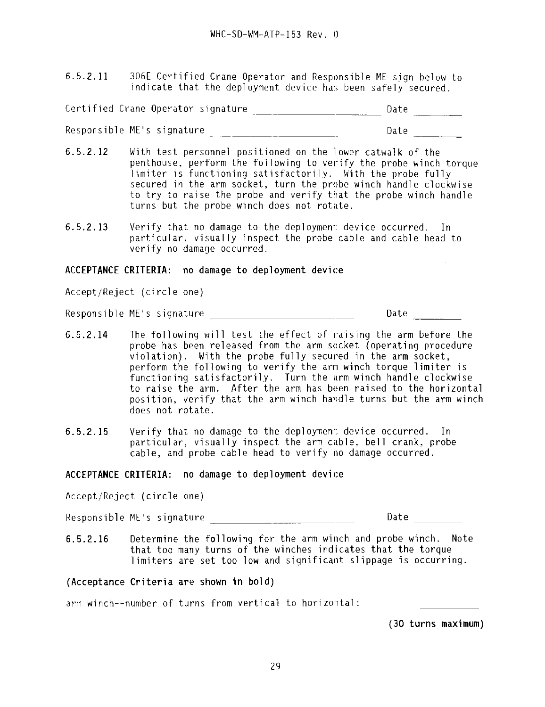6.5.2.11 306E Certified Crane Operator and Responsible ME sign below to indicate that the deployment device has been safely secured.

Certified Crane Operator signature Date

Responsible ME's signature development of the Date Date

- 6.5.2.12 With test personnel positioned on the lower catwalk of the penthouse, perform the following to verify the probe winch torque limiter is functioning satisfactorily. With the probe fully secured in the arm socket, turn the probe winch handle clockwise to try to raise the probe and verify that the probe winch handle turns but the probe winch does not rotate.
- 6.5.2.13 Verify that no damage to the deployment device occurred. In particular, visually inspect, the probe cable and cable head to verify no damage occurred.

**ACCEPTANCE CRITERIA: no damage to deployment device**

Accept/Reject (circle one)

Responsible ME's signature Date

- 6.5.2.14 The following will test the effect of raising the arm before the probe has been released from the arm socket (operating procedure violation). With the probe fully secured in the arm socket, perform the following to verify the arm winch torque limiter is functioning satisfactorily. Turn the arm winch handle clockwise to raise the arm. After the arm has been raised to the horizontal position, verify that the arm winch handle turns but the arm winch does not rotate.
- 6.5.2.15 Verify that no damage to the deployment device occurred. In particular, visually inspect the arm cable, bell crank, probe cable, and probe cable head to verify no damage occurred.

# **ACCEPTANCE CRITERIA: no damage to deployment device**

Accept/Reject (circle one)

Responsible ME's signature Date

6.5.2.16 Determine the following for the arm winch and probe winch. Note that too many turns of the winches indicates that the torque limiters are set too low and significant slippage is occurring.

# **(Acceptance Criteria are shown in bold)**

arm winch--number of turns from vertical to horizontal:

**(30 turns maximum)**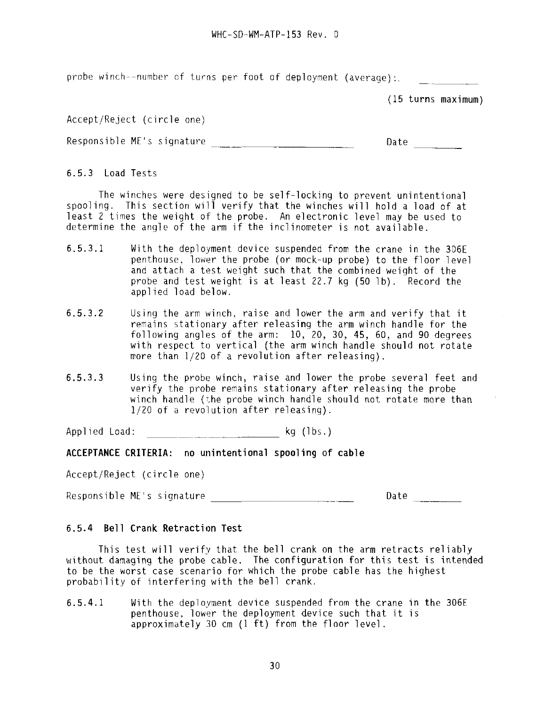probe winch--number of turns per foot of deployment (average):.

(15 turns maximum)

Accept/Reject (circle one)

Responsible ME's signature \_\_ \_\_\_\_\_^\_^\_\_ Date

6.5.3 Load Tests

The winches were designed to be self-locking to prevent unintentional spooling. This section will verify that the winches will hold a load of at least 2 times the weight of the probe. An electronic level may be used to determine the angle of the arm if the inclinometer is not available.

- 6.5.3.1 With the deployment device suspended from the crane in the 306E penthouse, lower the probe (or mock-up probe) to the floor level and attach a test weight such that the combined weight of the probe and test weight is at least 22.7 kg (50 lb). Record the applied load below.
- 6.5.3.2 Using the arm winch, raise and lower the arm and verify that it remains stationary after releasing the arm winch handle for the following angles of the arm: 10, 20, 30, 45, 60, and 90 degrees with respect to vertical (the arm winch handle should not rotate more than 1/20 of a revolution after releasing).
- 6.5.3.3 Using the probe winch, raise and lower the probe several feet and verify the probe remains stationary after releasing the probe winch handle (the probe winch handle should not rotate more than 1/20 of a revolution after releasing).

Applied Load:  $kg$  (lbs.)

**ACCEPTANCE CRITERIA: no unintentional spooling of cable**

Accept/Reject (circle one)

Responsible ME's signature development of the Date

## **6.5.4 Bell Crank Retraction Test**

This test will verify that the bell crank on the arm retracts reliably without damaging the probe cable. The configuration for this test is intended to be the worst case scenario for which the probe cable has the highest probability of interfering with the bell crank.

6.5.4.1 With the deployment device suspended from the crane in the 306E penthouse, lower the deployment device such that it is approximately 30 cm (1 ft) from the floor level.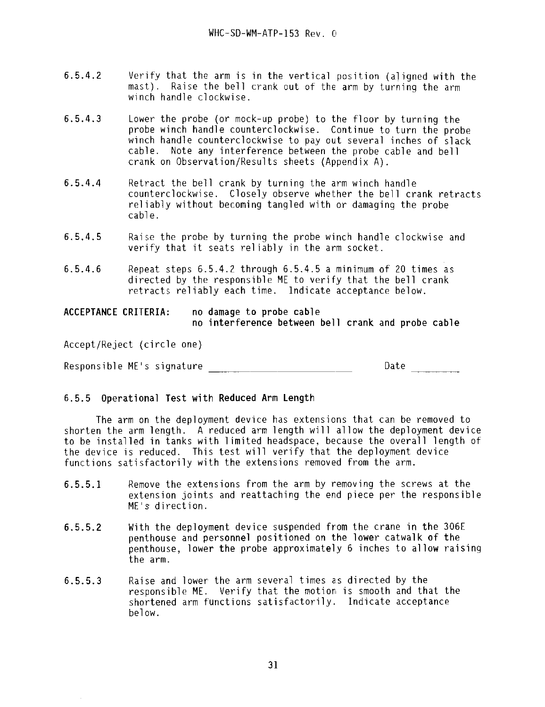- 6.5.4.2 Verify that the arm is in the vertical position (aligned with the mast). Raise the bell crank out of the arm by turning the arm winch handle clockwise.
- 6.5.4.3 Lower the probe (or mock-up probe) to the floor by turning the probe winch handle counterclockwise. Continue to turn the probe winch handle counterclockwise to pay out several inches of slack cable. Note any interference between the probe cable and bell crank on Observation/Results sheets (Appendix A) .
- **6.5.4.4** Retract the bell crank by turning the arm winch handle counterclockwise. Closely observe whether the bell crank retracts reliably without becoming tangled with or damaging the probe cable.
- 6.5.4.5 Raise the probe by turning the probe winch handle clockwise and verify that it seats reliably in the arm socket.
- **6.5.4.6** Repeat steps 6.5.4.2 through 6.5.4.5 a minimum of 20 times as directed by the responsible ME to verify that the bell crank retracts reliably each time. Indicate acceptance below.

**ACCEPTANCE CRITERIA: no damage to probe cable no interference between bell crank and probe cable**

Accept/Reject (circle one)

Responsible ME's signature description of the Date Date

### **6.5.5 Operational Test with Reduced Arm Length**

The arm on the deployment device has extensions that can be removed to shorten the arm length. A reduced arm length will allow the deployment device to be installed in tanks with limited headspace, because the overall length of the device is reduced. This test will verify that the deployment device functions satisfactorily with the extensions removed from the arm.

- **6.5.5.1** Remove the extensions from the arm by removing the screws at the extension joints and reattaching the end piece per the responsible ME's- direction.
- **6.5.5.2** With **the** deployment device suspended from the crane in **the** 306E penthouse and **personnel** positioned on **the** lower **catwalk of the** penthouse, lower **the probe** approximately **6** inches to **allow raising** the arm.
- **6.5.5.3** Raise and lower the arm several times as directed by the responsible ME. Verify that the motion is smooth and that the shortened arm functions satisfactorily. Indicate acceptance below.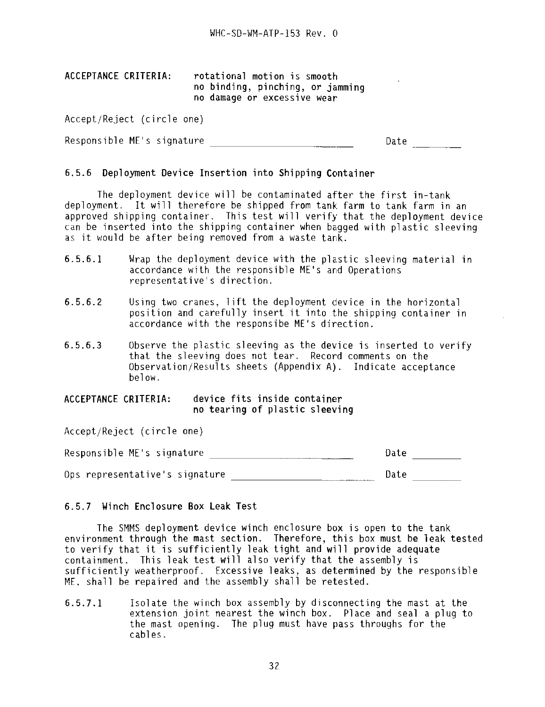| ACCEPTANCE CRITERIA: | rotational motion is smooth      |
|----------------------|----------------------------------|
|                      | no binding, pinching, or jamming |
|                      | no damage or excessive wear      |

Accept/Reject (circle one)

| Responsible ME's signature | Date |
|----------------------------|------|
|----------------------------|------|

#### 6.5.6 Deployment Device Insertion into Shipping Container

The deployment device will be contaminated after the first in-tank deployment. It will therefore be shipped from tank farm to tank farm in an approved shipping container. This test will verify that the deployment device can be inserted into the shipping container when bagged with plastic sleeving as it would be after being removed from a waste tank.

- 6.5.6.1 Wrap the deployment device with the plastic sleeving material in accordance with the responsible ME's and Operations representative's direction.
- 6.5.6.2 Using two cranes, lift the deployment device in the horizontal position and carefully insert it into the shipping container in accordance with the responsibe ME's direction.
- 6.5.6.3 Observe the plastic sleeving as the device is inserted to verify that the sleeving does not tear. Record comments on the Observation/Results sheets (Appendix A) . Indicate acceptance below.

# ACCEPTANCE CRITERIA: device fits inside container

Accept/Reject (circle one)

Date and the set of the set of the set of the set of the set of the set of the set of the set of the set of th Responsible ME's signature \_^\_\_\_\_\_ Ops representative's signature \_\_\_\_\_\_\_\_\_\_\_\_\_\_\_\_\_\_\_\_\_\_\_\_\_\_\_\_\_\_Date

## 6.5.7 Winch Enclosure Box Leak Test

The SMMS deployment device winch enclosure box is open to the tank environment through the mast section. Therefore, this box must be leak tested to verify that it is sufficiently leak tight and will provide adequate containment. This leak test will also verify that the assembly is sufficiently weatherproof. Excessive leaks, as determined by the responsible ME, shall be repaired and the assembly shall be retested.

6.5.7.1 Isolate the winch box assembly by disconnecting the mast at the extension joint nearest the winch box. Place and seal a plug to the mast opening. The plug must have pass throughs for the cables.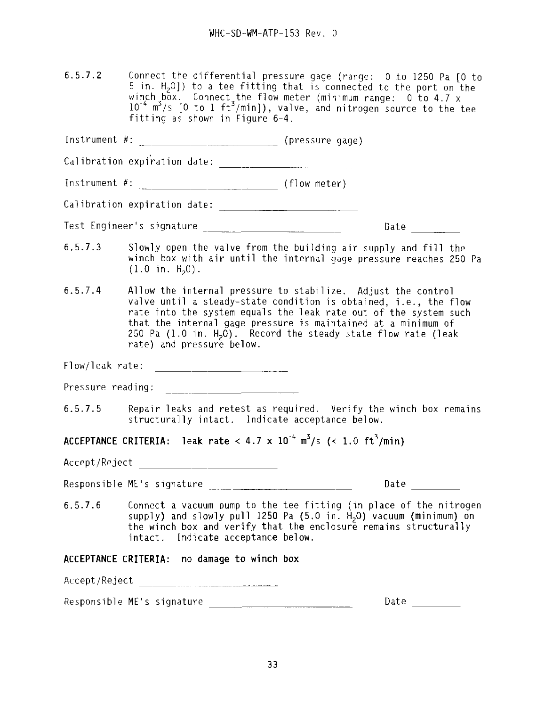6.5.7.2 Connect the differential pressure gage (range: 0 .to 1250 Pa [0 to  $5$  in.  $H<sub>2</sub>0$ ) to a tee fitting that is connected to the port on the winch box. Connect the flow meter (minimum range: 0 to 4.7 x  $10^{-4}$  m<sup>3</sup>/s  $\lceil 0$  to 1 ft<sup>3</sup>/min]), valve, and nitrogen source to the tee fitting as shown in Figure 6-4.

Instrument #: \_\_\_\_\_\_ (pressure gage)

Calibration expiration date: \_\_\_\_\_ "\_\_\_\_ \_\_

Instrument #: \\community \\community \\community \\community \\community \\community \\community \\community \\community \\community \\community \\community \\community \\community \\community \\community \\community \\co

Calibration expiration date:

Test Engineer's signature Date

- 6.5.7.3 Slowly open the valve from the building air supply and fill the winch box with air until the internal gage pressure reaches 250 Pa  $(1.0 \text{ in. } H_2 0)$ .
- 6.5.7.4 Allow the internal pressure to stabilize. Adjust the control valve until a steady-state condition is obtained, i.e., the flow rate into the system equals the leak rate out of the system such that the internal gage pressure is maintained at a minimum of 250 Pa  $(1.0 \text{ in. H}_2 \vec{0})$ . Record the steady state flow rate (leak rate) and pressure below.

Flow/leak rate:

Pressure reading: The Contract of the Contract of the Contract of the Contract of the Contract of the Contract o

6.5.7.5 Repair leaks and retest as required. Verify the winch box remains structurally intact. Indicate acceptance below.

**ACCEPTANCE CRITERIA:** leak rate < 4.7 x 10<sup>-4</sup> m<sup>3</sup>/s (< 1.0 ft<sup>3</sup>/min)

Accept/Reject

Responsible ME's signature \_\_"\_"\_ \_ Date

6.5.7.6 Connect a vacuum pump to the tee fitting (in place of the nitrogen supply) and slowly pull 1250 Pa  $(5.0 \text{ in. H}_{2}0)$  vacuum (minimum) on the winch box and verify that the enclosure remains structurally intact. Indicate acceptance below.

**ACCEPTANCE CRITERIA: no damage to winch box**

Accept/Reject \_\_"\_"\_"

Responsible ME's signature \_\_\_\_\_\_\_\_\_\_\_\_\_\_\_\_\_\_\_\_\_\_\_\_\_\_\_\_\_\_\_\_\_ Date \_\_\_\_\_\_\_\_\_\_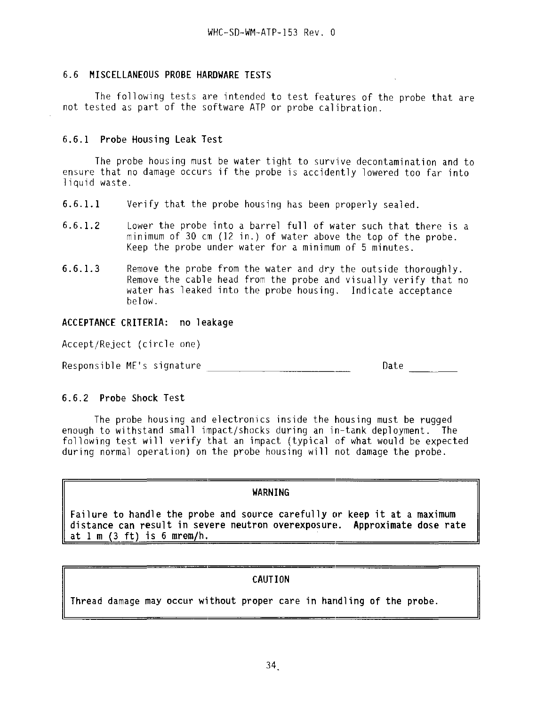## 6.6 **MISCELLANEOUS PROBE HARDWARE TESTS**

The following tests are intended to test features of the probe that are not tested as part of the software ATP or probe calibration.

## **6.6.1 Probe Housing Leak Test**

The probe housing must be water tight to survive decontamination and to ensure that no damage occurs if the probe is accidently lowered too far into 1iquid waste.

- **6.6.1.1** Verify that the probe housing has been properly sealed.
- 6.6.1.2 Lower the probe into a barrel full of water such that there is a minimum of 30 cm (12 in.) of water above the top of the probe. Keep the probe under water for a minimum of 5 minutes.
- 6.6.1.3 Remove the probe from the water and dry the outside thoroughly. Remove the cable head from the probe and visually verify that no water has leaked into the probe housing. Indicate acceptance below.

## ACCEPTANCE CRITERIA: no leakage

Accept/Reject (circle one)

Date and the set of the set of the set of the set of the set of the set of the set of the set of the set of the

Responsible ME's signature Date

## 6.6.2 **Probe Shock Test**

The probe housing and electronics inside the housing must be rugged enough to withstand small impact/shocks during an in-tank deployment. The following test will verify that an impact (typical of what would be expected during normal operation) on the probe housing will not damage the probe.

## **WARNING**

**Failure to handle the probe and source carefully or keep it at a maximum distance can result in severe neutron overexposure. Approximate dose rate at 1 m (3 ft) is 6 mrem/h. \_\_\_\_\_**

## **CAUTION**

**Thread damage may occur without proper care in handling of the probe.**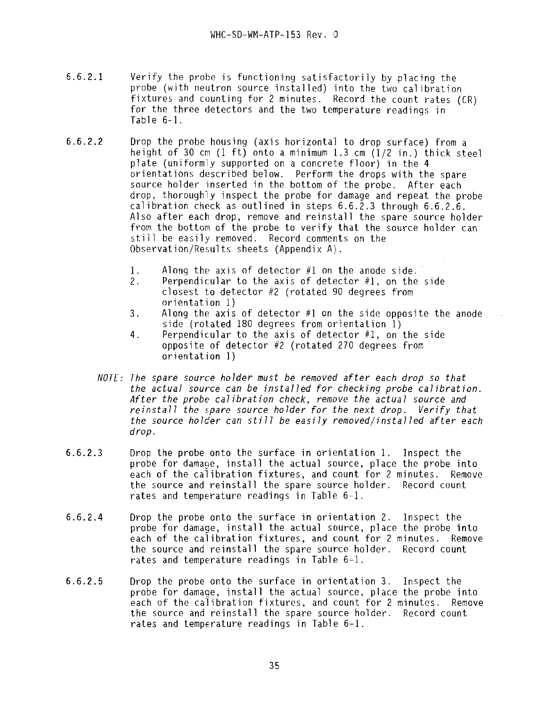- 6.6.2.1 Verify the probe is functioning satisfactorily by .placing the probe (with neutron source installed) into the two calibration fixtures and counting for 2 minutes. Record the count rates (CR) for the three detectors and the two temperature readings in Table 6-1.
- 6.6.2.2 Drop the probe housing (axis horizontal to drop surface) from a height of 30 cm (1 ft) onto a minimum 1.3 cm (1/2 in.) thick steel plate (uniformly supported on a concrete floor) in the 4 orientations described below. Perform the drops with the spare source holder inserted in the bottom of the probe. After each drop, thoroughly inspect the probe for damage and repeat the probe calibration check as outlined in steps 6.6.2.3 through 6.6.2.6. Also after each drop, remove and reinstall the spare source holder from the bottom of the probe to verify that the source holder can still be easily removed. Record comments on the Observation/Results sheets (Appendix A) .
	- 1. Along the axis of detector  $#1$  on the anode side.<br>2. Perpendicular to the axis of detector  $#1$ , on the
	- Perpendicular to the axis of detector  $#1$ , on the side closest to detector #2 (rotated 90 degrees from orientation 1)
	- 3. Along the axis of detector #1 on the side opposite the anode side (rotated 180 degrees from orientation 1)
	- 4. Perpendicular to the axis of detector #1, on the side opposite of detector #2 (rotated 270 degrees from orientation 1)
	- NOTE: The spare source holder must be removed after each drop so that the actual source can be installed for checking probe calibration. After the probe calibration check, remove the actual source and reinstall the spare source holder for the next drop. Verify that the source holder can still be easily removed/installed after each drop.
- 6.6.2.3 Drop the probe onto the surface in orientation 1. Inspect the probe for damage, install the actual source, place the probe into each of the calibration fixtures, and count for 2 minutes. Remove the source and reinstall the spare source holder. Record count rates and temperature readings in Table 6-1.
- 6.6.2.4 Drop the probe onto the surface in orientation 2. Inspect the probe for damage, install the actual source, place the probe into each of the calibration fixtures, and count for 2 minutes. Remove the source and reinstall the spare source holder. Record count rates and temperature readings in Table 6-1.
- 6.6.2.5 Drop the probe onto the surface in orientation 3. Inspect the probe for damage, install the actual source, place the probe into each of the calibration fixtures, and count for 2 minutes. Remove the source and reinstall the spare source holder. Record count rates and temperature readings in Table 6-1.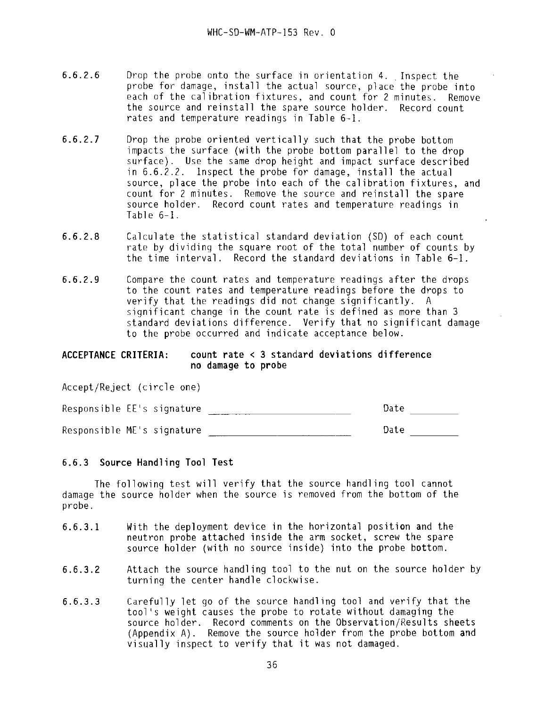- 6.6.2.6 Drop the probe onto the surface in orientation 4. Inspect the probe for damage, install the actual source, place the probe into each of the calibration fixtures, and count for 2 minutes. Remove the source and reinstall the spare source holder. Record count rates and temperature readings in Table 6-1.
- 6.6.2.7 Drop the probe oriented vertically such that the probe bottom impacts the surface (with the probe bottom parallel to the drop surface). Use the same drop height and impact surface described in 6.6.2.2. Inspect the probe for damage, install the actual source, place the probe into each of the calibration fixtures, and count for 2 minutes. Remove the source and reinstall the spare source holder. Record count rates and temperature readings in Table 6-1.
- 6.6.2.8 Calculate the statistical standard deviation (SD) of each count rate by dividing the square root of the total number of counts by the time interval. Record the standard deviations in Table 6-1.
- 6.6.2.9 Compare the count rates and temperature readings after the drops to the count rates and temperature readings before the drops to verify that the readings did not change significantly. A significant change in the count rate is defined as more than 3 standard deviations difference. Verify that no significant damage to the probe occurred and indicate acceptance below.

#### **ACCEPTANCE CRITERIA: count rate < 3 standard deviations difference** no damage to probe

responsible ME's signature  $\overline{\phantom{a}}$  signature  $\overline{\phantom{a}}$  dates the  $\overline{\phantom{a}}$ 

Accept/Reject (circle one)

Date

## **6.6.3 Source Handling Tool Test**

The following test will verify that the source handling tool cannot damage the source holder when the source is removed from the bottom of the probe.

- 6.6.3.1 With the deployment device in the horizontal position and the neutron probe attached inside the arm socket, screw the spare source holder (with no source inside) into the probe bottom.
- 6.6.3.2 Attach the source handling tool to the nut on the source holder by turning the center handle clockwise.
- 6.6.3.3 Carefully let go of the source handling tool and verify that the tool's weight causes the probe to rotate without damaging the source holder. Record comments on the Observation/Results sheets (Appendix A) . Remove the source holder from the probe bottom and visually inspect to verify that it was not damaged.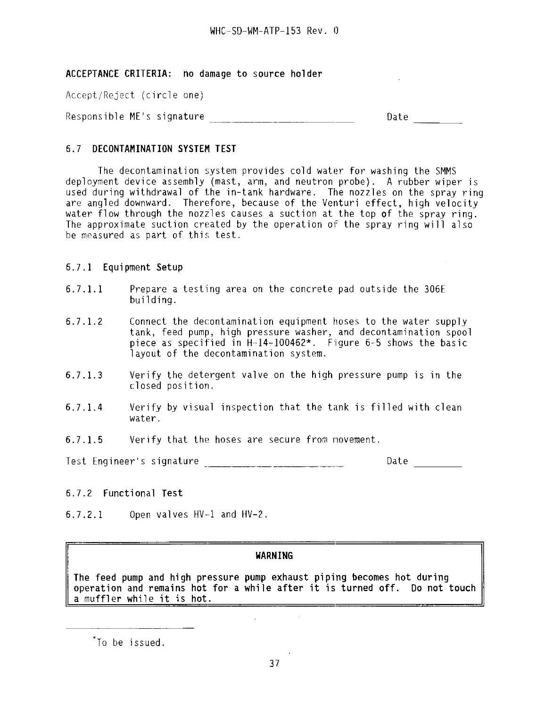**ACCEPTANCE CRITERIA:** no damage to source holder

Accept/Reject (circle one)

Responsible ME's signature \_\_\_ Date

## 6.7 **DECONTAMINATION SYSTEM TEST**

The decontamination system provides cold water for washing the SMMS deployment device assembly (mast, arm, and neutron probe). A rubber wiper is used during withdrawal of the in-tank hardware. The nozzles on the spray ring are angled downward. Therefore, because of the Venturi effect, high velocity water flow through the nozzles causes a suction at the top of the spray ring. The approximate suction created by the operation of the spray ring will also be measured as part of this test.

## 6.7.1 Equipment Setup

- 6.7.1.1 Prepare a testing area on the concrete pad outside the 306E building.
- 6.7.1.2 Connect the decontamination equipment hoses to the water supply tank, feed pump, high pressure washer, and decontamination spool piece as specified in H-14-100462\*. Figure 6-5 shows the basic layout of the decontamination system.
- 6.7.1.3 Verify the detergent valve on the high pressure pump is in the closed position.
- 6.7.1.4 Verify by visual inspection that the tank is filled with clean water.
- 6.7.1.5 Verify that the hoses are secure from novement.

Test Engineer's signature  $\Box$  Date  $\Box$ 

## 6.7.2 Functional Test

6.7.2.1 Open valves HV-1 and HV-2.

## **WARNING**

The feed **pump and high pressure pump exhaust piping becomes hot during operation and remains hot for a while after it is turned off. Do not touch** a muffler while it is **hot.**

To be issued.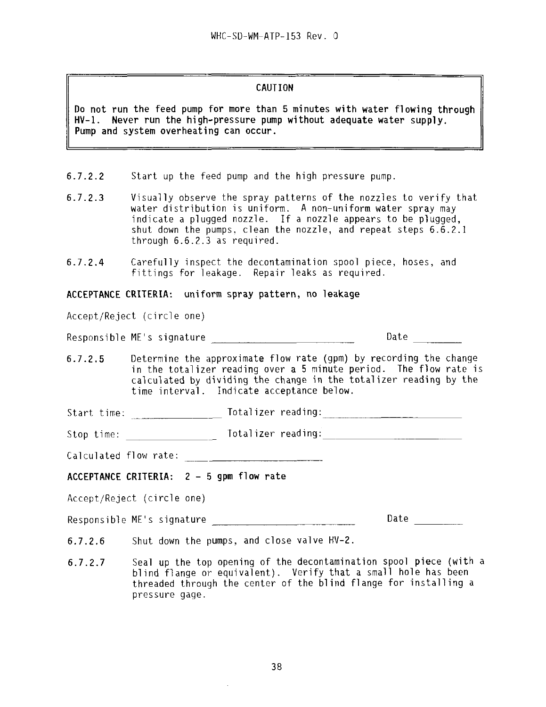#### **CAUTION**

**Do not run** the **feed pump for more than 5 minutes with water flowing through HV-1. Never run the high-pressure pump without adequate water supply. Pump and system overheating can occur.**

- 6.7.2.2 Start up the feed pump and the high pressure pump.
- 6.7.2.3 Visually observe the spray patterns of the nozzles to verify that water distribution is uniform. A non-uniform water spray may indicate a plugged nozzle. If a nozzle appears to be plugged. shut down the pumps, clean the nozzle, and repeat steps 6.6.2.1 through 6.6.2.3 as required.
- 6.7.2.4 Carefully inspect the decontamination spool piece, hoses, and fittings for leakage. Repair leaks as required.

**ACCEPTANCE CRITERIA: uniform spray pattern, no leakage**

Accept/Reject (circle one)

Responsible ME's signature **All and Separature** Date Date

6.7.2.5 Determine the approximate flow rate (gpm) by recording the change in the totalizer reading over a 5 minute period. The flow rate is calculated by dividing the change in the totalizer reading by the time interval. Indicate acceptance below.

Start time: Totalizer reading:

Stop time: \_\_\_\_\_\_\_\_\_\_\_\_\_\_\_\_\_\_\_\_\_\_\_ Totalizer reading:

Calculated flow rate:

**ACCEPTANCE CRITERIA:**  $2 - 5$  gdm flow rate

Accept/Reject (circle one)

Responsible ME's signature \_\_\_\_\_^\_^\_\_^\_\_\_\_\_\_ Date

- 6.7.2.6 Shut down the pumps, and close valve HV-2.
- 6.7.2.7 Seal up the top opening of the decontamination spool piece (with a blind flange or equivalent). Verify that a small hole has been threaded through the center of the blind flange for installing a pressure gage.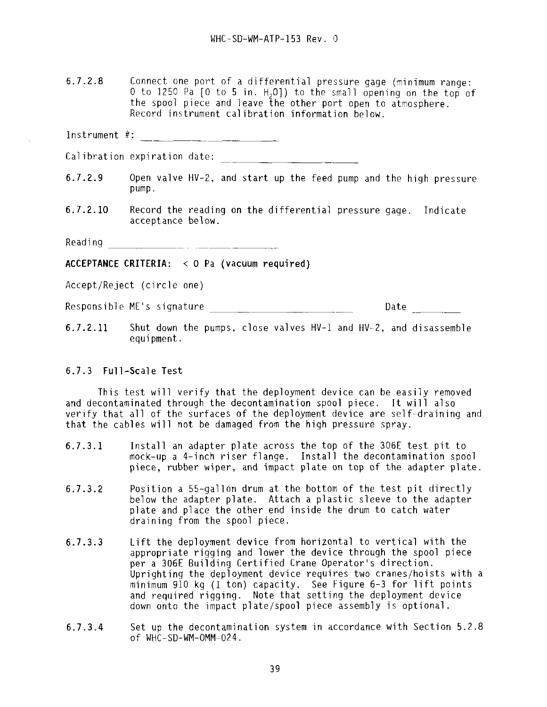6.7.2.8 Connect one port of a differentia] pressure gage (minimum range: 0 to 1250 Pa  $\lceil 0 \rceil$  to 5 in. H<sub>2</sub>01) to the small opening on the top of the spool piece and leave the other port open to atmosphere. Record instrument calibration information below.

Instrument #:

Calibration expiration date:

- 6.7.2.9 Open valve HV-2, and start up the feed pump and the high pressure pump.
- 6.7.2.10 Record the reading on the differential pressure gage. Indicate acceptance below.

Reading

**ACCEPTANCE CRITERIA: < 0 Pa (vacuum required)**

Accept/Reject (circle one)

Responsible ME's signature and the contract of the Date of the Date of the Contract of the Contract of the Date of the Date of the Contract of the Date of the Date of the Date of the Date of the Date of the Date of the Dat

6.7.2.11 Shut down the pumps, close valves HV-1 and HV-2, and disassemble equipment.

#### 6.7.3 **Full-Scale Test**

This test will verify that the deployment device can be easily removed and decontaminated through the decontamination spool piece. It will also verify that all of the surfaces of the deployment device are self-draining and that the cables will not be damaged from the high pressure spray.

- 6.7.3.1 Install an adapter plate across the top of the 306E test pit to mock-up a 4-inch riser flange. Install the decontamination spool piece, rubber wiper, and impact plate on top of the adapter plate.
- 6.7.3.2 Position a 55-gallon drum at the bottom of the test pit directly below the adapter plate. Attach a plastic sleeve to the adapter plate and place the other end inside the drum to catch water draining from the spool piece.
- 6.7.3.3 Lift the deployment device from horizontal to vertical with the appropriate rigging and lower the device through the spool piece per a 306E Building Certified Crane Operator's direction. Uprighting the deployment device requires two cranes/hoists with a minimum 910 kg (1 ton) capacity. See Figure 6-3 for lift points and required rigging. Note that setting the deployment device down onto the impact plate/spool piece assembly is optional.
- 6.7.3.4 Set up the decontamination system in accordance with Section 5.2.8 of WHC-SD-WM-OMM-024.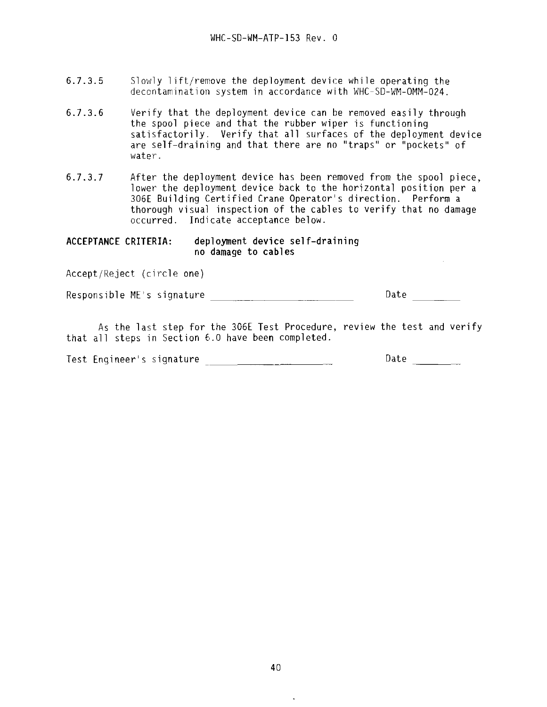- 6.7.3.5 Slowly lift/remove the deployment device while operating the decontamination system in accordance with WHC-SD-WM-OMM-024.
- 6.7.3.6 Verify that the deployment device can be removed easily through the spool piece and that the rubber wiper is functioning satisfactorily. Verify that all surfaces of the deployment device are self-draining and that there are no "traps" or "pockets" of water.
- 6.7.3.7 After the deployment device has been removed from the spool piece, lower the deployment device back to the horizontal position per a 306E Building Certified Crane Operator's direction. Perform a thorough visual inspection of the cables to verify that no damage occurred. Indicate acceptance below.

 $\sim 10^7$ 

**ACCEPTANCE CRITERIA: deployment device self-draining**

Accept/Reject (circle one)

responsible ME's signature  $\overline{\phantom{a}}$  signature  $\overline{\phantom{a}}$  signature  $\overline{\phantom{a}}$  signature  $\overline{\phantom{a}}$ 

As the last step for the 306E Test Procedure, review the test and verify that all steps in Section 6.0 have been completed.

| Test Engineer's signature |                          | Date |
|---------------------------|--------------------------|------|
|                           | $\overline{\phantom{a}}$ |      |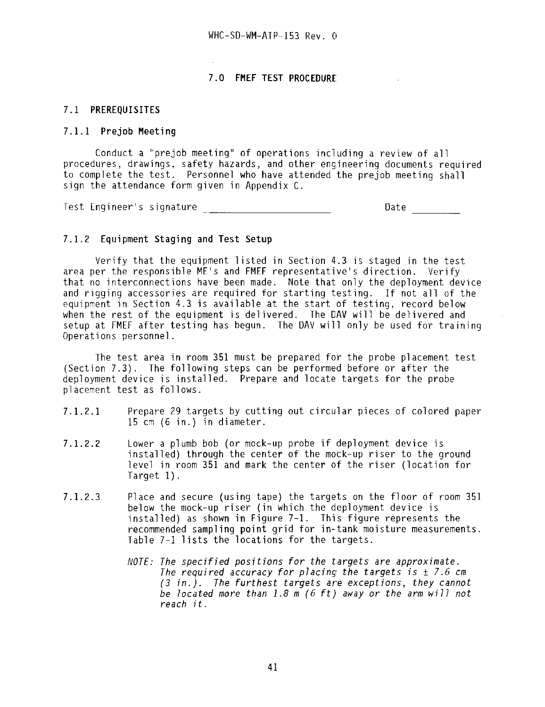#### **7.0 FMEF TEST PROCEDURE**

#### **7.1 PREREQUISITES**

#### **7.1.1 Prejob Meeting**

Conduct a "prejob meeting" of operations including a review of all procedures, drawings, safety hazards, and other engineering documents required to complete the test. Personnel who have attended the prejob meeting shall sign the attendance form given in Appendix C.

Test Engineer's signature Date

#### **7.1.2 Equipment Staging and Test Setup**

Verify that the equipment listed in Section 4.3 is staged in the test area per the responsible ME's and FMEF representative's direction. Verify that no interconnections have been made. Note that only the deployment device and rigging accessories are required for starting testing. If not all of the equipment in Section 4.3 is available at the start of testing, record below when the rest of the equipment is delivered. The DAV will be delivered and setup at FMEF after testing has begun. The DAV will only be used for training Operations personnel.

The test area in room 351 must be prepared for the probe placement test (Section 7.3). The following steps can be performed before or after the deployment device is installed. Prepare and locate targets for the probe placement test as follows.

- 7.1.2.1 Prepare 29 targets by cutting out circular pieces of colored paper 15 cm (6 in.) in diameter.
- 7.1.2.2 Lower a plumb bob (or mock-up probe if deployment device is installed) through the center of the mock-up riser to the ground level in room 351 and mark the center of the riser (location for Target 1).
- 7.1.2.3 Place and secure (using tape) the targets on the floor of room 351 below the mock-up riser (in which the deployment device is installed) as shown in Figure 7-1. This figure represents the recommended sampling point grid for in-tank moisture measurements. Table 7-1 lists the locations for the targets.
	- NOTE: The specified positions for the targets are approximate. The required accuracy for placing the targets is  $\pm$  7.6 cm (3 in.). The furthest targets are exceptions, they cannot be located more than 1.8 m (6 ft) away or the arm will not reach it.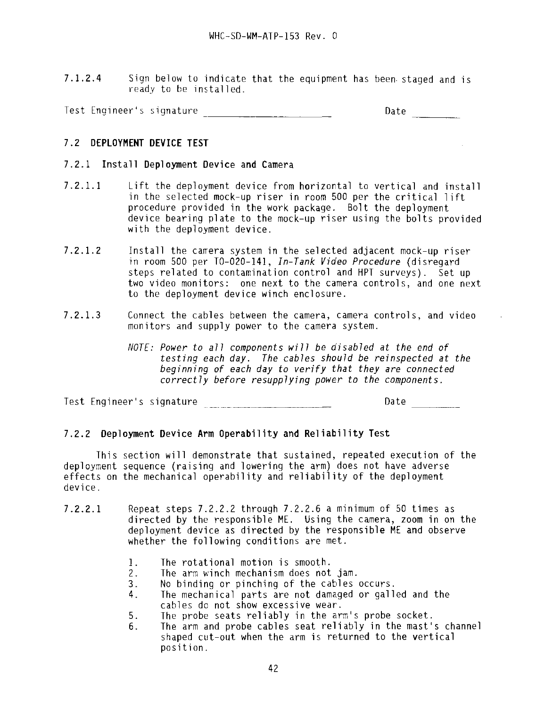7.1.2.4 Sign below to indicate that the equipment has been- staged and is ready to be installed.

Test Engineer's signature Date

## 7.2 **DEPLOYMENT DEVICE TEST**

## **7.2.1 Install Deployment Device and Camera**

**7.2.1.1** Lift the deployment device from horizontal to vertical and install in the selected mock-up riser in room 500 per the critical lift procedure provided in the work package. Bolt the deployment device bearing plate to the mock-up riser using the bolts provided with the deployment device.

 $\sim 10$ 

- 7.2.1.2 Install the camera system in the selected adjacent mock-up riser in room 500 per TO-020-141, In-Tank Video Procedure (disregard steps related to contamination control and HPT surveys). Set up two video monitors: one next to the camera controls, and one next to the deployment device winch enclosure.
- 7.2.1.3 Connect the cables between the camera, camera controls, and video monitors and supply power to the camera system.
	- NOTE: Power to all components will be disabled at the end of testing each day. The cables should be reinspected at the beginning of each day to verify that they are connected correctly before resuppiying power to the components.

Test Engineer's signature entitled and the Date of Date of Date and Date and Date of Date of Date of Date and D

## **7.2.2 Deployment Device Arm Operability and Reliability Test**

This section will demonstrate that sustained, repeated execution of the deployment sequence (raising and lowering the arm) does not have adverse effects on the mechanical operability and reliability of the deployment device.

- **7.2.2.1** Repeat steps 7.2.2.2 through 7.2.2.6 a minimum of 50 times as directed by the responsible ME. Using the camera, zoom in on the deployment device as directed by the responsible ME **and** observe whether the following conditions are met.
	- 1. The rotational motion is smooth.
	- 2. The arm winch mechanism does not jam.
	- 3. No binding or pinching of the cables occurs.<br>4. The mechanical parts are not damaged or galle
	- The mechanical parts are not damaged or galled and the cables do not show excessive wear.
	- 5. The probe seats reliably in the arm's probe socket.
	- 6. The arm and probe cables seat reliably in the mast's channel shaped cut-out when the arm is returned to the vertical position.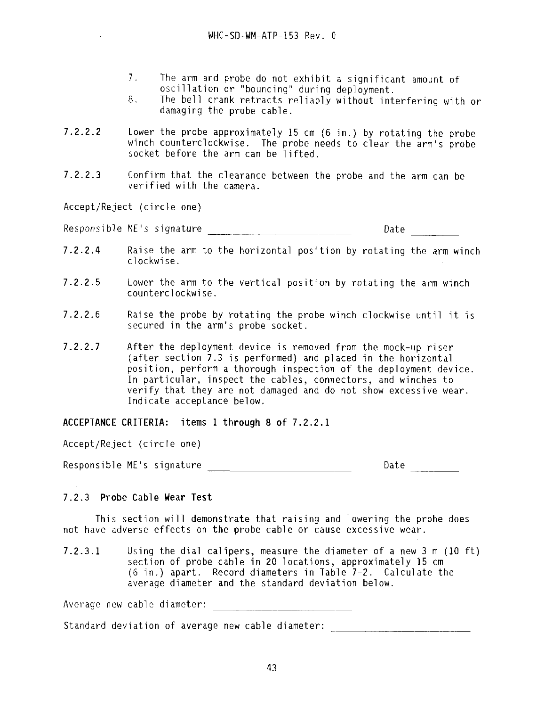- 7. The arm and probe do not exhibit a significant amount of oscillation or "bouncing" during deployment.
- 8. The bell crank retracts reliably without interfering with or damaging the probe cable.
- 7.2.2.2 Lower the probe approximately 15 cm (6 in.) by rotating the probe winch counterclockwise. The probe needs to clear the arm's probe socket before the arm can be lifted.
- 7.2.2.3 Confirm that the clearance between the probe and the arm can be verified with the camera.

Accept/Reject (circle one)

Responsible ME's signature example of the Date Date

- 7.2.2.4 Raise the arm to the horizontal position by rotating the arm winch clockwise.
- 7.2.2.5 Lower the arm to the vertical position by rotating the arm winch counterclockwise.
- 7.2.2.6 Raise the probe by rotating the probe winch clockwise until it is secured in the arm's probe socket.
- 1.Z.Z.I After the deployment device is removed from the mock-up riser (after section 7.3 is performed) and placed in the horizontal position, perform a thorough inspection of the deployment device. In particular, inspect the cables, connectors, and winches to verify that they are not damaged and do not show excessive wear. Indicate acceptance below.

**ACCEPTANCE CRITERIA:** items **1 through 8 of 7.2.2.1**

Accept/Reject (circle one)

Responsible ME's signature entitled and the Date of Date of Date and Date and Date and Date of Date of Date and Date and Date and Date and Date and Date and Date and Date and Date and Date and Date and Date and Date and Da

## 7.2.3 **Probe Cable Wear Test**

This section will demonstrate that raising and lowering the probe does not have adverse effects on the probe cable or cause excessive wear.

7.2.3.1 Using the dial calipers, measure the diameter of a new 3 m (10 ft) section of probe cable in 20 locations, approximately 15 cm (6 in.) apart. Record diameters in Table 7-2. Calculate the average diameter and the standard deviation below.

Average new cable diameter:

Standard deviation of average new cable diameter: \_\_\_\_\_\_\_\_\_\_\_\_\_\_\_\_\_\_\_\_\_\_\_\_\_\_\_\_\_\_\_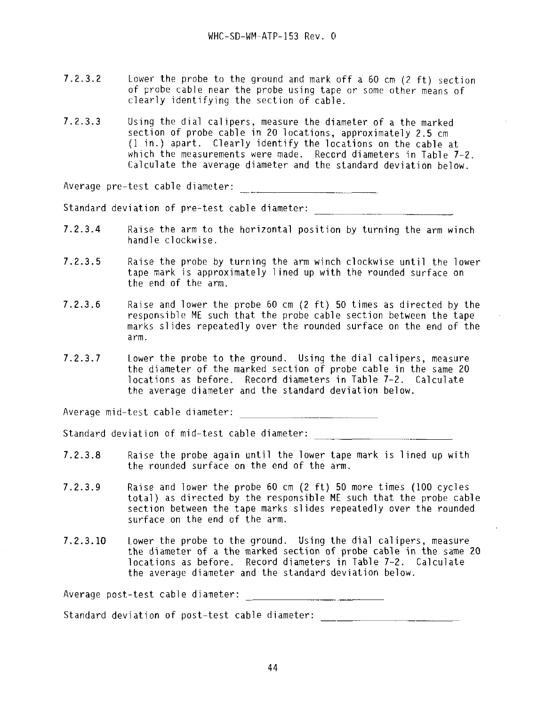- 7.2.3.2 Lower the probe to the ground and mark off a 60 cm (2 ft) section of probe cable near the probe using tape or some other means of clearly identifying the section of cable.
- 7.2.3.3 Using the dial calipers, measure the diameter of a the marked section of probe cable in 20 locations, approximately 2.5 cm (1 in.) apart. Clearly identify the locations on the cable at which the measurements were made. Record diameters in Table 7-2. Calculate the average diameter and the standard deviation below.

Average pre-test cable diameter:

Standard deviation of pre-test cable diameter:

- 7.2.3.4 Raise the arm to the horizontal position by turning the arm winch handle clockwise.
- 7.2.3.5 Raise the probe by turning the arm winch clockwise until the lower tape mark is approximately lined up with the rounded surface on the end of the arm.
- 7.2.3.6 Raise and lower the probe 60 cm (2 ft) 50 times as directed by the responsible ME such that the probe cable section between the tape marks slides repeatedly over the rounded surface on the end of the arm.
- **7.2.3.7** Lower the probe to the ground. Using the dial calipers, measure the diameter of the marked section of probe cable in the same 20 locations as before. Record diameters in Table 7-2. Calculate the average diameter and the standard deviation below.

Average mid-test cable diameter:

Standard deviation of mid-test cable diameter:

- **7.2.3.8** Raise the probe again until the lower tape mark is lined up with the rounded surface on the end of the arm.
- 7.2.3.9 Raise and lower the probe 60 cm (2 ft) 50 more times (100 cycles total) as directed by the responsible ME such that the probe cable section between the tape marks slides repeatedly over the rounded surface on the end of the arm.
- **7.2.3.10** Lower the probe to the ground. Using the dial calipers, measure the diameter of a the marked section of probe cable in the same 20 locations as before. Record diameters in Table 7-2. Calculate the average diameter and the standard deviation below.

Average post-test cable diameter:

Standard deviation of post-test cable diameter: \_\_\_\_\_\_\_\_\_\_\_\_\_\_\_\_\_\_\_\_\_\_\_\_\_\_\_\_\_\_\_\_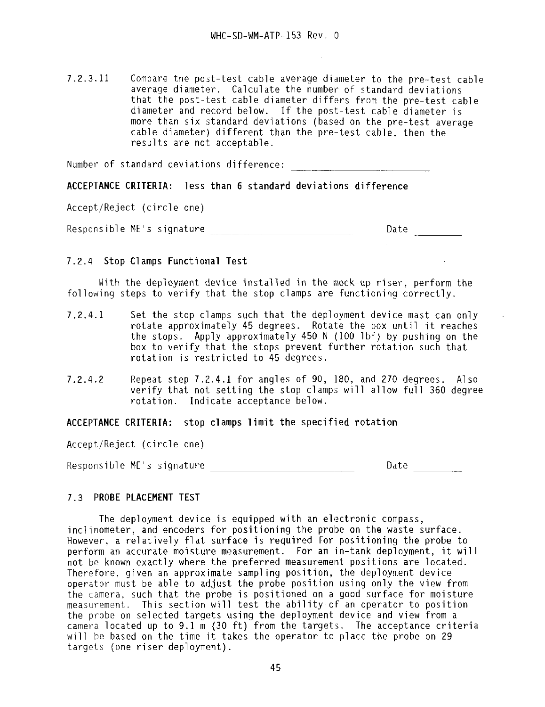7.2.3.11 Compare the post-test cable average diameter to the pre-test cable average diameter. Calculate the number of standard deviations that the post-test cable diameter differs from the pre-test cable diameter and record below. If the post-test cable diameter is more than six standard deviations (based on the pre-test average cable diameter) different than the pre-test cable, then the results are not acceptable.

Number of standard deviations difference:

**ACCEPTANCE CRITERIA:** less **than 6 standard deviations difference**

Accept/Reject (circle one)

Responsible ME's signature description of the Date Date

## 7.2.4 Stop Clamps **Functional Test**

With the deployment device installed in the mock-up riser, perform the following steps to verify that the stop clamps are functioning correctly.

- 7.2.4.1 Set the stop clamps such that the deployment device mast can only rotate approximately 45 degrees. Rotate the box until it reaches the stops. Apply approximately 450 N (100 Ibf) by pushing on the box to verify that the stops prevent further rotation such that rotation is restricted to 45 degrees.
- 7.2.4.2 Repeat step  $7.2.4.1$  for angles of 90, 180, and 270 degrees. Also verify that not setting the stop clamps will allow full 360 degree rotation. Indicate acceptance below.

**ACCEPTANCE CRITERIA: stop clamps limit the specified rotation**

Accept/Reject (circle one)

Responsible ME's signature development of the Date Date

## 7.3 **PROBE PLACEMENT TEST**

The deployment device is equipped with an electronic compass, inclinometer, and encoders for positioning the probe on the waste surface. However, a relatively flat surface is required for positioning the probe to perform an accurate moisture measurement. For an in-tank deployment, it will not be known exactly where the preferred measurement positions are located. Therefore, given an approximate sampling position, the deployment device operator must be able to adjust the probe position using only the view from the camera, such that the probe is positioned on a good surface for moisture measurement. This section will test the ability of an operator to position the probe on selected targets using the deployment device and view from a camera located up to 9.1 m (30 ft) from the targets. The acceptance criteria will be based on the time it takes the operator to place the probe on 29 targets (one riser deployment).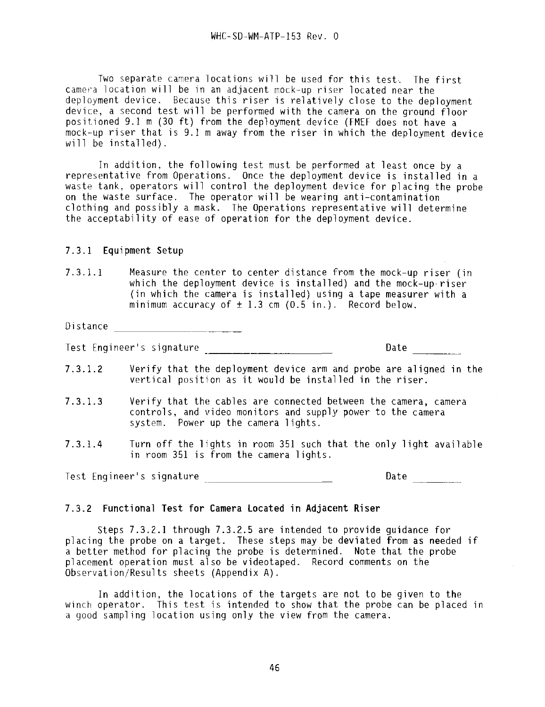Two separate camera locations will be used for this test. The first camera location will be in an adjacent mock-up riser located near the deployment device. Because this riser is relatively close to the deployment device, a second test will be performed with the camera on the ground floor positioned 9.1 m (30 ft) from the deployment device (FMEF does not have a mock-up riser that is  $9.1$  m away from the riser in which the deployment device will be installed).

In addition, the following test must be performed at least once by a representative from Operations. Once the deployment device is installed in a waste tank, operators will control the deployment device for placing the probe on the waste surface. The operator will be wearing anti-contamination clothing and possibly a mask. The Operations representative will determine the acceptability of ease of operation for the deployment device.

#### 7.3.1 Equipment Setup

7.3.1.1 Measure the center to center distance from the mock-up riser (in which the deployment device is installed) and the mock-up riser (in which the camera is installed) using a tape measurer with a minimum accuracy of  $\pm$  1.3 cm (0.5 in.). Record below.

Distance

Test Engineer's signature and the contract of the Date of Date of Date and Date of the Date of the Date of the Date of the Date of the Date of the Date of the Date of the Date of the Date of the Date of the Date of the Dat

- 7.3.1.2 Verify that the deployment device arm and probe are aligned in the vertical position as it would be installed in the riser.
- 7.3.1.3 Verify that the cables are connected between the camera, camera controls, and video monitors and supply power to the camera system. Power up the camera lights.
- 7.3.1.4 Turn off the lights in room 351 such that the only light available in room 351 is from the camera lights.

Test Engineer's signature and the Date of Date Date

## 7.3.2 **Functional Test for Camera Located in Adjacent Riser**

Steps 7.3.2.1 through 7.3.2.5 are intended to provide guidance for placing the probe on a target. These steps may be deviated from as needed if a better method for placing the probe is determined. Note that the probe placement operation must also be videotaped. Record comments on the Observation/Results sheets (Appendix A) .

In addition, the locations of the targets are not to be given to the winch operator. This test is intended to show that the probe can be placed in a good sampling location using only the view from the camera.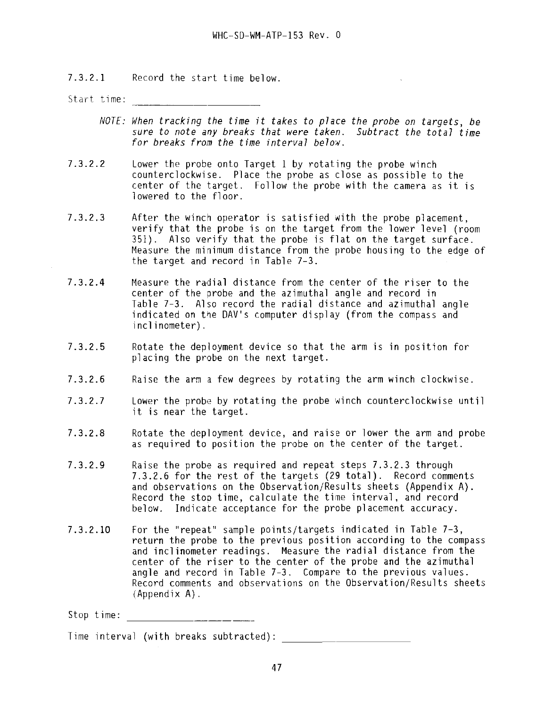7.3.2.1 Record the start time below.

Start time:

- NOTE: When tracking the time it takes to place the probe on targets, be sure to note any breaks that were taken. Subtract the total time for breaks from the time interval below.
- 7.3.2.2 Lower the probe onto Target 1 by rotating the probe winch counterclockwise. Place the probe as close as possible to the center of the target. Follow the probe with the camera as it is lowered to the floor.
- 7.3.2.3 After the winch operator is satisfied with the probe placement, verify that the probe is on the target from the lower level (room 351). Also verify that the probe is flat on the target surface. Measure the minimum distance from the probe housing to the edge of the target and record in Table 7-3.
- 7.3.2.4 Measure the radial distance from the center of the riser to the center of the probe and the azimuthal angle and record in Table 7-3. Also record the radial distance and azimuthal angle indicated on the DAV's computer display (from the compass and inclinometer).
- 7.3.2.5 Rotate the deployment device so that the arm is in position for placing the probe on the next target.
- 7.3.2.6 Raise the arm a few degrees by rotating the arm winch clockwise.
- 7.3.2.7 Lower the probe by rotating the probe winch counterclockwise until it is near the target.
- 7.3.2.8 Rotate the deployment device, and raise or lower the arm and probe as required to position the probe on the center of the target.
- 7.3.2.9 Raise the probe as required and repeat steps 7.3.2.3 through 7.3.2.6 for the rest of the targets (29 total). Record comments and observations on the Observation/Results sheets (Appendix A) . Record the stop time, calculate the time interval, and record below. Indicate acceptance for the probe placement accuracy.
- 7.3.2.10 For the "repeat" sample points/targets indicated in Table 7-3, return the probe to the previous position according to the compass and inclinometer readings. Measure the radial distance from the center of the riser to the center of the probe and the azimuthal angle and record in Table 7-3. Compare to the previous values. Record comments and observations on the Observation/Results sheets (Appendix A).

Stop time:

Time interval (with breaks subtracted):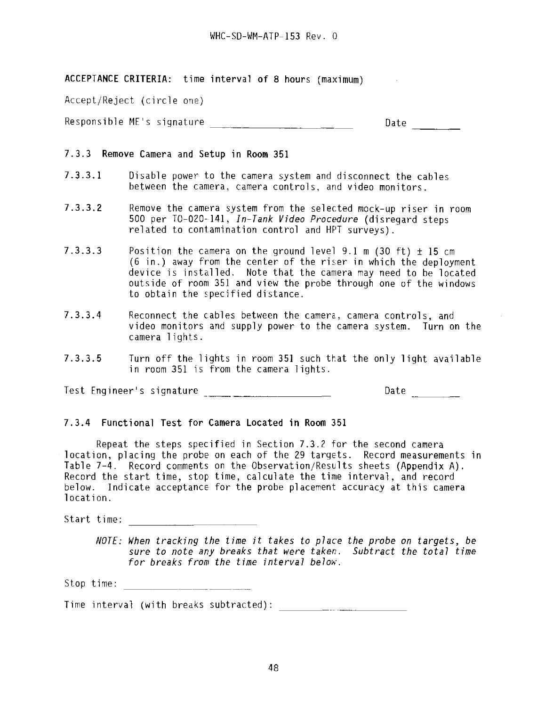**ACCEPTANCE CRITERIA:** time interval of 8 hours (maximum)

Accept/Reject (circle one)

Responsible ME's signature \_\_\_\_\_\_\_\_\_\_\_\_\_\_\_\_\_\_\_\_\_\_\_\_\_\_\_\_\_\_\_\_\_\_ Date \_\_\_\_\_\_\_\_\_\_\_\_\_

#### 7.3.3 **Remove Camera** and **Setup in Room** 351

- 7.3.3.1 Disable power to the camera system and disconnect the cables between the camera, camera controls, and video monitors.
- 7.3.3.2 Remove the camera system from the selected mock-up riser in room 500 per TO-020-141, In-Tank Video Procedure (disregard steps related to contamination control and HPT surveys).
- 7.3.3.3 Position the camera on the ground level 9.1 m (30 ft)  $\pm$  15 cm (6 in.) away from the center of the riser in which the deployment device is installed. Note that the camera may need to be located outside of room 351 and view the probe through one of the windows to obtain the specified distance.
- 7.3.3.4 Reconnect the cables between the camera, camera controls, and video monitors and supply power to the camera system. Turn on the camera 1ights.
- 7.3.3.5 Turn off the lights in room 351 such that the only light available in room 351 is from the camera lights.

Test Engineer's signature Date

#### **7.3.4 Functional Test for Camera Located in Room** 351

Repeat the steps specified in Section 7.3.2 for the second camera location, placing the probe on each of the 29 targets. Record measurements in Table 7-4. Record comments on the Observation/Results sheets (Appendix A) . Record the start time, stop time, calculate the time interval, and record below. Indicate acceptance for the probe placement accuracy at this camera location.

Start time:

NOTE: When tracking the time it takes to place the probe on targets, be sure to note any breaks that were taken. Subtract the total time for breaks from the time interval below.

Stop time:

Time interval (with breaks subtracted):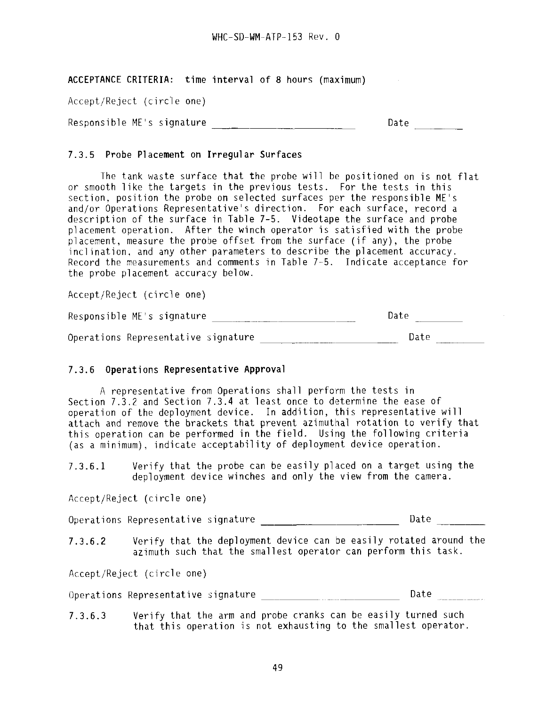**ACCEPTANCE CRITERIA: time interval of 8 hours (maximum)**

Accept/Reject (circle one)

Responsible ME's signature \_\_\_ \_\_ \_\_ \_\_\_ \_\_\_\_\_\_\_\_\_\_\_\_\_\_\_\_\_\_\_ Date \_\_\_\_\_\_\_\_\_\_\_\_\_\_

## 7.3.5 **Probe Placement on Irregular Surfaces**

The tank waste surface that the probe will be positioned on is not flat or smooth like the targets in the previous tests. For the tests in this section, position the probe on selected surfaces per the responsible ME's and/or Operations Representative's direction. For each surface, record a description of the surface in Table 7-5. Videotape the surface and probe placement operation. After the winch operator is satisfied with the probe placement, measure the probe offset from the surface (if any), the probe inclination, and any other parameters to describe the placement accuracy. Record the measurements and comments in Table 7-5. Indicate acceptance for the probe placement accuracy below.

Accept/Reject (circle one)

Responsible ME's signature \_\_\_ Da te

Operations Representative signature Date Date

## 7.3.6 **Operations Representative Approval**

A representative from Operations shall perform the tests in Section 7.3.2 and Section 7.3.4 at least once to determine the ease of operation of the deployment device. In addition, this representative will attach and remove the brackets that prevent azimuthal rotation to verify that this operation can be performed in the field. Using the following criteria (as a minimum), indicate acceptability of deployment device operation.

7.3.6.1 Verify that the probe can be easily placed on a target using the deployment device winches and only the view from the camera.

Accept/Reject (circle one)

Operations Representative signature \_\_\_\_\_\_\_\_\_\_\_\_\_\_\_\_\_\_\_\_\_\_\_\_\_\_\_\_\_\_\_\_\_ Date

7.3.6.2 Verify that the deployment device can be easily rotated around the azimuth such that the smallest operator can perform this task.

Accept/Reject (circle one)

Operations Representative signature Date

7.3.6.3 Verify that the arm and probe cranks can be easily turned such that this operation is not exhausting to the smallest operator.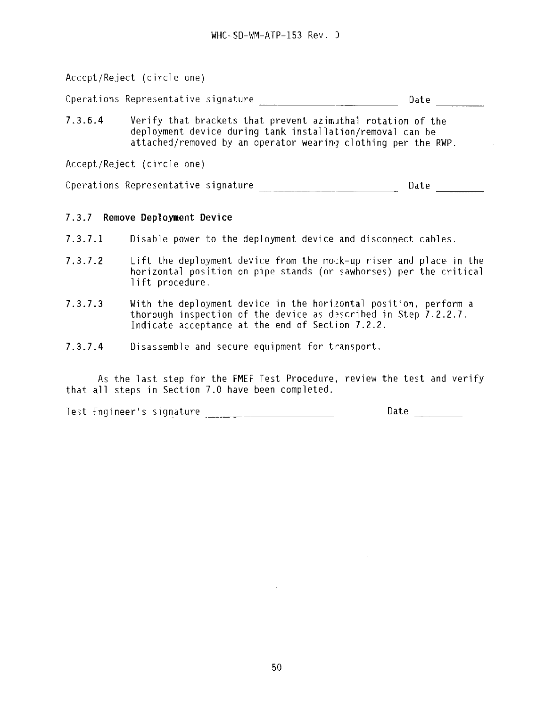Accept/Reject (circle one)  $\sim 10^{-1}$ Operations Representative signature Date Date 7.3.6.4 Verify that brackets that prevent azimuthal rotation of the deployment device during tank installation/removal can be attached/removed by an operator wearing clothing per the RWP. Accept/Reject (circle one) Operations Representative signature \_\_\_\_\_\_\_\_\_\_\_\_\_\_\_\_\_\_\_\_\_\_\_\_\_\_\_\_\_\_\_\_\_\_\_Date \_\_\_\_\_\_\_\_\_\_

## **7.3.7 Remove Deployment Device**

- **7.3.7.1** Disable power to the deployment device and disconnect cables.
- 7.3.7.2 Lift the deployment device from the mock-up riser and place in the horizontal position on pipe stands (or sawhorses) per the critical 1ift procedure.
- 7.3.7.3 With the deployment device in the horizontal position, perform a thorough inspection of the device as described in Step 7.2.2.7. Indicate acceptance at the end of Section 7.2.2.
- 7.3.7.4 Disassemble and secure equipment for transport.

As the last step for the FMEF Test Procedure, review the test and verify that all steps in Section 7.0 have been completed.

Test Engineer's signature \_\_\_\_\_\_\_\_\_\_\_\_\_\_\_\_\_\_\_\_\_\_\_\_\_\_\_\_\_\_\_\_\_\_\_Date \_\_\_\_\_\_\_\_\_\_\_\_\_\_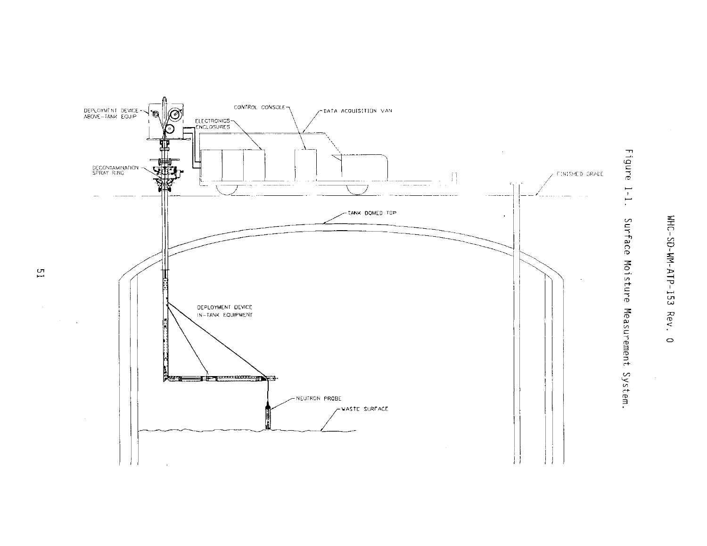

**o**i CO**o**I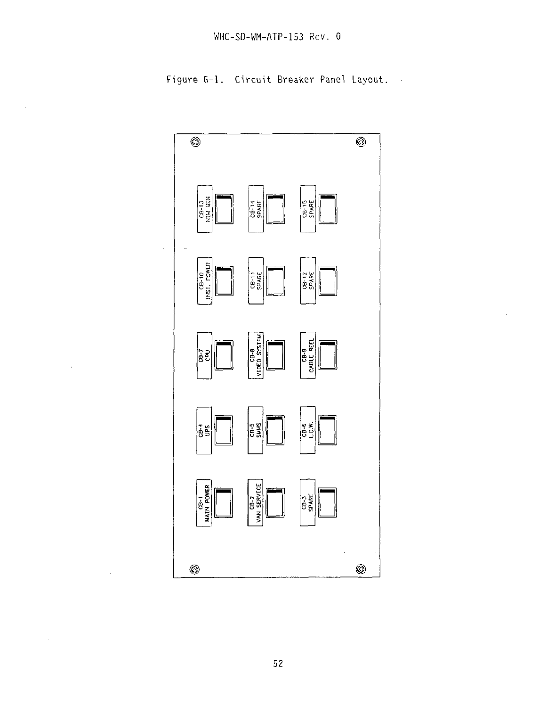Figure 6-1. Circuit Breaker Panel Layout

 $\hat{\mathcal{A}}$ 

 $\hat{\mathcal{A}}$ 

 $\sim$ 



52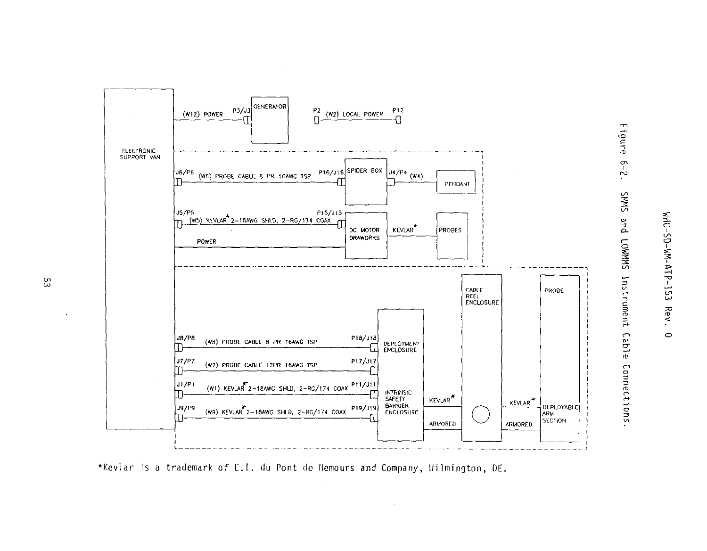

\*Kevlar is a trademark of E.I. du Pont de Nemours and Company, Wilmington, DE.

ပ္ပ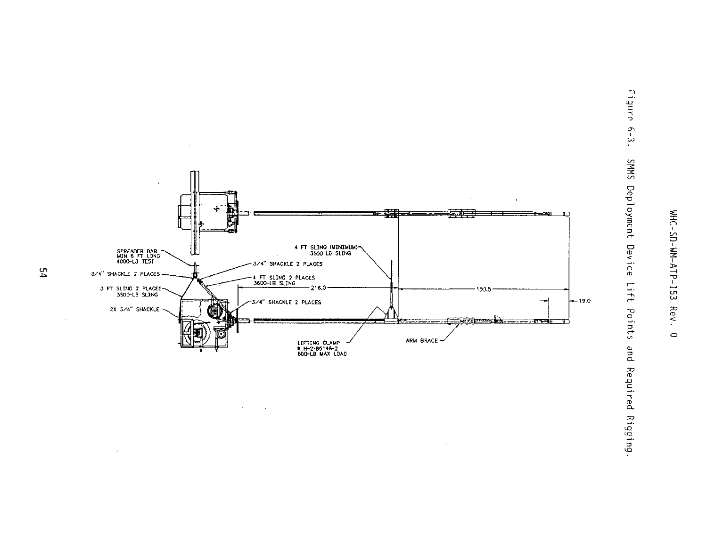





 $\sim 10^{-1}$ 

 $\alpha$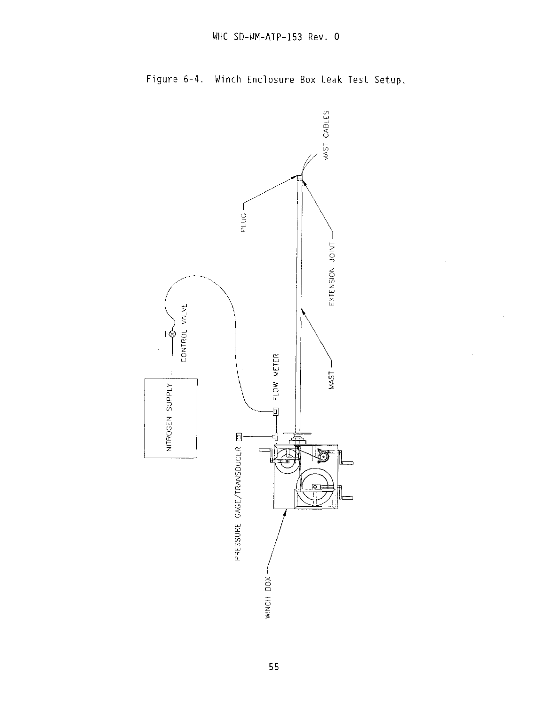

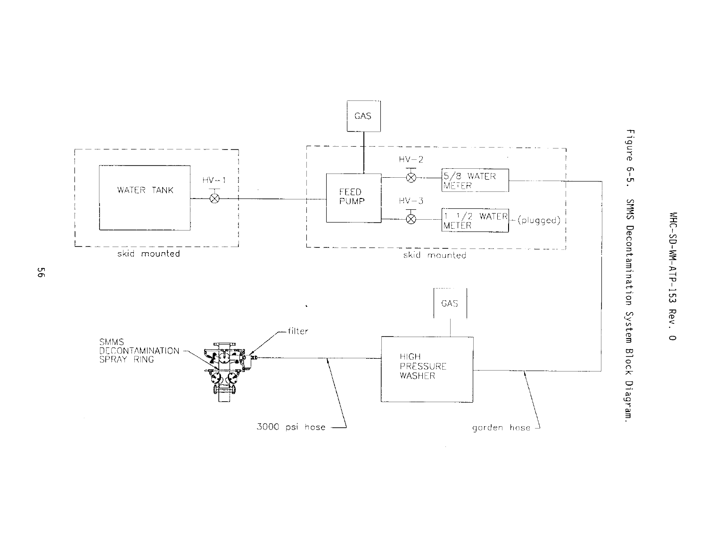



ငှ<br>-

ᅎ

 $\circ$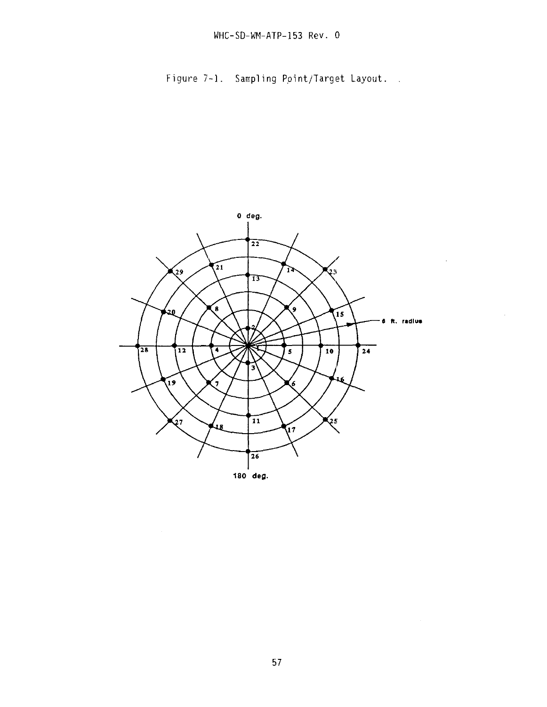Figure 7-1. Sampling Point/Target Layout.



 $\bar{z}$ 

 $\sim 10^{11}$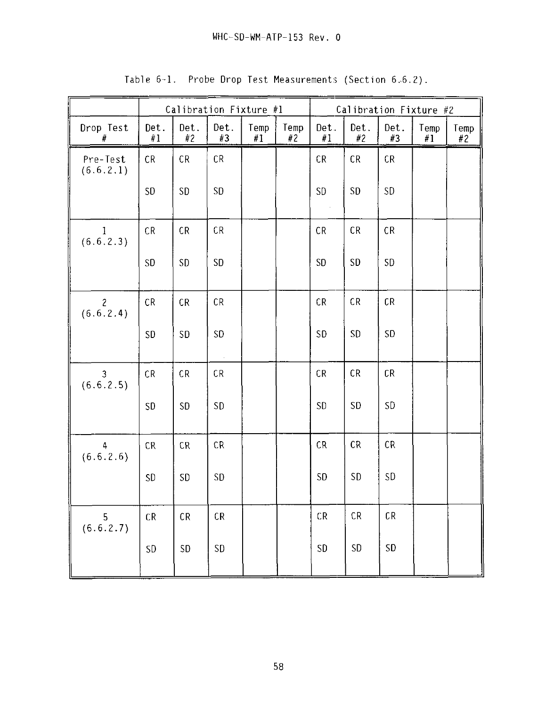|                             | Calibration Fixture #1 |            |            |            |            | Calibration Fixture #2 |            |            |            |            |
|-----------------------------|------------------------|------------|------------|------------|------------|------------------------|------------|------------|------------|------------|
| Drop Test<br>#              | Det.<br>#1             | Det.<br>#2 | Det.<br>#3 | Temp<br>#1 | Temp<br>#2 | Det.<br>#1             | Det.<br>#2 | Det.<br>#3 | Temp<br>#1 | Temp<br>#2 |
| Pre-Test<br>(6.6.2.1)       | CR                     | CR         | CR         |            |            | CR                     | CR         | CR         |            |            |
|                             | <b>SD</b>              | SD         | <b>SD</b>  |            |            | <b>SD</b><br>$\sim$    | <b>SD</b>  | <b>SD</b>  |            |            |
| $\mathbf{I}$<br>(6.6.2.3)   | CR                     | CR         | CR         |            |            | CR                     | CR         | CR         |            |            |
|                             | SD                     | <b>SD</b>  | <b>SD</b>  |            |            | <b>SD</b>              | <b>SD</b>  | <b>SD</b>  |            |            |
| $\overline{c}$<br>(6.6.2.4) | CR                     | CR         | CR         |            |            | CR                     | CR         | CR         |            |            |
|                             | <b>SD</b>              | SD         | <b>SD</b>  |            |            | <b>SD</b>              | <b>SD</b>  | <b>SD</b>  |            |            |
| $\overline{3}$<br>(6.6.2.5) | CR                     | CR         | CR         |            |            | CR                     | CR         | CR         |            |            |
|                             | <b>SD</b>              | <b>SD</b>  | SD         |            |            | SD                     | SD         | SD         |            |            |
| 4<br>(6.6.2.6)              | CR                     | CR         | CR         |            |            | CR                     | CR         | CR         |            |            |
|                             | SD                     | <b>SD</b>  | <b>SD</b>  |            |            | <b>SD</b>              | <b>SD</b>  | <b>SD</b>  |            |            |
| $5$<br>(6.6.2.7)            | ${\sf CR}$             | ${\sf CR}$ | CR         |            |            | ${\sf CR}$             | ${\sf CR}$ | ${\sf CR}$ |            |            |
|                             | <b>SD</b>              | SD         | SD         |            |            | SD                     | ${\sf SD}$ | <b>SD</b>  |            |            |

Table 6-1. Probe Drop Test Measurements (Section 6.6.2).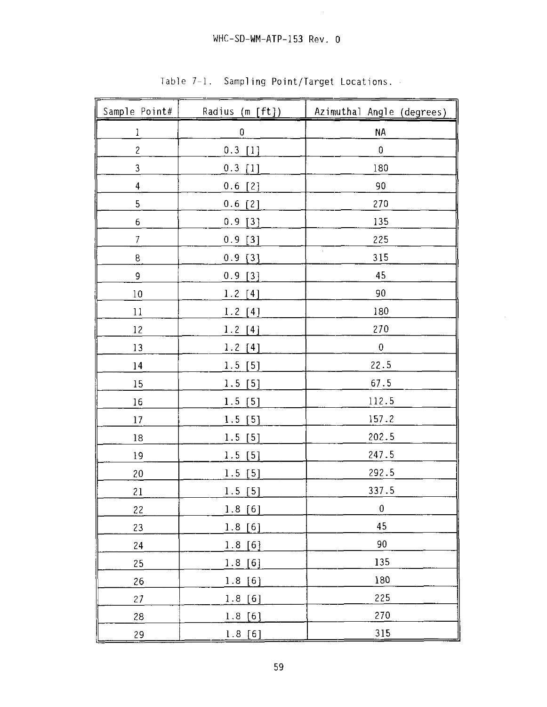| Sample Point#    | Radius (m [ft]) | Azimuthal Angle (degrees) |
|------------------|-----------------|---------------------------|
| $\mathbf{1}$     | $\pmb{0}$       | <b>NA</b>                 |
| $\overline{c}$   | $0.3$ [1]       | $\pmb{0}$                 |
| 3                | $0.3$ [1]       | 180                       |
| $\boldsymbol{4}$ | $0.6$ [2]       | 90                        |
| 5                | $0.6$ [2]       | 270                       |
| 6                | 0.9<br>[3]      | 135                       |
| $\overline{7}$   | $0.9$ [3]       | 225                       |
| $\mathsf g$      | $0.9$ [3]       | $\alpha$<br>315           |
| 9                | 0.9<br>[3]      | 45                        |
| 10               | $1.2$ [4]       | 90                        |
| 11               | $1.2$ [4]       | 180                       |
| 12               | $1.2$ [4]       | 270                       |
| 13               | $1.2$ [4]       | $\pmb{0}$                 |
| 14               | $1.5$ [5]       | 22.5                      |
| 15               | 1.5 [5]         | 67.5                      |
| 16               | 1.5[5]          | 112.5                     |
| 17               | $1.5$ [5]       | 157.2                     |
| $18\,$           | $1.5$ [5]       | 202.5                     |
| 19               | $1.5$ [5]       | 247.5                     |
| $20\,$           | 1.5[5]          | 292.5                     |
| 21               | $1.5$ [5]       | 337.5                     |
| 22               | 1.8[6]          | $\pmb{0}$                 |
| 23               | 1.8[6]          | 45                        |
| 24               | 1.8[6]          | 90                        |
| 25               | 1.8[6]          | 135                       |
| 26               | 1.8[6]          | 180                       |
| 27               | 1.8[6]          | 225                       |
| 28               | 1.8[6]          | 270                       |
| 29               | 1.8[6]          | 315                       |

 $\ddot{\phantom{a}}$ 

Table 7-1. Sampling Point/Target Locations.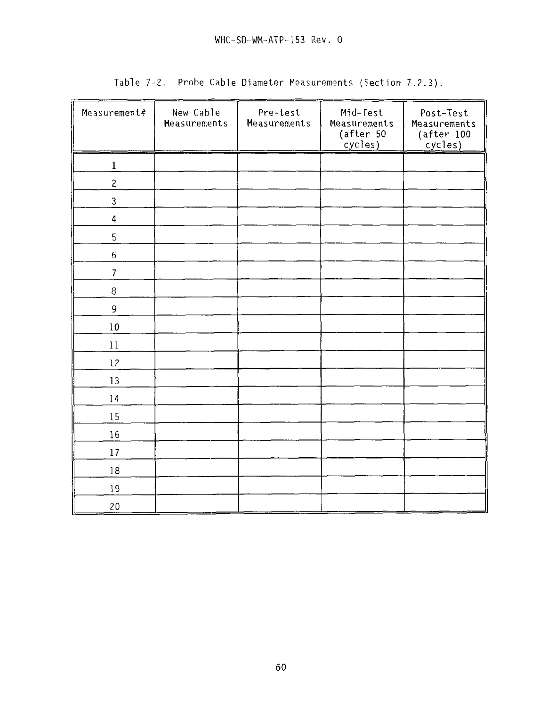| Measurement#   | New Cable<br>Measurements | Pre-test<br>Measurements | Mid-Test<br>Measurements<br>(after 50<br>cycles) | Post-Test<br>Measurements<br>(after 100<br>cycles) |
|----------------|---------------------------|--------------------------|--------------------------------------------------|----------------------------------------------------|
| $\bf{l}$       |                           |                          |                                                  |                                                    |
| $\overline{c}$ |                           |                          |                                                  |                                                    |
| 3              |                           |                          |                                                  |                                                    |
| $\overline{4}$ |                           |                          |                                                  |                                                    |
| 5              |                           |                          |                                                  |                                                    |
| $\sqrt{6}$     |                           |                          |                                                  |                                                    |
| $\overline{7}$ |                           |                          |                                                  |                                                    |
| $\,8\,$        |                           |                          |                                                  |                                                    |
| 9              |                           |                          |                                                  |                                                    |
| 10             |                           |                          |                                                  |                                                    |
| 11             |                           |                          |                                                  |                                                    |
| 12             |                           |                          |                                                  |                                                    |
| 13             |                           |                          |                                                  |                                                    |
| 14             |                           |                          |                                                  |                                                    |
| 15             |                           |                          |                                                  |                                                    |
| 16             |                           |                          |                                                  |                                                    |
| 17             |                           |                          |                                                  |                                                    |
| 18             |                           |                          |                                                  |                                                    |
| 19             |                           |                          |                                                  |                                                    |
| 20             |                           |                          |                                                  |                                                    |

Table 7-2. Probe Cable Diameter Measurements (Section 7.2.3).

 $\mathcal{L}$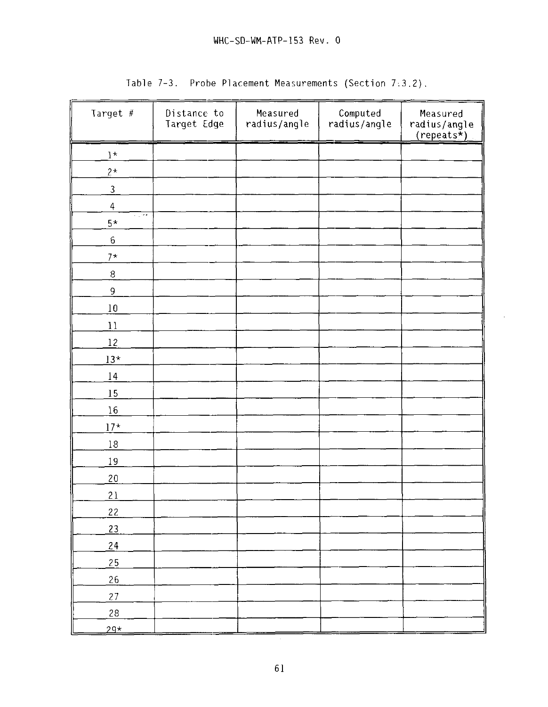| Target #             | Distance to<br>Target Edge | Measured<br>radius/angle | Computed<br>radius/angle | Measured<br>radius/angle<br>$(repeats*)$ |
|----------------------|----------------------------|--------------------------|--------------------------|------------------------------------------|
| $\mathbf{1}^{\star}$ |                            |                          |                          |                                          |
| $2\star$             |                            |                          |                          |                                          |
| $\mathfrak{Z}$       |                            |                          |                          |                                          |
| $\overline{a}$       |                            |                          |                          |                                          |
| 5 CM 6<br>$5\star$   |                            |                          |                          |                                          |
| $\bf 6$              |                            |                          |                          |                                          |
| $7*$                 |                            |                          |                          |                                          |
| $\, 8$               |                            |                          |                          |                                          |
| 9                    |                            |                          |                          |                                          |
| 10                   |                            |                          |                          |                                          |
| 11                   |                            |                          |                          |                                          |
| 12                   |                            |                          |                          |                                          |
| $13*$                |                            |                          |                          |                                          |
| 14                   |                            |                          |                          |                                          |
| 15                   |                            |                          |                          |                                          |
| 16                   |                            |                          |                          |                                          |
| $17*$                |                            |                          |                          |                                          |
| $18\,$               |                            |                          |                          |                                          |
| 19                   |                            |                          |                          |                                          |
| 20                   |                            |                          |                          |                                          |
| 21                   |                            |                          |                          |                                          |
| 22                   |                            |                          |                          |                                          |
| 23                   |                            |                          |                          |                                          |
| 24                   |                            |                          |                          |                                          |
| 25                   |                            |                          |                          |                                          |
| 26                   |                            |                          |                          |                                          |
| 27                   |                            |                          |                          |                                          |
| 28                   |                            |                          |                          |                                          |
| $29*$                |                            |                          |                          |                                          |

Table 7-3. Probe Placement Measurements (Section 7:3.2).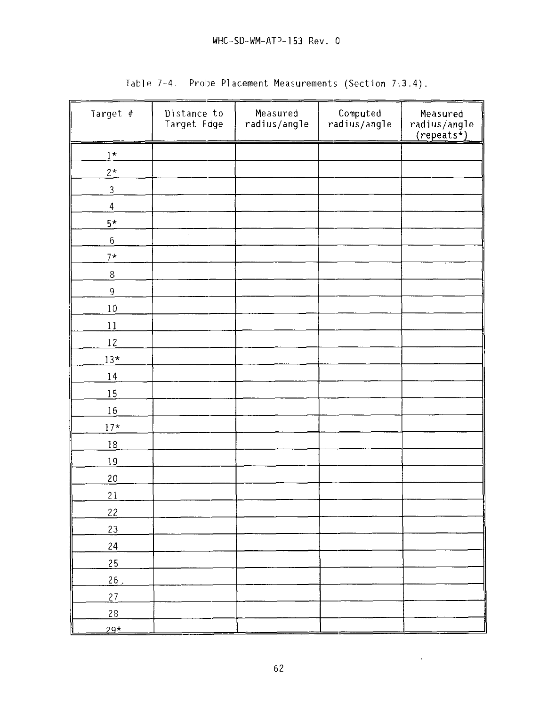# WHC-SD-WM-ATP-153 Rev. 0

| Target #       | Distance to<br>Target Edge | Measured<br>radius/angle | Computed<br>radius/angle | Measured<br>radius/angle<br>$(repeats*)$ |
|----------------|----------------------------|--------------------------|--------------------------|------------------------------------------|
| $1^{\star}$    |                            |                          |                          |                                          |
| $2^{\star}$    |                            |                          |                          |                                          |
| $\overline{3}$ |                            |                          |                          |                                          |
| $\overline{4}$ |                            |                          |                          |                                          |
| $5^{\star}$    |                            |                          |                          |                                          |
| 6              |                            |                          |                          |                                          |
| $7*$           |                            |                          |                          |                                          |
| $\overline{8}$ |                            |                          |                          |                                          |
| $\mathsf g$    |                            |                          |                          |                                          |
| 10             |                            |                          |                          |                                          |
| 11             |                            |                          |                          |                                          |
| 12             |                            |                          |                          |                                          |
| $13*$          |                            |                          |                          |                                          |
| 14             |                            |                          |                          |                                          |
| 15             |                            |                          |                          |                                          |
| 16             |                            |                          |                          |                                          |
| $17^{\star}$   |                            |                          |                          |                                          |
| <u>18</u>      |                            |                          |                          |                                          |
| 19             |                            |                          |                          |                                          |
| 20             |                            |                          |                          |                                          |
| 21             |                            |                          |                          |                                          |
| 22             |                            |                          |                          |                                          |
| 23             |                            |                          |                          |                                          |
| 24             |                            |                          |                          |                                          |
| 25             |                            |                          |                          |                                          |
| 26.            |                            |                          |                          |                                          |
| 27             |                            |                          |                          |                                          |
| 28             |                            |                          |                          |                                          |
| $29*$          |                            |                          |                          |                                          |

Table 7-4. Probe Placement Measurements (Section 7,3.4).

 $\mathcal{L}_{\mathcal{A}}$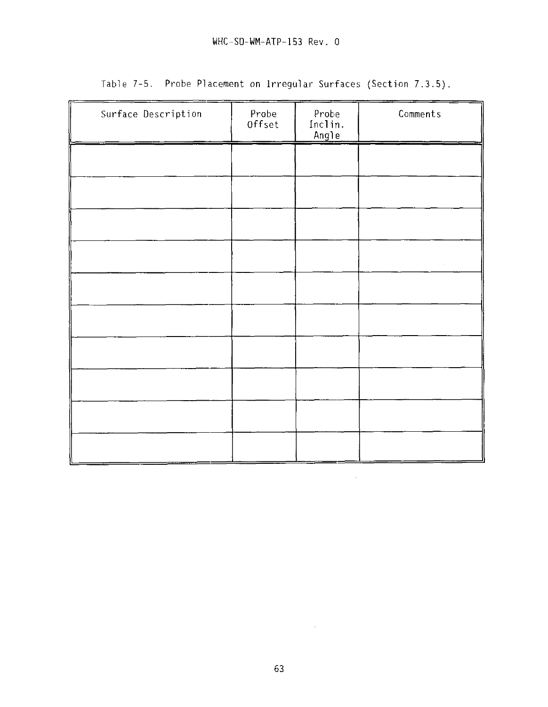| Surface Description | Probe<br>Offset | Probe<br>Inclin.<br>Angle | Comments |
|---------------------|-----------------|---------------------------|----------|
|                     |                 |                           |          |
|                     |                 |                           |          |
|                     |                 |                           |          |
|                     |                 |                           |          |
|                     |                 |                           |          |
|                     |                 |                           |          |
|                     |                 |                           |          |
|                     |                 |                           |          |
|                     |                 |                           |          |
|                     |                 |                           |          |

Table 7-5. Probe Placement on Irregular Surfaces (Section 7.3.5)

 $\frac{1}{2} \frac{1}{2} \frac{1}{2} \frac{1}{2}$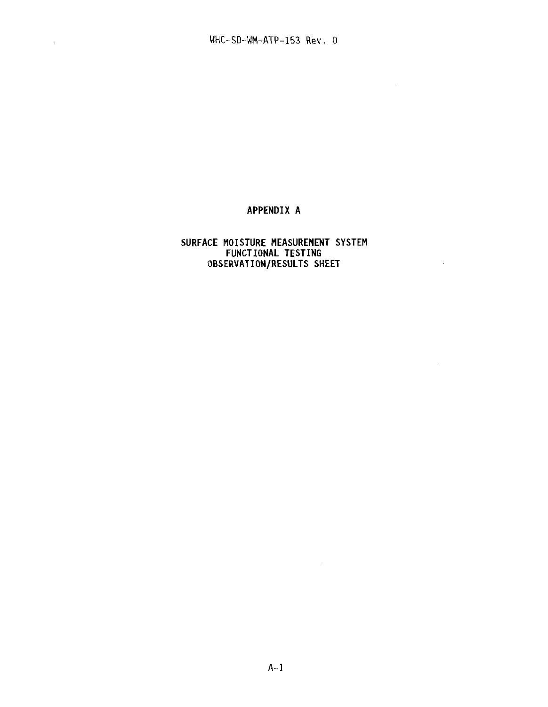$\mathcal{L}_{\mathrm{max}}$ 

## **APPENDIX A**

## **SURFACE MOISTURE MEASUREMENT SYSTEM FUNCTIONAL TESTING OBSERVATION/RESULTS SHEET**

 $\mathcal{A}^{\mathrm{int}}$ 

 $\sim$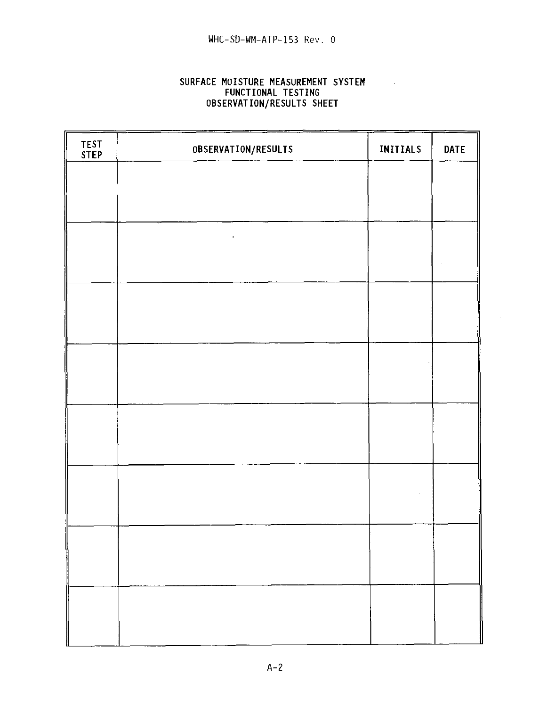## **SURFACE MOISTURE MEASUREMENT SYSTEM FUNCTIONAL** TESTING **OBSERVATION/RESULTS** SHEET

 $\sim$ 

| TEST<br>STEP | OBSERVATION/RESULTS | INITIALS | <b>DATE</b> |
|--------------|---------------------|----------|-------------|
|              |                     |          |             |
|              |                     |          |             |
|              |                     |          |             |
|              |                     |          |             |
|              |                     |          |             |
|              |                     |          |             |
|              |                     |          |             |
|              |                     |          |             |
|              |                     |          |             |
|              |                     |          |             |
|              |                     |          |             |
|              |                     |          |             |
|              |                     |          |             |
|              |                     |          |             |
|              |                     |          |             |
|              |                     |          |             |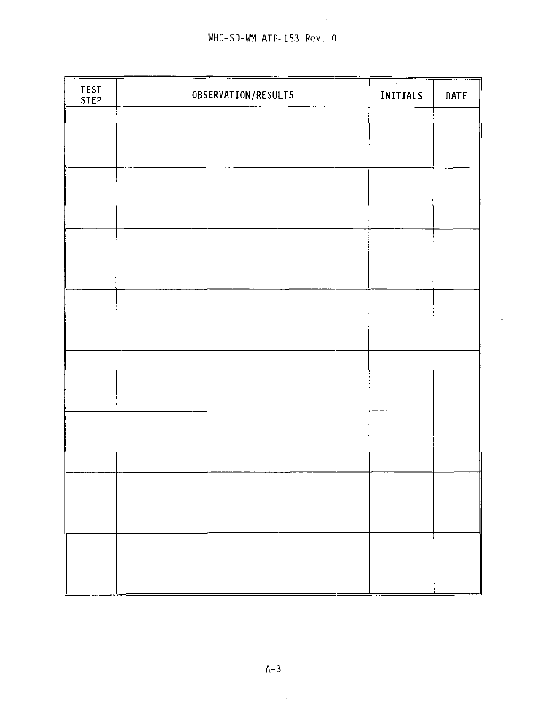$\sim 10^7$ 

| TEST<br>STEP | OBSERVATION/RESULTS | $\tilde{\phantom{a}}$<br>INITIALS | DATE |
|--------------|---------------------|-----------------------------------|------|
|              |                     |                                   |      |
|              |                     |                                   |      |
|              |                     |                                   |      |
|              |                     |                                   |      |
|              |                     |                                   |      |
|              |                     |                                   |      |
|              |                     |                                   |      |
|              |                     |                                   |      |
|              |                     |                                   |      |
|              |                     |                                   |      |
|              |                     |                                   |      |
|              |                     |                                   |      |
|              |                     |                                   |      |
|              |                     |                                   |      |
|              |                     |                                   |      |
|              |                     |                                   |      |
|              |                     |                                   |      |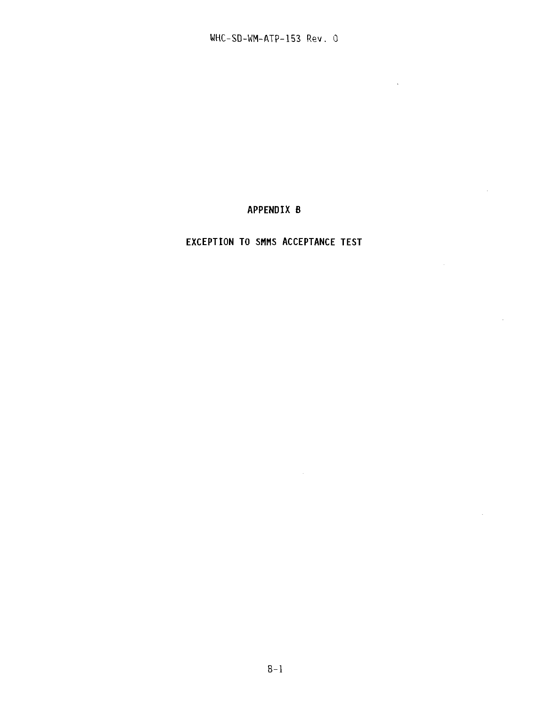$\sim 10^{-10}$ 

 $\mathcal{L}$ 

 $\mathcal{L}$ 

 $\mathcal{L}^{\mathcal{L}}$ 

# **APPENDIX B**

## **EXCEPTION TO SMMS ACCEPTANCE TEST**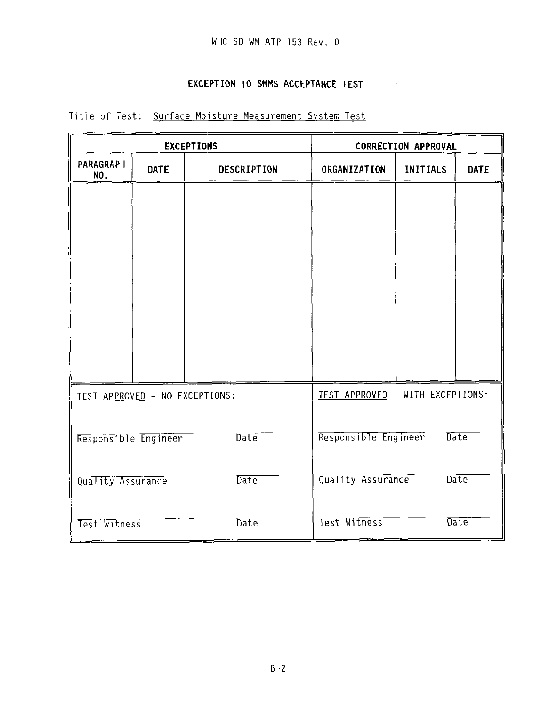### **EXCEPTION TO SMMS ACCEPTANCE TEST**

| <b>EXCEPTIONS</b>              |             |                           | <b>CORRECTION APPROVAL</b>       |                 |             |  |
|--------------------------------|-------------|---------------------------|----------------------------------|-----------------|-------------|--|
| PARAGRAPH<br>NO.               | <b>DATE</b> | <b>DESCRIPTION</b>        | ORGANIZATION                     | <b>INITIALS</b> | <b>DATE</b> |  |
|                                |             |                           |                                  |                 |             |  |
|                                |             |                           |                                  |                 |             |  |
|                                |             |                           |                                  |                 |             |  |
|                                |             |                           |                                  |                 |             |  |
|                                |             |                           |                                  |                 |             |  |
|                                |             |                           |                                  |                 |             |  |
|                                |             |                           |                                  |                 |             |  |
| TEST APPROVED - NO EXCEPTIONS: |             |                           | TEST APPROVED - WITH EXCEPTIONS: |                 |             |  |
|                                |             |                           |                                  |                 |             |  |
| Responsible Engineer           |             | Date                      | Responsible Engineer             |                 | Date        |  |
| Date<br>Quality Assurance      |             | Quality Assurance<br>Date |                                  |                 |             |  |
| Test Witness                   |             | Date                      | Test Witness                     |                 | Date        |  |

# Title of Test: Surface Moisture Measurement System Test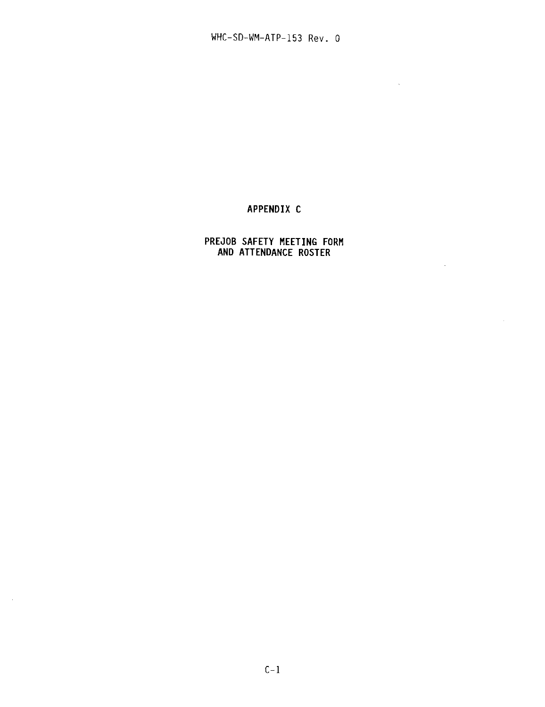$\sim 10^{-10}$ 

 $\sim 10^{-11}$ 

 $\sim$ 

### APPENDIX C

### PREJOB SAFETY MEETING FORM AND ATTENDANCE ROSTER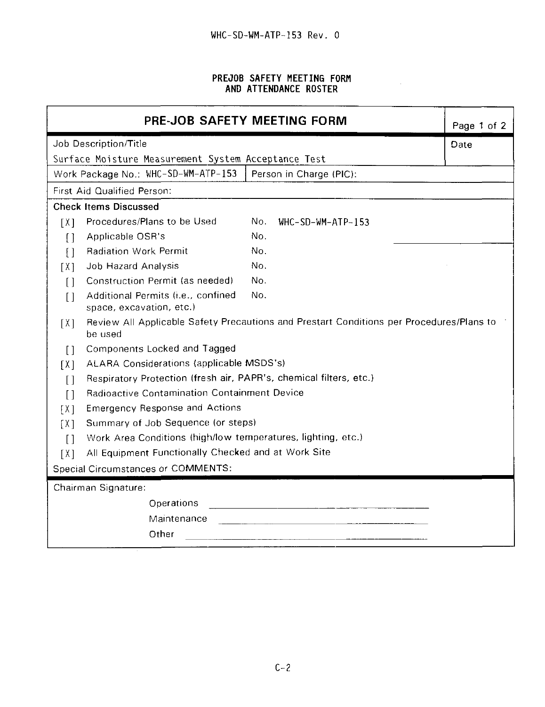#### **PREJOB SAFETY MEETING FORM AND ATTENDANCE ROSTER**

 $\bar{\mathcal{A}}$ 

| PRE-JOB SAFETY MEETING FORM            |                                                                    |     |                                                                                          | Page 1 of 2 |  |  |
|----------------------------------------|--------------------------------------------------------------------|-----|------------------------------------------------------------------------------------------|-------------|--|--|
| Job Description/Title                  |                                                                    |     |                                                                                          | Date        |  |  |
|                                        | Surface Moisture Measurement System Acceptance Test                |     |                                                                                          |             |  |  |
|                                        | Work Package No.: WHC-SD-WM-ATP-153                                |     | Person in Charge (PIC):                                                                  |             |  |  |
|                                        | First Aid Qualified Person:                                        |     |                                                                                          |             |  |  |
|                                        | <b>Check Items Discussed</b>                                       |     |                                                                                          |             |  |  |
| $\lceil X \rceil$                      | Procedures/Plans to be Used                                        | No. | WHC-SD-WM-ATP-153                                                                        |             |  |  |
| $\lceil$                               | Applicable OSR's                                                   | No. |                                                                                          |             |  |  |
| $\lceil$                               | <b>Radiation Work Permit</b>                                       | No. |                                                                                          |             |  |  |
| [ X ]                                  | Job Hazard Analysis                                                | No. |                                                                                          |             |  |  |
| $\Box$                                 | Construction Permit (as needed)                                    | No. |                                                                                          |             |  |  |
| $\lceil$                               | Additional Permits (i.e., confined<br>space, excavation, etc.)     | No. |                                                                                          |             |  |  |
| [X]                                    | be used                                                            |     | Review All Applicable Safety Precautions and Prestart Conditions per Procedures/Plans to |             |  |  |
| $\lceil$                               | Components Locked and Tagged                                       |     |                                                                                          |             |  |  |
| $\lceil X \rceil$                      | ALARA Considerations (applicable MSDS's)                           |     |                                                                                          |             |  |  |
| $\begin{array}{c} \square \end{array}$ | Respiratory Protection (fresh air, PAPR's, chemical filters, etc.) |     |                                                                                          |             |  |  |
| $\lceil$                               | <b>Radioactive Contamination Containment Device</b>                |     |                                                                                          |             |  |  |
| [ X ]                                  | <b>Emergency Response and Actions</b>                              |     |                                                                                          |             |  |  |
| [ X ]                                  | Summary of Job Sequence (or steps)                                 |     |                                                                                          |             |  |  |
| $\lceil$                               | Work Area Conditions (high/low temperatures, lighting, etc.)       |     |                                                                                          |             |  |  |
| $\lceil X \rceil$                      | All Equipment Functionally Checked and at Work Site                |     |                                                                                          |             |  |  |
|                                        | Special Circumstances or COMMENTS:                                 |     |                                                                                          |             |  |  |
|                                        | Chairman Signature:                                                |     |                                                                                          |             |  |  |
|                                        | Operations                                                         |     |                                                                                          |             |  |  |
|                                        | Maintenance                                                        |     |                                                                                          |             |  |  |
|                                        | Other                                                              |     |                                                                                          |             |  |  |
|                                        |                                                                    |     |                                                                                          |             |  |  |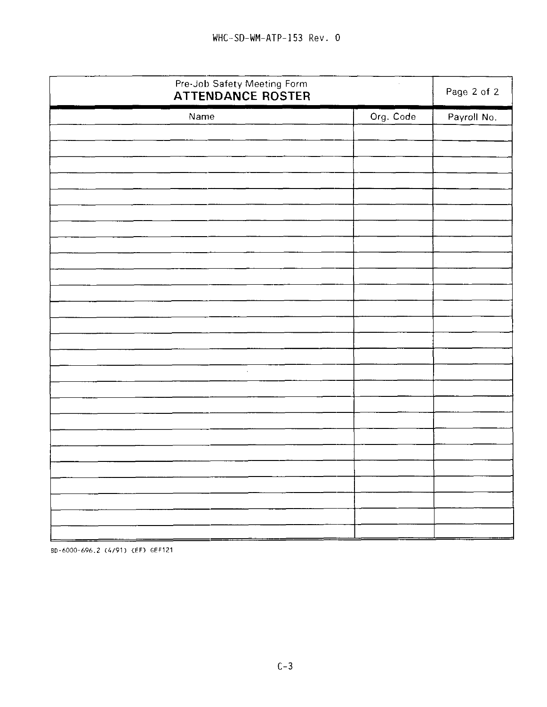| Pre-Job Safety Meeting Form<br><b>ATTENDANCE ROSTER</b> |           | Page 2 of 2 |
|---------------------------------------------------------|-----------|-------------|
| Name                                                    | Org. Code | Payroll No. |
|                                                         |           |             |
|                                                         |           |             |
|                                                         |           |             |
|                                                         |           |             |
|                                                         |           |             |
|                                                         |           |             |
|                                                         |           |             |
|                                                         |           |             |
|                                                         |           | $\epsilon$  |
|                                                         |           |             |
|                                                         |           |             |
|                                                         |           |             |
|                                                         |           |             |
|                                                         |           |             |
| $\epsilon$                                              |           |             |
|                                                         |           |             |
|                                                         |           |             |
|                                                         |           |             |
|                                                         |           |             |
|                                                         |           |             |
|                                                         |           |             |
|                                                         |           |             |
|                                                         |           |             |
|                                                         |           |             |
| _ <del>______________________</del><br>- سے             |           |             |

BD-6000-696.2 (4/91) {EF> GEF121